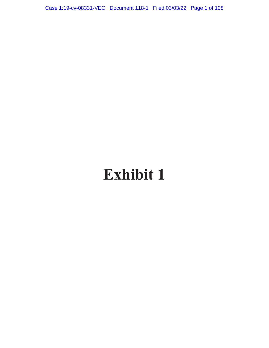Case 1:19-cv-08331-VEC Document 118-1 Filed 03/03/22 Page 1 of 108

# **Exhibit 1**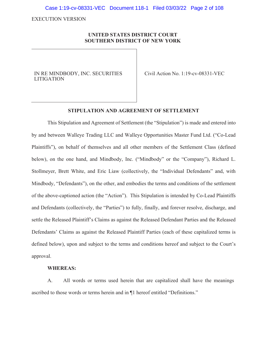Case 1:19-cv-08331-VEC Document 118-1 Filed 03/03/22 Page 2 of 108

EXECUTION VERSION

# **UNITED STATES DISTRICT COURT SOUTHERN DISTRICT OF NEW YORK**

IN RE MINDBODY, INC. SECURITIES LITIGATION

Civil Action No. 1:19-cv-08331-VEC

#### **STIPULATION AND AGREEMENT OF SETTLEMENT**

This Stipulation and Agreement of Settlement (the "Stipulation") is made and entered into by and between Walleye Trading LLC and Walleye Opportunities Master Fund Ltd. ("Co-Lead Plaintiffs"), on behalf of themselves and all other members of the Settlement Class (defined below), on the one hand, and Mindbody, Inc. ("Mindbody" or the "Company"), Richard L. Stollmeyer, Brett White, and Eric Liaw (collectively, the "Individual Defendants" and, with Mindbody, "Defendants"), on the other, and embodies the terms and conditions of the settlement of the above-captioned action (the "Action"). This Stipulation is intended by Co-Lead Plaintiffs and Defendants (collectively, the "Parties") to fully, finally, and forever resolve, discharge, and settle the Released Plaintiff's Claims as against the Released Defendant Parties and the Released Defendants' Claims as against the Released Plaintiff Parties (each of these capitalized terms is defined below), upon and subject to the terms and conditions hereof and subject to the Court's approval.

## **WHEREAS:**

A. All words or terms used herein that are capitalized shall have the meanings ascribed to those words or terms herein and in ¶1 hereof entitled "Definitions."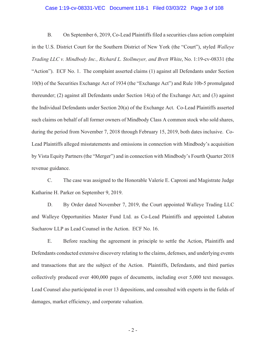## Case 1:19-cv-08331-VEC Document 118-1 Filed 03/03/22 Page 3 of 108

B. On September 6, 2019, Co-Lead Plaintiffs filed a securities class action complaint in the U.S. District Court for the Southern District of New York (the "Court"), styled *Walleye Trading LLC v. Mindbody Inc., Richard L. Stollmeyer, and Brett White*, No. 1:19-cv-08331 (the "Action"). ECF No. 1. The complaint asserted claims (1) against all Defendants under Section 10(b) of the Securities Exchange Act of 1934 (the "Exchange Act") and Rule 10b-5 promulgated thereunder; (2) against all Defendants under Section 14(a) of the Exchange Act; and (3) against the Individual Defendants under Section 20(a) of the Exchange Act. Co-Lead Plaintiffs asserted such claims on behalf of all former owners of Mindbody Class A common stock who sold shares, during the period from November 7, 2018 through February 15, 2019, both dates inclusive. Co-Lead Plaintiffs alleged misstatements and omissions in connection with Mindbody's acquisition by Vista Equity Partners (the "Merger") and in connection with Mindbody's Fourth Quarter 2018 revenue guidance.

C. The case was assigned to the Honorable Valerie E. Caproni and Magistrate Judge Katharine H. Parker on September 9, 2019.

D. By Order dated November 7, 2019, the Court appointed Walleye Trading LLC and Walleye Opportunities Master Fund Ltd. as Co-Lead Plaintiffs and appointed Labaton Sucharow LLP as Lead Counsel in the Action. ECF No. 16.

E. Before reaching the agreement in principle to settle the Action, Plaintiffs and Defendants conducted extensive discovery relating to the claims, defenses, and underlying events and transactions that are the subject of the Action. Plaintiffs, Defendants, and third parties collectively produced over 400,000 pages of documents, including over 5,000 text messages. Lead Counsel also participated in over 13 depositions, and consulted with experts in the fields of damages, market efficiency, and corporate valuation.

- 2 -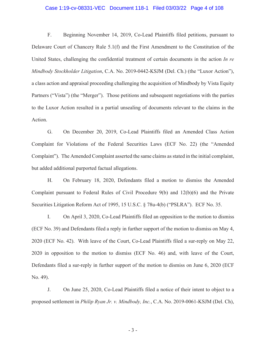## Case 1:19-cv-08331-VEC Document 118-1 Filed 03/03/22 Page 4 of 108

F. Beginning November 14, 2019, Co-Lead Plaintiffs filed petitions, pursuant to Delaware Court of Chancery Rule 5.1(f) and the First Amendment to the Constitution of the United States, challenging the confidential treatment of certain documents in the action *In re Mindbody Stockholder Litigation*, C.A. No. 2019-0442-KSJM (Del. Ch.) (the "Luxor Action"), a class action and appraisal proceeding challenging the acquisition of Mindbody by Vista Equity Partners ("Vista") (the "Merger"). Those petitions and subsequent negotiations with the parties to the Luxor Action resulted in a partial unsealing of documents relevant to the claims in the Action.

G. On December 20, 2019, Co-Lead Plaintiffs filed an Amended Class Action Complaint for Violations of the Federal Securities Laws (ECF No. 22) (the "Amended Complaint"). The Amended Complaint asserted the same claims as stated in the initial complaint, but added additional purported factual allegations.

H. On February 18, 2020, Defendants filed a motion to dismiss the Amended Complaint pursuant to Federal Rules of Civil Procedure 9(b) and 12(b)(6) and the Private Securities Litigation Reform Act of 1995, 15 U.S.C. § 78u-4(b) ("PSLRA"). ECF No. 35.

I. On April 3, 2020, Co-Lead Plaintiffs filed an opposition to the motion to dismiss (ECF No. 39) and Defendants filed a reply in further support of the motion to dismiss on May 4, 2020 (ECF No. 42). With leave of the Court, Co-Lead Plaintiffs filed a sur-reply on May 22, 2020 in opposition to the motion to dismiss (ECF No. 46) and, with leave of the Court, Defendants filed a sur-reply in further support of the motion to dismiss on June 6, 2020 (ECF No. 49).

J. On June 25, 2020, Co-Lead Plaintiffs filed a notice of their intent to object to a proposed settlement in *Philip Ryan Jr. v. Mindbody, Inc.*, C.A. No. 2019-0061-KSJM (Del. Ch),

- 3 -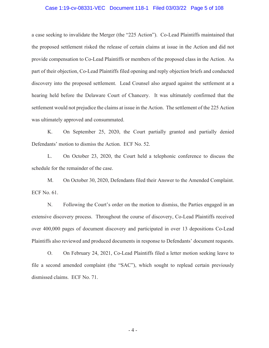#### Case 1:19-cv-08331-VEC Document 118-1 Filed 03/03/22 Page 5 of 108

a case seeking to invalidate the Merger (the "225 Action"). Co-Lead Plaintiffs maintained that the proposed settlement risked the release of certain claims at issue in the Action and did not provide compensation to Co-Lead Plaintiffs or members of the proposed class in the Action. As part of their objection, Co-Lead Plaintiffs filed opening and reply objection briefs and conducted discovery into the proposed settlement. Lead Counsel also argued against the settlement at a hearing held before the Delaware Court of Chancery. It was ultimately confirmed that the settlement would not prejudice the claims at issue in the Action. The settlement of the 225 Action was ultimately approved and consummated.

K. On September 25, 2020, the Court partially granted and partially denied Defendants' motion to dismiss the Action. ECF No. 52.

L. On October 23, 2020, the Court held a telephonic conference to discuss the schedule for the remainder of the case.

M. On October 30, 2020, Defendants filed their Answer to the Amended Complaint. ECF No. 61.

N. Following the Court's order on the motion to dismiss, the Parties engaged in an extensive discovery process. Throughout the course of discovery, Co-Lead Plaintiffs received over 400,000 pages of document discovery and participated in over 13 depositions Co-Lead Plaintiffs also reviewed and produced documents in response to Defendants' document requests.

O. On February 24, 2021, Co-Lead Plaintiffs filed a letter motion seeking leave to file a second amended complaint (the "SAC"), which sought to replead certain previously dismissed claims. ECF No. 71.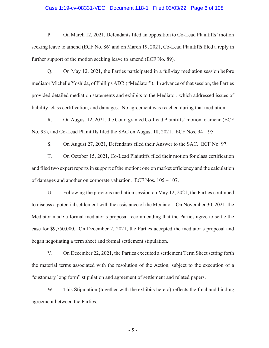## Case 1:19-cv-08331-VEC Document 118-1 Filed 03/03/22 Page 6 of 108

P. On March 12, 2021, Defendants filed an opposition to Co-Lead Plaintiffs' motion seeking leave to amend (ECF No. 86) and on March 19, 2021, Co-Lead Plaintiffs filed a reply in further support of the motion seeking leave to amend (ECF No. 89).

Q. On May 12, 2021, the Parties participated in a full-day mediation session before mediator Michelle Yoshida, of Phillips ADR ("Mediator"). In advance of that session, the Parties provided detailed mediation statements and exhibits to the Mediator, which addressed issues of liability, class certification, and damages. No agreement was reached during that mediation.

R. On August 12, 2021, the Court granted Co-Lead Plaintiffs' motion to amend (ECF No. 93), and Co-Lead Plaintiffs filed the SAC on August 18, 2021. ECF Nos. 94 – 95.

S. On August 27, 2021, Defendants filed their Answer to the SAC. ECF No. 97.

T. On October 15, 2021, Co-Lead Plaintiffs filed their motion for class certification and filed two expert reports in support of the motion: one on market efficiency and the calculation of damages and another on corporate valuation. ECF Nos. 105 – 107.

U. Following the previous mediation session on May 12, 2021, the Parties continued to discuss a potential settlement with the assistance of the Mediator. On November 30, 2021, the Mediator made a formal mediator's proposal recommending that the Parties agree to settle the case for \$9,750,000. On December 2, 2021, the Parties accepted the mediator's proposal and began negotiating a term sheet and formal settlement stipulation.

V. On December 22, 2021, the Parties executed a settlement Term Sheet setting forth the material terms associated with the resolution of the Action, subject to the execution of a "customary long form" stipulation and agreement of settlement and related papers.

W. This Stipulation (together with the exhibits hereto) reflects the final and binding agreement between the Parties.

- 5 -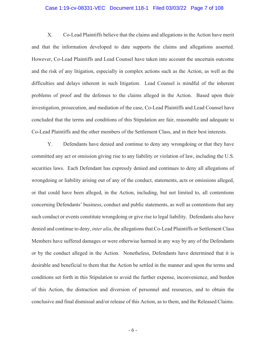## Case 1:19-cv-08331-VEC Document 118-1 Filed 03/03/22 Page 7 of 108

X. Co-Lead Plaintiffs believe that the claims and allegations in the Action have merit and that the information developed to date supports the claims and allegations asserted. However, Co-Lead Plaintiffs and Lead Counsel have taken into account the uncertain outcome and the risk of any litigation, especially in complex actions such as the Action, as well as the difficulties and delays inherent in such litigation. Lead Counsel is mindful of the inherent problems of proof and the defenses to the claims alleged in the Action. Based upon their investigation, prosecution, and mediation of the case, Co-Lead Plaintiffs and Lead Counsel have concluded that the terms and conditions of this Stipulation are fair, reasonable and adequate to Co-Lead Plaintiffs and the other members of the Settlement Class, and in their best interests.

Y. Defendants have denied and continue to deny any wrongdoing or that they have committed any act or omission giving rise to any liability or violation of law, including the U.S. securities laws. Each Defendant has expressly denied and continues to deny all allegations of wrongdoing or liability arising out of any of the conduct, statements, acts or omissions alleged, or that could have been alleged, in the Action, including, but not limited to, all contentions concerning Defendants' business, conduct and public statements, as well as contentions that any such conduct or events constitute wrongdoing or give rise to legal liability. Defendants also have denied and continue to deny, *inter alia*, the allegations that Co-Lead Plaintiffs or Settlement Class Members have suffered damages or were otherwise harmed in any way by any of the Defendants or by the conduct alleged in the Action. Nonetheless, Defendants have determined that it is desirable and beneficial to them that the Action be settled in the manner and upon the terms and conditions set forth in this Stipulation to avoid the further expense, inconvenience, and burden of this Action, the distraction and diversion of personnel and resources, and to obtain the conclusive and final dismissal and/or release of this Action, as to them, and the Released Claims.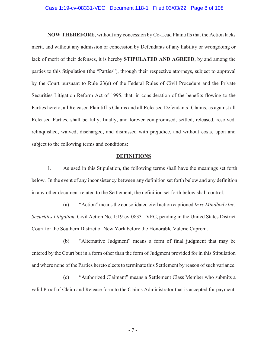## Case 1:19-cv-08331-VEC Document 118-1 Filed 03/03/22 Page 8 of 108

**NOW THEREFORE**, without any concession by Co-Lead Plaintiffs that the Action lacks merit, and without any admission or concession by Defendants of any liability or wrongdoing or lack of merit of their defenses, it is hereby **STIPULATED AND AGREED**, by and among the parties to this Stipulation (the "Parties"), through their respective attorneys, subject to approval by the Court pursuant to Rule 23(e) of the Federal Rules of Civil Procedure and the Private Securities Litigation Reform Act of 1995, that, in consideration of the benefits flowing to the Parties hereto, all Released Plaintiff's Claims and all Released Defendants' Claims, as against all Released Parties, shall be fully, finally, and forever compromised, settled, released, resolved, relinquished, waived, discharged, and dismissed with prejudice, and without costs, upon and subject to the following terms and conditions:

## **DEFINITIONS**

1. As used in this Stipulation, the following terms shall have the meanings set forth below. In the event of any inconsistency between any definition set forth below and any definition in any other document related to the Settlement, the definition set forth below shall control.

(a) "Action" means the consolidated civil action captioned *In re Mindbody Inc. Securities Litigation,* Civil Action No. 1:19-cv-08331-VEC, pending in the United States District Court for the Southern District of New York before the Honorable Valerie Caproni.

(b) "Alternative Judgment" means a form of final judgment that may be entered by the Court but in a form other than the form of Judgment provided for in this Stipulation and where none of the Parties hereto elects to terminate this Settlement by reason of such variance.

(c) "Authorized Claimant" means a Settlement Class Member who submits a valid Proof of Claim and Release form to the Claims Administrator that is accepted for payment.

- 7 -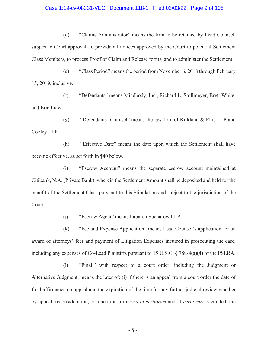## Case 1:19-cv-08331-VEC Document 118-1 Filed 03/03/22 Page 9 of 108

(d) "Claims Administrator" means the firm to be retained by Lead Counsel, subject to Court approval, to provide all notices approved by the Court to potential Settlement Class Members, to process Proof of Claim and Release forms, and to administer the Settlement.

(e) "Class Period" means the period from November 6, 2018 through February 15, 2019, inclusive.

(f) "Defendants" means Mindbody, Inc., Richard L. Stollmeyer, Brett White, and Eric Liaw.

(g) "Defendants' Counsel" means the law firm of Kirkland & Ellis LLP and Cooley LLP.

(h) "Effective Date" means the date upon which the Settlement shall have become effective, as set forth in ¶40 below.

(i) "Escrow Account" means the separate escrow account maintained at Citibank, N.A. (Private Bank), wherein the Settlement Amount shall be deposited and held for the benefit of the Settlement Class pursuant to this Stipulation and subject to the jurisdiction of the Court.

(j) "Escrow Agent" means Labaton Sucharow LLP.

(k) "Fee and Expense Application" means Lead Counsel's application for an award of attorneys' fees and payment of Litigation Expenses incurred in prosecuting the case, including any expenses of Co-Lead Plaintiffs pursuant to 15 U.S.C. § 78u-4(a)(4) of the PSLRA.

(l) "Final," with respect to a court order, including the Judgment or Alternative Judgment, means the later of: (i) if there is an appeal from a court order the date of final affirmance on appeal and the expiration of the time for any further judicial review whether by appeal, reconsideration, or a petition for a *writ of certiorari* and, if *certiorari* is granted, the

- 8 -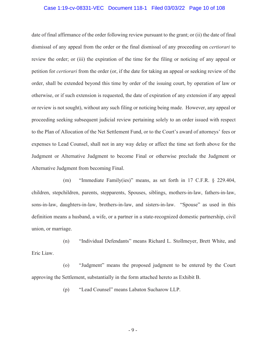#### Case 1:19-cv-08331-VEC Document 118-1 Filed 03/03/22 Page 10 of 108

date of final affirmance of the order following review pursuant to the grant; or (ii) the date of final dismissal of any appeal from the order or the final dismissal of any proceeding on *certiorari* to review the order; or (iii) the expiration of the time for the filing or noticing of any appeal or petition for *certiorari* from the order (or, if the date for taking an appeal or seeking review of the order, shall be extended beyond this time by order of the issuing court, by operation of law or otherwise, or if such extension is requested, the date of expiration of any extension if any appeal or review is not sought), without any such filing or noticing being made. However, any appeal or proceeding seeking subsequent judicial review pertaining solely to an order issued with respect to the Plan of Allocation of the Net Settlement Fund, or to the Court's award of attorneys' fees or expenses to Lead Counsel, shall not in any way delay or affect the time set forth above for the Judgment or Alternative Judgment to become Final or otherwise preclude the Judgment or Alternative Judgment from becoming Final.

(m) "Immediate Family(ies)" means, as set forth in 17 C.F.R. § 229.404, children, stepchildren, parents, stepparents, Spouses, siblings, mothers-in-law, fathers-in-law, sons-in-law, daughters-in-law, brothers-in-law, and sisters-in-law. "Spouse" as used in this definition means a husband, a wife, or a partner in a state-recognized domestic partnership, civil union, or marriage.

(n) "Individual Defendants" means Richard L. Stollmeyer, Brett White, and Eric Liaw.

(o) "Judgment" means the proposed judgment to be entered by the Court approving the Settlement, substantially in the form attached hereto as Exhibit B.

(p) "Lead Counsel" means Labaton Sucharow LLP.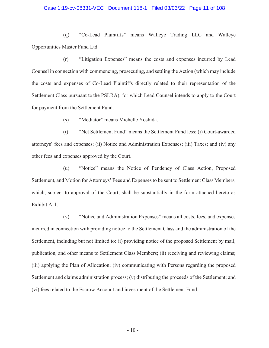## Case 1:19-cv-08331-VEC Document 118-1 Filed 03/03/22 Page 11 of 108

(q) "Co-Lead Plaintiffs" means Walleye Trading LLC and Walleye Opportunities Master Fund Ltd.

(r) "Litigation Expenses" means the costs and expenses incurred by Lead Counsel in connection with commencing, prosecuting, and settling the Action (which may include the costs and expenses of Co-Lead Plaintiffs directly related to their representation of the Settlement Class pursuant to the PSLRA), for which Lead Counsel intends to apply to the Court for payment from the Settlement Fund.

(s) "Mediator" means Michelle Yoshida.

(t) "Net Settlement Fund" means the Settlement Fund less: (i) Court-awarded attorneys' fees and expenses; (ii) Notice and Administration Expenses; (iii) Taxes; and (iv) any other fees and expenses approved by the Court.

(u) "Notice" means the Notice of Pendency of Class Action, Proposed Settlement, and Motion for Attorneys' Fees and Expenses to be sent to Settlement Class Members, which, subject to approval of the Court, shall be substantially in the form attached hereto as Exhibit A-1.

(v) "Notice and Administration Expenses" means all costs, fees, and expenses incurred in connection with providing notice to the Settlement Class and the administration of the Settlement, including but not limited to: (i) providing notice of the proposed Settlement by mail, publication, and other means to Settlement Class Members; (ii) receiving and reviewing claims; (iii) applying the Plan of Allocation; (iv) communicating with Persons regarding the proposed Settlement and claims administration process; (v) distributing the proceeds of the Settlement; and (vi) fees related to the Escrow Account and investment of the Settlement Fund.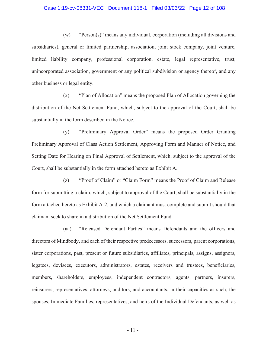## Case 1:19-cv-08331-VEC Document 118-1 Filed 03/03/22 Page 12 of 108

(w) "Person(s)" means any individual, corporation (including all divisions and subsidiaries), general or limited partnership, association, joint stock company, joint venture, limited liability company, professional corporation, estate, legal representative, trust, unincorporated association, government or any political subdivision or agency thereof, and any other business or legal entity.

(x) "Plan of Allocation" means the proposed Plan of Allocation governing the distribution of the Net Settlement Fund, which, subject to the approval of the Court, shall be substantially in the form described in the Notice.

(y) "Preliminary Approval Order" means the proposed Order Granting Preliminary Approval of Class Action Settlement, Approving Form and Manner of Notice, and Setting Date for Hearing on Final Approval of Settlement, which, subject to the approval of the Court, shall be substantially in the form attached hereto as Exhibit A.

(z) "Proof of Claim" or "Claim Form" means the Proof of Claim and Release form for submitting a claim, which, subject to approval of the Court, shall be substantially in the form attached hereto as Exhibit A-2, and which a claimant must complete and submit should that claimant seek to share in a distribution of the Net Settlement Fund.

(aa) "Released Defendant Parties" means Defendants and the officers and directors of Mindbody, and each of their respective predecessors, successors, parent corporations, sister corporations, past, present or future subsidiaries, affiliates, principals, assigns, assignors, legatees, devisees, executors, administrators, estates, receivers and trustees, beneficiaries, members, shareholders, employees, independent contractors, agents, partners, insurers, reinsurers, representatives, attorneys, auditors, and accountants, in their capacities as such; the spouses, Immediate Families, representatives, and heirs of the Individual Defendants, as well as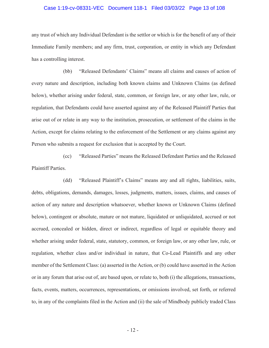#### Case 1:19-cv-08331-VEC Document 118-1 Filed 03/03/22 Page 13 of 108

any trust of which any Individual Defendant is the settlor or which is for the benefit of any of their Immediate Family members; and any firm, trust, corporation, or entity in which any Defendant has a controlling interest.

(bb) "Released Defendants' Claims" means all claims and causes of action of every nature and description, including both known claims and Unknown Claims (as defined below), whether arising under federal, state, common, or foreign law, or any other law, rule, or regulation, that Defendants could have asserted against any of the Released Plaintiff Parties that arise out of or relate in any way to the institution, prosecution, or settlement of the claims in the Action, except for claims relating to the enforcement of the Settlement or any claims against any Person who submits a request for exclusion that is accepted by the Court.

(cc) "Released Parties" means the Released Defendant Parties and the Released Plaintiff Parties.

(dd) "Released Plaintiff's Claims" means any and all rights, liabilities, suits, debts, obligations, demands, damages, losses, judgments, matters, issues, claims, and causes of action of any nature and description whatsoever, whether known or Unknown Claims (defined below), contingent or absolute, mature or not mature, liquidated or unliquidated, accrued or not accrued, concealed or hidden, direct or indirect, regardless of legal or equitable theory and whether arising under federal, state, statutory, common, or foreign law, or any other law, rule, or regulation, whether class and/or individual in nature, that Co-Lead Plaintiffs and any other member of the Settlement Class: (a) asserted in the Action, or (b) could have asserted in the Action or in any forum that arise out of, are based upon, or relate to, both (i) the allegations, transactions, facts, events, matters, occurrences, representations, or omissions involved, set forth, or referred to, in any of the complaints filed in the Action and (ii) the sale of Mindbody publicly traded Class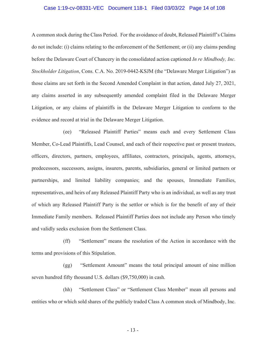#### Case 1:19-cv-08331-VEC Document 118-1 Filed 03/03/22 Page 14 of 108

A common stock during the Class Period. For the avoidance of doubt, Released Plaintiff's Claims do not include: (i) claims relating to the enforcement of the Settlement; or (ii) any claims pending before the Delaware Court of Chancery in the consolidated action captioned *In re Mindbody, Inc. Stockholder Litigation*, Cons. C.A. No. 2019-0442-KSJM (the "Delaware Merger Litigation") as those claims are set forth in the Second Amended Complaint in that action, dated July 27, 2021, any claims asserted in any subsequently amended complaint filed in the Delaware Merger Litigation, or any claims of plaintiffs in the Delaware Merger Litigation to conform to the evidence and record at trial in the Delaware Merger Litigation.

(ee) "Released Plaintiff Parties" means each and every Settlement Class Member, Co-Lead Plaintiffs, Lead Counsel, and each of their respective past or present trustees, officers, directors, partners, employees, affiliates, contractors, principals, agents, attorneys, predecessors, successors, assigns, insurers, parents, subsidiaries, general or limited partners or partnerships, and limited liability companies; and the spouses, Immediate Families, representatives, and heirs of any Released Plaintiff Party who is an individual, as well as any trust of which any Released Plaintiff Party is the settlor or which is for the benefit of any of their Immediate Family members. Released Plaintiff Parties does not include any Person who timely and validly seeks exclusion from the Settlement Class.

(ff) "Settlement" means the resolution of the Action in accordance with the terms and provisions of this Stipulation.

(gg) "Settlement Amount" means the total principal amount of nine million seven hundred fifty thousand U.S. dollars (\$9,750,000) in cash.

(hh) "Settlement Class" or "Settlement Class Member" mean all persons and entities who or which sold shares of the publicly traded Class A common stock of Mindbody, Inc.

- 13 -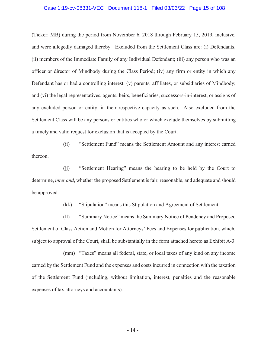#### Case 1:19-cv-08331-VEC Document 118-1 Filed 03/03/22 Page 15 of 108

(Ticker: MB) during the period from November 6, 2018 through February 15, 2019, inclusive, and were allegedly damaged thereby. Excluded from the Settlement Class are: (i) Defendants; (ii) members of the Immediate Family of any Individual Defendant; (iii) any person who was an officer or director of Mindbody during the Class Period; (iv) any firm or entity in which any Defendant has or had a controlling interest; (v) parents, affiliates, or subsidiaries of Mindbody; and (vi) the legal representatives, agents, heirs, beneficiaries, successors-in-interest, or assigns of any excluded person or entity, in their respective capacity as such. Also excluded from the Settlement Class will be any persons or entities who or which exclude themselves by submitting a timely and valid request for exclusion that is accepted by the Court.

(ii) "Settlement Fund" means the Settlement Amount and any interest earned thereon.

(jj) "Settlement Hearing" means the hearing to be held by the Court to determine, *inter and*, whether the proposed Settlement is fair, reasonable, and adequate and should be approved.

(kk) "Stipulation" means this Stipulation and Agreement of Settlement.

(ll) "Summary Notice" means the Summary Notice of Pendency and Proposed Settlement of Class Action and Motion for Attorneys' Fees and Expenses for publication, which, subject to approval of the Court, shall be substantially in the form attached hereto as Exhibit A-3.

(mm) "Taxes" means all federal, state, or local taxes of any kind on any income earned by the Settlement Fund and the expenses and costs incurred in connection with the taxation of the Settlement Fund (including, without limitation, interest, penalties and the reasonable expenses of tax attorneys and accountants).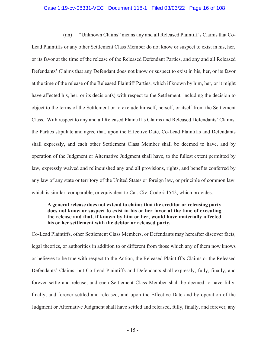## Case 1:19-cv-08331-VEC Document 118-1 Filed 03/03/22 Page 16 of 108

(nn) "Unknown Claims" means any and all Released Plaintiff's Claims that Co-Lead Plaintiffs or any other Settlement Class Member do not know or suspect to exist in his, her, or its favor at the time of the release of the Released Defendant Parties, and any and all Released Defendants' Claims that any Defendant does not know or suspect to exist in his, her, or its favor at the time of the release of the Released Plaintiff Parties, which if known by him, her, or it might have affected his, her, or its decision(s) with respect to the Settlement, including the decision to object to the terms of the Settlement or to exclude himself, herself, or itself from the Settlement Class. With respect to any and all Released Plaintiff's Claims and Released Defendants' Claims, the Parties stipulate and agree that, upon the Effective Date, Co-Lead Plaintiffs and Defendants shall expressly, and each other Settlement Class Member shall be deemed to have, and by operation of the Judgment or Alternative Judgment shall have, to the fullest extent permitted by law, expressly waived and relinquished any and all provisions, rights, and benefits conferred by any law of any state or territory of the United States or foreign law, or principle of common law, which is similar, comparable, or equivalent to Cal. Civ. Code § 1542, which provides:

# **A general release does not extend to claims that the creditor or releasing party does not know or suspect to exist in his or her favor at the time of executing the release and that, if known by him or her, would have materially affected his or her settlement with the debtor or released party.**

Co-Lead Plaintiffs, other Settlement Class Members, or Defendants may hereafter discover facts, legal theories, or authorities in addition to or different from those which any of them now knows or believes to be true with respect to the Action, the Released Plaintiff's Claims or the Released Defendants' Claims, but Co-Lead Plaintiffs and Defendants shall expressly, fully, finally, and forever settle and release, and each Settlement Class Member shall be deemed to have fully, finally, and forever settled and released, and upon the Effective Date and by operation of the Judgment or Alternative Judgment shall have settled and released, fully, finally, and forever, any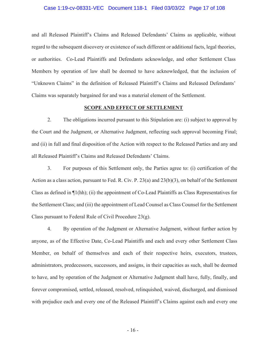#### Case 1:19-cv-08331-VEC Document 118-1 Filed 03/03/22 Page 17 of 108

and all Released Plaintiff's Claims and Released Defendants' Claims as applicable, without regard to the subsequent discovery or existence of such different or additional facts, legal theories, or authorities. Co-Lead Plaintiffs and Defendants acknowledge, and other Settlement Class Members by operation of law shall be deemed to have acknowledged, that the inclusion of "Unknown Claims" in the definition of Released Plaintiff's Claims and Released Defendants' Claims was separately bargained for and was a material element of the Settlement.

#### **SCOPE AND EFFECT OF SETTLEMENT**

2. The obligations incurred pursuant to this Stipulation are: (i) subject to approval by the Court and the Judgment, or Alternative Judgment, reflecting such approval becoming Final; and (ii) in full and final disposition of the Action with respect to the Released Parties and any and all Released Plaintiff's Claims and Released Defendants' Claims.

3. For purposes of this Settlement only, the Parties agree to: (i) certification of the Action as a class action, pursuant to Fed. R. Civ. P. 23(a) and 23(b)(3), on behalf of the Settlement Class as defined in ¶1(hh); (ii) the appointment of Co-Lead Plaintiffs as Class Representatives for the Settlement Class; and (iii) the appointment of Lead Counsel as Class Counsel for the Settlement Class pursuant to Federal Rule of Civil Procedure 23(g).

4. By operation of the Judgment or Alternative Judgment, without further action by anyone, as of the Effective Date, Co-Lead Plaintiffs and each and every other Settlement Class Member, on behalf of themselves and each of their respective heirs, executors, trustees, administrators, predecessors, successors, and assigns, in their capacities as such, shall be deemed to have, and by operation of the Judgment or Alternative Judgment shall have, fully, finally, and forever compromised, settled, released, resolved, relinquished, waived, discharged, and dismissed with prejudice each and every one of the Released Plaintiff's Claims against each and every one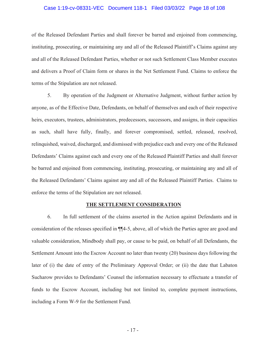#### Case 1:19-cv-08331-VEC Document 118-1 Filed 03/03/22 Page 18 of 108

of the Released Defendant Parties and shall forever be barred and enjoined from commencing, instituting, prosecuting, or maintaining any and all of the Released Plaintiff's Claims against any and all of the Released Defendant Parties, whether or not such Settlement Class Member executes and delivers a Proof of Claim form or shares in the Net Settlement Fund. Claims to enforce the terms of the Stipulation are not released.

5. By operation of the Judgment or Alternative Judgment, without further action by anyone, as of the Effective Date, Defendants, on behalf of themselves and each of their respective heirs, executors, trustees, administrators, predecessors, successors, and assigns, in their capacities as such, shall have fully, finally, and forever compromised, settled, released, resolved, relinquished, waived, discharged, and dismissed with prejudice each and every one of the Released Defendants' Claims against each and every one of the Released Plaintiff Parties and shall forever be barred and enjoined from commencing, instituting, prosecuting, or maintaining any and all of the Released Defendants' Claims against any and all of the Released Plaintiff Parties. Claims to enforce the terms of the Stipulation are not released.

#### **THE SETTLEMENT CONSIDERATION**

6. In full settlement of the claims asserted in the Action against Defendants and in consideration of the releases specified in ¶¶4-5, above, all of which the Parties agree are good and valuable consideration, Mindbody shall pay, or cause to be paid, on behalf of all Defendants, the Settlement Amount into the Escrow Account no later than twenty (20) business days following the later of (i) the date of entry of the Preliminary Approval Order; or (ii) the date that Labaton Sucharow provides to Defendants' Counsel the information necessary to effectuate a transfer of funds to the Escrow Account, including but not limited to, complete payment instructions, including a Form W-9 for the Settlement Fund.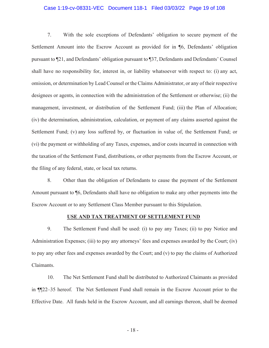## Case 1:19-cv-08331-VEC Document 118-1 Filed 03/03/22 Page 19 of 108

7. With the sole exceptions of Defendants' obligation to secure payment of the Settlement Amount into the Escrow Account as provided for in ¶6, Defendants' obligation pursuant to ¶21, and Defendants' obligation pursuant to ¶37, Defendants and Defendants' Counsel shall have no responsibility for, interest in, or liability whatsoever with respect to: (i) any act, omission, or determination by Lead Counsel or the Claims Administrator, or any of their respective designees or agents, in connection with the administration of the Settlement or otherwise; (ii) the management, investment, or distribution of the Settlement Fund; (iii) the Plan of Allocation; (iv) the determination, administration, calculation, or payment of any claims asserted against the Settlement Fund; (v) any loss suffered by, or fluctuation in value of, the Settlement Fund; or (vi) the payment or withholding of any Taxes, expenses, and/or costs incurred in connection with the taxation of the Settlement Fund, distributions, or other payments from the Escrow Account, or the filing of any federal, state, or local tax returns.

8. Other than the obligation of Defendants to cause the payment of the Settlement Amount pursuant to ¶6, Defendants shall have no obligation to make any other payments into the Escrow Account or to any Settlement Class Member pursuant to this Stipulation.

## **USE AND TAX TREATMENT OF SETTLEMENT FUND**

9. The Settlement Fund shall be used: (i) to pay any Taxes; (ii) to pay Notice and Administration Expenses; (iii) to pay any attorneys' fees and expenses awarded by the Court; (iv) to pay any other fees and expenses awarded by the Court; and (v) to pay the claims of Authorized Claimants.

10. The Net Settlement Fund shall be distributed to Authorized Claimants as provided in ¶¶22–35 hereof. The Net Settlement Fund shall remain in the Escrow Account prior to the Effective Date. All funds held in the Escrow Account, and all earnings thereon, shall be deemed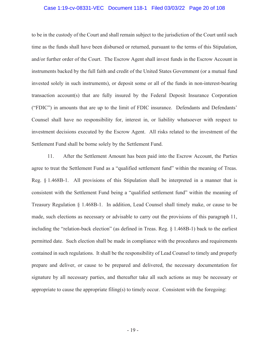## Case 1:19-cv-08331-VEC Document 118-1 Filed 03/03/22 Page 20 of 108

to be in the custody of the Court and shall remain subject to the jurisdiction of the Court until such time as the funds shall have been disbursed or returned, pursuant to the terms of this Stipulation, and/or further order of the Court. The Escrow Agent shall invest funds in the Escrow Account in instruments backed by the full faith and credit of the United States Government (or a mutual fund invested solely in such instruments), or deposit some or all of the funds in non-interest-bearing transaction account(s) that are fully insured by the Federal Deposit Insurance Corporation ("FDIC") in amounts that are up to the limit of FDIC insurance. Defendants and Defendants' Counsel shall have no responsibility for, interest in, or liability whatsoever with respect to investment decisions executed by the Escrow Agent. All risks related to the investment of the Settlement Fund shall be borne solely by the Settlement Fund.

11. After the Settlement Amount has been paid into the Escrow Account, the Parties agree to treat the Settlement Fund as a "qualified settlement fund" within the meaning of Treas. Reg. § 1.468B-1. All provisions of this Stipulation shall be interpreted in a manner that is consistent with the Settlement Fund being a "qualified settlement fund" within the meaning of Treasury Regulation § 1.468B-1. In addition, Lead Counsel shall timely make, or cause to be made, such elections as necessary or advisable to carry out the provisions of this paragraph 11, including the "relation-back election" (as defined in Treas. Reg. § 1.468B-1) back to the earliest permitted date. Such election shall be made in compliance with the procedures and requirements contained in such regulations. It shall be the responsibility of Lead Counsel to timely and properly prepare and deliver, or cause to be prepared and delivered, the necessary documentation for signature by all necessary parties, and thereafter take all such actions as may be necessary or appropriate to cause the appropriate filing(s) to timely occur. Consistent with the foregoing: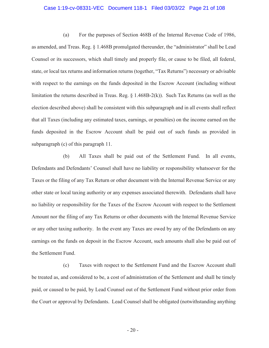## Case 1:19-cv-08331-VEC Document 118-1 Filed 03/03/22 Page 21 of 108

(a) For the purposes of Section 468B of the Internal Revenue Code of 1986, as amended, and Treas. Reg. § 1.468B promulgated thereunder, the "administrator" shall be Lead Counsel or its successors, which shall timely and properly file, or cause to be filed, all federal, state, or local tax returns and information returns (together, "Tax Returns") necessary or advisable with respect to the earnings on the funds deposited in the Escrow Account (including without limitation the returns described in Treas. Reg. § 1.468B-2(k)). Such Tax Returns (as well as the election described above) shall be consistent with this subparagraph and in all events shall reflect that all Taxes (including any estimated taxes, earnings, or penalties) on the income earned on the funds deposited in the Escrow Account shall be paid out of such funds as provided in subparagraph (c) of this paragraph 11.

(b) All Taxes shall be paid out of the Settlement Fund. In all events, Defendants and Defendants' Counsel shall have no liability or responsibility whatsoever for the Taxes or the filing of any Tax Return or other document with the Internal Revenue Service or any other state or local taxing authority or any expenses associated therewith. Defendants shall have no liability or responsibility for the Taxes of the Escrow Account with respect to the Settlement Amount nor the filing of any Tax Returns or other documents with the Internal Revenue Service or any other taxing authority. In the event any Taxes are owed by any of the Defendants on any earnings on the funds on deposit in the Escrow Account, such amounts shall also be paid out of the Settlement Fund.

(c) Taxes with respect to the Settlement Fund and the Escrow Account shall be treated as, and considered to be, a cost of administration of the Settlement and shall be timely paid, or caused to be paid, by Lead Counsel out of the Settlement Fund without prior order from the Court or approval by Defendants. Lead Counsel shall be obligated (notwithstanding anything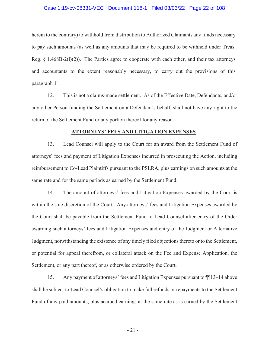## Case 1:19-cv-08331-VEC Document 118-1 Filed 03/03/22 Page 22 of 108

herein to the contrary) to withhold from distribution to Authorized Claimants any funds necessary to pay such amounts (as well as any amounts that may be required to be withheld under Treas. Reg.  $\S$  1.468B-2(1)(2)). The Parties agree to cooperate with each other, and their tax attorneys and accountants to the extent reasonably necessary, to carry out the provisions of this paragraph 11.

12. This is not a claims-made settlement. As of the Effective Date, Defendants, and/or any other Person funding the Settlement on a Defendant's behalf, shall not have any right to the return of the Settlement Fund or any portion thereof for any reason.

#### **ATTORNEYS' FEES AND LITIGATION EXPENSES**

13. Lead Counsel will apply to the Court for an award from the Settlement Fund of attorneys' fees and payment of Litigation Expenses incurred in prosecuting the Action, including reimbursement to Co-Lead Plaintiffs pursuant to the PSLRA, plus earnings on such amounts at the same rate and for the same periods as earned by the Settlement Fund.

14. The amount of attorneys' fees and Litigation Expenses awarded by the Court is within the sole discretion of the Court. Any attorneys' fees and Litigation Expenses awarded by the Court shall be payable from the Settlement Fund to Lead Counsel after entry of the Order awarding such attorneys' fees and Litigation Expenses and entry of the Judgment or Alternative Judgment, notwithstanding the existence of any timely filed objections thereto or to the Settlement, or potential for appeal therefrom, or collateral attack on the Fee and Expense Application, the Settlement, or any part thereof, or as otherwise ordered by the Court.

15. Any payment of attorneys' fees and Litigation Expenses pursuant to ¶¶13–14 above shall be subject to Lead Counsel's obligation to make full refunds or repayments to the Settlement Fund of any paid amounts, plus accrued earnings at the same rate as is earned by the Settlement

- 21 -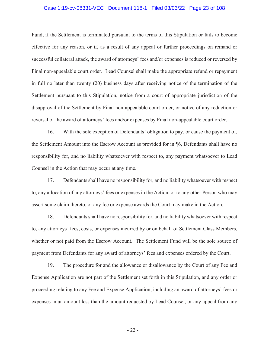#### Case 1:19-cv-08331-VEC Document 118-1 Filed 03/03/22 Page 23 of 108

Fund, if the Settlement is terminated pursuant to the terms of this Stipulation or fails to become effective for any reason, or if, as a result of any appeal or further proceedings on remand or successful collateral attack, the award of attorneys' fees and/or expenses is reduced or reversed by Final non-appealable court order. Lead Counsel shall make the appropriate refund or repayment in full no later than twenty (20) business days after receiving notice of the termination of the Settlement pursuant to this Stipulation, notice from a court of appropriate jurisdiction of the disapproval of the Settlement by Final non-appealable court order, or notice of any reduction or reversal of the award of attorneys' fees and/or expenses by Final non-appealable court order.

16. With the sole exception of Defendants' obligation to pay, or cause the payment of, the Settlement Amount into the Escrow Account as provided for in ¶6, Defendants shall have no responsibility for, and no liability whatsoever with respect to, any payment whatsoever to Lead Counsel in the Action that may occur at any time.

17. Defendants shall have no responsibility for, and no liability whatsoever with respect to, any allocation of any attorneys' fees or expenses in the Action, or to any other Person who may assert some claim thereto, or any fee or expense awards the Court may make in the Action.

18. Defendants shall have no responsibility for, and no liability whatsoever with respect to, any attorneys' fees, costs, or expenses incurred by or on behalf of Settlement Class Members, whether or not paid from the Escrow Account. The Settlement Fund will be the sole source of payment from Defendants for any award of attorneys' fees and expenses ordered by the Court.

19. The procedure for and the allowance or disallowance by the Court of any Fee and Expense Application are not part of the Settlement set forth in this Stipulation, and any order or proceeding relating to any Fee and Expense Application, including an award of attorneys' fees or expenses in an amount less than the amount requested by Lead Counsel, or any appeal from any

- 22 -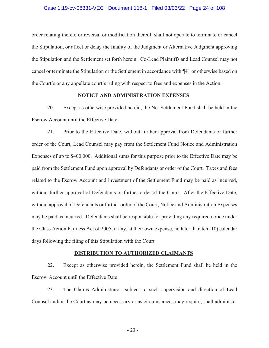#### Case 1:19-cv-08331-VEC Document 118-1 Filed 03/03/22 Page 24 of 108

order relating thereto or reversal or modification thereof, shall not operate to terminate or cancel the Stipulation, or affect or delay the finality of the Judgment or Alternative Judgment approving the Stipulation and the Settlement set forth herein. Co-Lead Plaintiffs and Lead Counsel may not cancel or terminate the Stipulation or the Settlement in accordance with ¶41 or otherwise based on the Court's or any appellate court's ruling with respect to fees and expenses in the Action.

# **NOTICE AND ADMINISTRATION EXPENSES**

20. Except as otherwise provided herein, the Net Settlement Fund shall be held in the Escrow Account until the Effective Date.

21. Prior to the Effective Date, without further approval from Defendants or further order of the Court, Lead Counsel may pay from the Settlement Fund Notice and Administration Expenses of up to \$400,000. Additional sums for this purpose prior to the Effective Date may be paid from the Settlement Fund upon approval by Defendants or order of the Court. Taxes and fees related to the Escrow Account and investment of the Settlement Fund may be paid as incurred, without further approval of Defendants or further order of the Court. After the Effective Date, without approval of Defendants or further order of the Court, Notice and Administration Expenses may be paid as incurred. Defendants shall be responsible for providing any required notice under the Class Action Fairness Act of 2005, if any, at their own expense, no later than ten (10) calendar days following the filing of this Stipulation with the Court.

#### **DISTRIBUTION TO AUTHORIZED CLAIMANTS**

22. Except as otherwise provided herein, the Settlement Fund shall be held in the Escrow Account until the Effective Date.

23. The Claims Administrator, subject to such supervision and direction of Lead Counsel and/or the Court as may be necessary or as circumstances may require, shall administer

- 23 -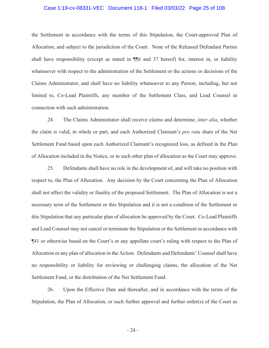## Case 1:19-cv-08331-VEC Document 118-1 Filed 03/03/22 Page 25 of 108

the Settlement in accordance with the terms of this Stipulation, the Court-approved Plan of Allocation, and subject to the jurisdiction of the Court. None of the Released Defendant Parties shall have responsibility (except as stated in ¶¶6 and 37 hereof) for, interest in, or liability whatsoever with respect to the administration of the Settlement or the actions or decisions of the Claims Administrator, and shall have no liability whatsoever to any Person, including, but not limited to, Co-Lead Plaintiffs, any member of the Settlement Class, and Lead Counsel in connection with such administration.

24. The Claims Administrator shall receive claims and determine, *inter alia*, whether the claim is valid, in whole or part, and each Authorized Claimant's *pro rata* share of the Net Settlement Fund based upon each Authorized Claimant's recognized loss, as defined in the Plan of Allocation included in the Notice, or in such other plan of allocation as the Court may approve.

25. Defendants shall have no role in the development of, and will take no position with respect to, the Plan of Allocation. Any decision by the Court concerning the Plan of Allocation shall not affect the validity or finality of the proposed Settlement. The Plan of Allocation is not a necessary term of the Settlement or this Stipulation and it is not a condition of the Settlement or this Stipulation that any particular plan of allocation be approved by the Court. Co-Lead Plaintiffs and Lead Counsel may not cancel or terminate the Stipulation or the Settlement in accordance with ¶41 or otherwise based on the Court's or any appellate court's ruling with respect to the Plan of Allocation or any plan of allocation in the Action. Defendants and Defendants' Counsel shall have no responsibility or liability for reviewing or challenging claims, the allocation of the Net Settlement Fund, or the distribution of the Net Settlement Fund.

26. Upon the Effective Date and thereafter, and in accordance with the terms of the Stipulation, the Plan of Allocation, or such further approval and further order(s) of the Court as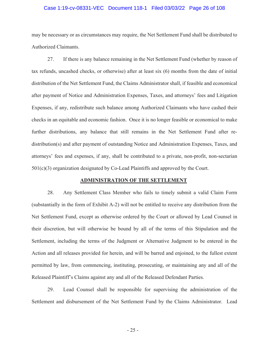## Case 1:19-cv-08331-VEC Document 118-1 Filed 03/03/22 Page 26 of 108

may be necessary or as circumstances may require, the Net Settlement Fund shall be distributed to Authorized Claimants.

27. If there is any balance remaining in the Net Settlement Fund (whether by reason of tax refunds, uncashed checks, or otherwise) after at least six (6) months from the date of initial distribution of the Net Settlement Fund, the Claims Administrator shall, if feasible and economical after payment of Notice and Administration Expenses, Taxes, and attorneys' fees and Litigation Expenses, if any, redistribute such balance among Authorized Claimants who have cashed their checks in an equitable and economic fashion. Once it is no longer feasible or economical to make further distributions, any balance that still remains in the Net Settlement Fund after redistribution(s) and after payment of outstanding Notice and Administration Expenses, Taxes, and attorneys' fees and expenses, if any, shall be contributed to a private, non-profit, non-sectarian  $501(c)(3)$  organization designated by Co-Lead Plaintiffs and approved by the Court.

## **ADMINISTRATION OF THE SETTLEMENT**

28. Any Settlement Class Member who fails to timely submit a valid Claim Form (substantially in the form of Exhibit A-2) will not be entitled to receive any distribution from the Net Settlement Fund, except as otherwise ordered by the Court or allowed by Lead Counsel in their discretion, but will otherwise be bound by all of the terms of this Stipulation and the Settlement, including the terms of the Judgment or Alternative Judgment to be entered in the Action and all releases provided for herein, and will be barred and enjoined, to the fullest extent permitted by law, from commencing, instituting, prosecuting, or maintaining any and all of the Released Plaintiff's Claims against any and all of the Released Defendant Parties.

29. Lead Counsel shall be responsible for supervising the administration of the Settlement and disbursement of the Net Settlement Fund by the Claims Administrator. Lead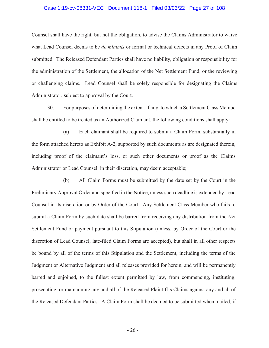## Case 1:19-cv-08331-VEC Document 118-1 Filed 03/03/22 Page 27 of 108

Counsel shall have the right, but not the obligation, to advise the Claims Administrator to waive what Lead Counsel deems to be *de minimis* or formal or technical defects in any Proof of Claim submitted. The Released Defendant Parties shall have no liability, obligation or responsibility for the administration of the Settlement, the allocation of the Net Settlement Fund, or the reviewing or challenging claims. Lead Counsel shall be solely responsible for designating the Claims Administrator, subject to approval by the Court.

30. For purposes of determining the extent, if any, to which a Settlement Class Member shall be entitled to be treated as an Authorized Claimant, the following conditions shall apply:

(a) Each claimant shall be required to submit a Claim Form, substantially in the form attached hereto as Exhibit A-2, supported by such documents as are designated therein, including proof of the claimant's loss, or such other documents or proof as the Claims Administrator or Lead Counsel, in their discretion, may deem acceptable;

(b) All Claim Forms must be submitted by the date set by the Court in the Preliminary Approval Order and specified in the Notice, unless such deadline is extended by Lead Counsel in its discretion or by Order of the Court. Any Settlement Class Member who fails to submit a Claim Form by such date shall be barred from receiving any distribution from the Net Settlement Fund or payment pursuant to this Stipulation (unless, by Order of the Court or the discretion of Lead Counsel, late-filed Claim Forms are accepted), but shall in all other respects be bound by all of the terms of this Stipulation and the Settlement, including the terms of the Judgment or Alternative Judgment and all releases provided for herein, and will be permanently barred and enjoined, to the fullest extent permitted by law, from commencing, instituting, prosecuting, or maintaining any and all of the Released Plaintiff's Claims against any and all of the Released Defendant Parties. A Claim Form shall be deemed to be submitted when mailed, if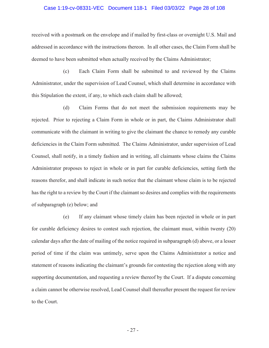#### Case 1:19-cv-08331-VEC Document 118-1 Filed 03/03/22 Page 28 of 108

received with a postmark on the envelope and if mailed by first-class or overnight U.S. Mail and addressed in accordance with the instructions thereon. In all other cases, the Claim Form shall be deemed to have been submitted when actually received by the Claims Administrator;

(c) Each Claim Form shall be submitted to and reviewed by the Claims Administrator, under the supervision of Lead Counsel, which shall determine in accordance with this Stipulation the extent, if any, to which each claim shall be allowed;

(d) Claim Forms that do not meet the submission requirements may be rejected. Prior to rejecting a Claim Form in whole or in part, the Claims Administrator shall communicate with the claimant in writing to give the claimant the chance to remedy any curable deficiencies in the Claim Form submitted. The Claims Administrator, under supervision of Lead Counsel, shall notify, in a timely fashion and in writing, all claimants whose claims the Claims Administrator proposes to reject in whole or in part for curable deficiencies, setting forth the reasons therefor, and shall indicate in such notice that the claimant whose claim is to be rejected has the right to a review by the Court if the claimant so desires and complies with the requirements of subparagraph (e) below; and

(e) If any claimant whose timely claim has been rejected in whole or in part for curable deficiency desires to contest such rejection, the claimant must, within twenty (20) calendar days after the date of mailing of the notice required in subparagraph (d) above, or a lesser period of time if the claim was untimely, serve upon the Claims Administrator a notice and statement of reasons indicating the claimant's grounds for contesting the rejection along with any supporting documentation, and requesting a review thereof by the Court. If a dispute concerning a claim cannot be otherwise resolved, Lead Counsel shall thereafter present the request for review to the Court.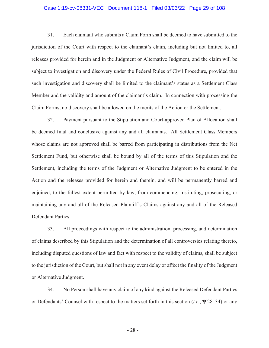## Case 1:19-cv-08331-VEC Document 118-1 Filed 03/03/22 Page 29 of 108

31. Each claimant who submits a Claim Form shall be deemed to have submitted to the jurisdiction of the Court with respect to the claimant's claim, including but not limited to, all releases provided for herein and in the Judgment or Alternative Judgment, and the claim will be subject to investigation and discovery under the Federal Rules of Civil Procedure, provided that such investigation and discovery shall be limited to the claimant's status as a Settlement Class Member and the validity and amount of the claimant's claim. In connection with processing the Claim Forms, no discovery shall be allowed on the merits of the Action or the Settlement.

32. Payment pursuant to the Stipulation and Court-approved Plan of Allocation shall be deemed final and conclusive against any and all claimants. All Settlement Class Members whose claims are not approved shall be barred from participating in distributions from the Net Settlement Fund, but otherwise shall be bound by all of the terms of this Stipulation and the Settlement, including the terms of the Judgment or Alternative Judgment to be entered in the Action and the releases provided for herein and therein, and will be permanently barred and enjoined, to the fullest extent permitted by law, from commencing, instituting, prosecuting, or maintaining any and all of the Released Plaintiff's Claims against any and all of the Released Defendant Parties.

33. All proceedings with respect to the administration, processing, and determination of claims described by this Stipulation and the determination of all controversies relating thereto, including disputed questions of law and fact with respect to the validity of claims, shall be subject to the jurisdiction of the Court, but shall not in any event delay or affect the finality of the Judgment or Alternative Judgment.

34. No Person shall have any claim of any kind against the Released Defendant Parties or Defendants' Counsel with respect to the matters set forth in this section (*i.e.*, ¶¶28–34) or any

- 28 -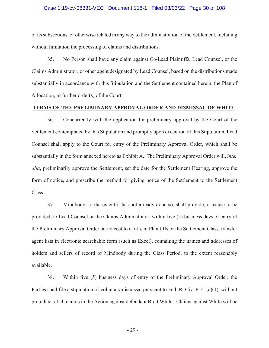#### Case 1:19-cv-08331-VEC Document 118-1 Filed 03/03/22 Page 30 of 108

of its subsections, or otherwise related in any way to the administration of the Settlement, including without limitation the processing of claims and distributions.

35. No Person shall have any claim against Co-Lead Plaintiffs, Lead Counsel, or the Claims Administrator, or other agent designated by Lead Counsel, based on the distributions made substantially in accordance with this Stipulation and the Settlement contained herein, the Plan of Allocation, or further order(s) of the Court.

#### **TERMS OF THE PRELIMINARY APPROVAL ORDER AND DISMISSAL OF WHITE**

36. Concurrently with the application for preliminary approval by the Court of the Settlement contemplated by this Stipulation and promptly upon execution of this Stipulation, Lead Counsel shall apply to the Court for entry of the Preliminary Approval Order, which shall be substantially in the form annexed hereto as Exhibit A. The Preliminary Approval Order will, *inter alia*, preliminarily approve the Settlement, set the date for the Settlement Hearing, approve the form of notice, and prescribe the method for giving notice of the Settlement to the Settlement Class.

37. Mindbody, to the extent it has not already done so, shall provide, or cause to be provided, to Lead Counsel or the Claims Administrator, within five (5) business days of entry of the Preliminary Approval Order, at no cost to Co-Lead Plaintiffs or the Settlement Class, transfer agent lists in electronic searchable form (such as Excel), containing the names and addresses of holders and sellers of record of Mindbody during the Class Period, to the extent reasonably available.

38. Within five (5) business days of entry of the Preliminary Approval Order, the Parties shall file a stipulation of voluntary dismissal pursuant to Fed. R. Civ. P. 41(a)(1), without prejudice, of all claims in the Action against defendant Brett White. Claims against White will be

- 29 -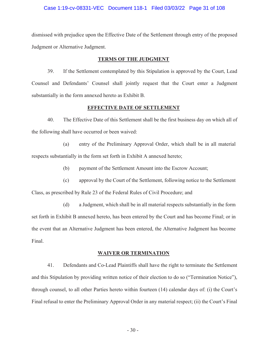#### Case 1:19-cv-08331-VEC Document 118-1 Filed 03/03/22 Page 31 of 108

dismissed with prejudice upon the Effective Date of the Settlement through entry of the proposed Judgment or Alternative Judgment.

#### **TERMS OF THE JUDGMENT**

39. If the Settlement contemplated by this Stipulation is approved by the Court, Lead Counsel and Defendants' Counsel shall jointly request that the Court enter a Judgment substantially in the form annexed hereto as Exhibit B.

## **EFFECTIVE DATE OF SETTLEMENT**

40. The Effective Date of this Settlement shall be the first business day on which all of the following shall have occurred or been waived:

(a) entry of the Preliminary Approval Order, which shall be in all material respects substantially in the form set forth in Exhibit A annexed hereto;

(b) payment of the Settlement Amount into the Escrow Account;

(c) approval by the Court of the Settlement, following notice to the Settlement

Class, as prescribed by Rule 23 of the Federal Rules of Civil Procedure; and

(d) a Judgment, which shall be in all material respects substantially in the form set forth in Exhibit B annexed hereto, has been entered by the Court and has become Final; or in the event that an Alternative Judgment has been entered, the Alternative Judgment has become Final.

#### **WAIVER OR TERMINATION**

41. Defendants and Co-Lead Plaintiffs shall have the right to terminate the Settlement and this Stipulation by providing written notice of their election to do so ("Termination Notice"), through counsel, to all other Parties hereto within fourteen (14) calendar days of: (i) the Court's Final refusal to enter the Preliminary Approval Order in any material respect; (ii) the Court's Final

- 30 -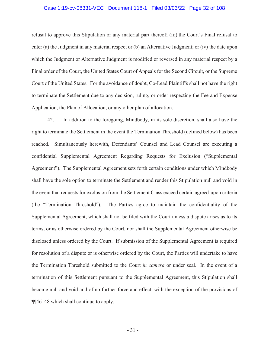## Case 1:19-cv-08331-VEC Document 118-1 Filed 03/03/22 Page 32 of 108

refusal to approve this Stipulation or any material part thereof; (iii) the Court's Final refusal to enter (a) the Judgment in any material respect or (b) an Alternative Judgment; or (iv) the date upon which the Judgment or Alternative Judgment is modified or reversed in any material respect by a Final order of the Court, the United States Court of Appeals for the Second Circuit, or the Supreme Court of the United States. For the avoidance of doubt, Co-Lead Plaintiffs shall not have the right to terminate the Settlement due to any decision, ruling, or order respecting the Fee and Expense Application, the Plan of Allocation, or any other plan of allocation.

42. In addition to the foregoing, Mindbody, in its sole discretion, shall also have the right to terminate the Settlement in the event the Termination Threshold (defined below) has been reached. Simultaneously herewith, Defendants' Counsel and Lead Counsel are executing a confidential Supplemental Agreement Regarding Requests for Exclusion ("Supplemental Agreement"). The Supplemental Agreement sets forth certain conditions under which Mindbody shall have the sole option to terminate the Settlement and render this Stipulation null and void in the event that requests for exclusion from the Settlement Class exceed certain agreed-upon criteria (the "Termination Threshold"). The Parties agree to maintain the confidentiality of the Supplemental Agreement, which shall not be filed with the Court unless a dispute arises as to its terms, or as otherwise ordered by the Court, nor shall the Supplemental Agreement otherwise be disclosed unless ordered by the Court. If submission of the Supplemental Agreement is required for resolution of a dispute or is otherwise ordered by the Court, the Parties will undertake to have the Termination Threshold submitted to the Court *in camera* or under seal. In the event of a termination of this Settlement pursuant to the Supplemental Agreement, this Stipulation shall become null and void and of no further force and effect, with the exception of the provisions of ¶¶46–48 which shall continue to apply.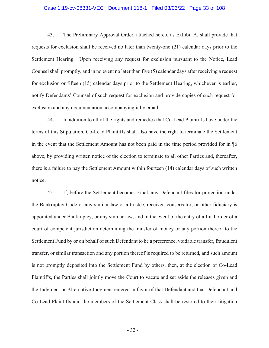## Case 1:19-cv-08331-VEC Document 118-1 Filed 03/03/22 Page 33 of 108

43. The Preliminary Approval Order, attached hereto as Exhibit A, shall provide that requests for exclusion shall be received no later than twenty-one (21) calendar days prior to the Settlement Hearing. Upon receiving any request for exclusion pursuant to the Notice, Lead Counsel shall promptly, and in no event no later than five (5) calendar days after receiving a request for exclusion or fifteen (15) calendar days prior to the Settlement Hearing, whichever is earlier, notify Defendants' Counsel of such request for exclusion and provide copies of such request for exclusion and any documentation accompanying it by email.

44. In addition to all of the rights and remedies that Co-Lead Plaintiffs have under the terms of this Stipulation, Co-Lead Plaintiffs shall also have the right to terminate the Settlement in the event that the Settlement Amount has not been paid in the time period provided for in ¶6 above, by providing written notice of the election to terminate to all other Parties and, thereafter, there is a failure to pay the Settlement Amount within fourteen (14) calendar days of such written notice.

45. If, before the Settlement becomes Final, any Defendant files for protection under the Bankruptcy Code or any similar law or a trustee, receiver, conservator, or other fiduciary is appointed under Bankruptcy, or any similar law, and in the event of the entry of a final order of a court of competent jurisdiction determining the transfer of money or any portion thereof to the Settlement Fund by or on behalf of such Defendant to be a preference, voidable transfer, fraudulent transfer, or similar transaction and any portion thereof is required to be returned, and such amount is not promptly deposited into the Settlement Fund by others, then, at the election of Co-Lead Plaintiffs, the Parties shall jointly move the Court to vacate and set aside the releases given and the Judgment or Alternative Judgment entered in favor of that Defendant and that Defendant and Co-Lead Plaintiffs and the members of the Settlement Class shall be restored to their litigation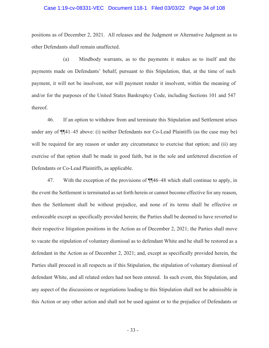#### Case 1:19-cv-08331-VEC Document 118-1 Filed 03/03/22 Page 34 of 108

positions as of December 2, 2021. All releases and the Judgment or Alternative Judgment as to other Defendants shall remain unaffected.

(a) Mindbody warrants, as to the payments it makes as to itself and the payments made on Defendants' behalf, pursuant to this Stipulation, that, at the time of such payment, it will not be insolvent, nor will payment render it insolvent, within the meaning of and/or for the purposes of the United States Bankruptcy Code, including Sections 101 and 547 thereof.

46. If an option to withdraw from and terminate this Stipulation and Settlement arises under any of ¶¶41–45 above: (i) neither Defendants nor Co-Lead Plaintiffs (as the case may be) will be required for any reason or under any circumstance to exercise that option; and (ii) any exercise of that option shall be made in good faith, but in the sole and unfettered discretion of Defendants or Co-Lead Plaintiffs, as applicable.

47. With the exception of the provisions of ¶¶46–48 which shall continue to apply, in the event the Settlement is terminated as set forth herein or cannot become effective for any reason, then the Settlement shall be without prejudice, and none of its terms shall be effective or enforceable except as specifically provided herein; the Parties shall be deemed to have reverted to their respective litigation positions in the Action as of December 2, 2021; the Parties shall move to vacate the stipulation of voluntary dismissal as to defendant White and he shall be restored as a defendant in the Action as of December 2, 2021; and, except as specifically provided herein, the Parties shall proceed in all respects as if this Stipulation, the stipulation of voluntary dismissal of defendant White, and all related orders had not been entered. In such event, this Stipulation, and any aspect of the discussions or negotiations leading to this Stipulation shall not be admissible in this Action or any other action and shall not be used against or to the prejudice of Defendants or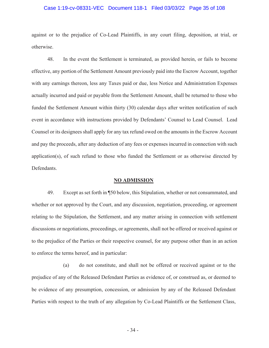#### Case 1:19-cv-08331-VEC Document 118-1 Filed 03/03/22 Page 35 of 108

against or to the prejudice of Co-Lead Plaintiffs, in any court filing, deposition, at trial, or otherwise.

48. In the event the Settlement is terminated, as provided herein, or fails to become effective, any portion of the Settlement Amount previously paid into the Escrow Account, together with any earnings thereon, less any Taxes paid or due, less Notice and Administration Expenses actually incurred and paid or payable from the Settlement Amount, shall be returned to those who funded the Settlement Amount within thirty (30) calendar days after written notification of such event in accordance with instructions provided by Defendants' Counsel to Lead Counsel. Lead Counsel or its designees shall apply for any tax refund owed on the amounts in the Escrow Account and pay the proceeds, after any deduction of any fees or expenses incurred in connection with such application(s), of such refund to those who funded the Settlement or as otherwise directed by Defendants.

# **NO ADMISSION**

49. Except as set forth in ¶50 below, this Stipulation, whether or not consummated, and whether or not approved by the Court, and any discussion, negotiation, proceeding, or agreement relating to the Stipulation, the Settlement, and any matter arising in connection with settlement discussions or negotiations, proceedings, or agreements, shall not be offered or received against or to the prejudice of the Parties or their respective counsel, for any purpose other than in an action to enforce the terms hereof, and in particular:

(a) do not constitute, and shall not be offered or received against or to the prejudice of any of the Released Defendant Parties as evidence of, or construed as, or deemed to be evidence of any presumption, concession, or admission by any of the Released Defendant Parties with respect to the truth of any allegation by Co-Lead Plaintiffs or the Settlement Class,

- 34 -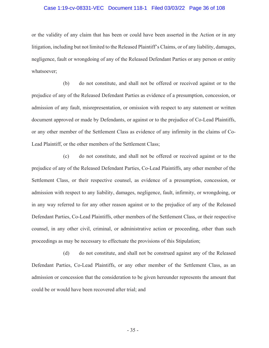#### Case 1:19-cv-08331-VEC Document 118-1 Filed 03/03/22 Page 36 of 108

or the validity of any claim that has been or could have been asserted in the Action or in any litigation, including but not limited to the Released Plaintiff's Claims, or of any liability, damages, negligence, fault or wrongdoing of any of the Released Defendant Parties or any person or entity whatsoever;

(b) do not constitute, and shall not be offered or received against or to the prejudice of any of the Released Defendant Parties as evidence of a presumption, concession, or admission of any fault, misrepresentation, or omission with respect to any statement or written document approved or made by Defendants, or against or to the prejudice of Co-Lead Plaintiffs, or any other member of the Settlement Class as evidence of any infirmity in the claims of Co-Lead Plaintiff, or the other members of the Settlement Class;

(c) do not constitute, and shall not be offered or received against or to the prejudice of any of the Released Defendant Parties, Co-Lead Plaintiffs, any other member of the Settlement Class, or their respective counsel, as evidence of a presumption, concession, or admission with respect to any liability, damages, negligence, fault, infirmity, or wrongdoing, or in any way referred to for any other reason against or to the prejudice of any of the Released Defendant Parties, Co-Lead Plaintiffs, other members of the Settlement Class, or their respective counsel, in any other civil, criminal, or administrative action or proceeding, other than such proceedings as may be necessary to effectuate the provisions of this Stipulation;

(d) do not constitute, and shall not be construed against any of the Released Defendant Parties, Co-Lead Plaintiffs, or any other member of the Settlement Class, as an admission or concession that the consideration to be given hereunder represents the amount that could be or would have been recovered after trial; and

- 35 -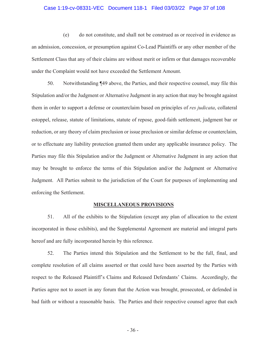#### Case 1:19-cv-08331-VEC Document 118-1 Filed 03/03/22 Page 37 of 108

(e) do not constitute, and shall not be construed as or received in evidence as an admission, concession, or presumption against Co-Lead Plaintiffs or any other member of the Settlement Class that any of their claims are without merit or infirm or that damages recoverable under the Complaint would not have exceeded the Settlement Amount.

50. Notwithstanding ¶49 above, the Parties, and their respective counsel, may file this Stipulation and/or the Judgment or Alternative Judgment in any action that may be brought against them in order to support a defense or counterclaim based on principles of *res judicata*, collateral estoppel, release, statute of limitations, statute of repose, good-faith settlement, judgment bar or reduction, or any theory of claim preclusion or issue preclusion or similar defense or counterclaim, or to effectuate any liability protection granted them under any applicable insurance policy. The Parties may file this Stipulation and/or the Judgment or Alternative Judgment in any action that may be brought to enforce the terms of this Stipulation and/or the Judgment or Alternative Judgment. All Parties submit to the jurisdiction of the Court for purposes of implementing and enforcing the Settlement.

#### **MISCELLANEOUS PROVISIONS**

51. All of the exhibits to the Stipulation (except any plan of allocation to the extent incorporated in those exhibits), and the Supplemental Agreement are material and integral parts hereof and are fully incorporated herein by this reference.

52. The Parties intend this Stipulation and the Settlement to be the full, final, and complete resolution of all claims asserted or that could have been asserted by the Parties with respect to the Released Plaintiff's Claims and Released Defendants' Claims. Accordingly, the Parties agree not to assert in any forum that the Action was brought, prosecuted, or defended in bad faith or without a reasonable basis. The Parties and their respective counsel agree that each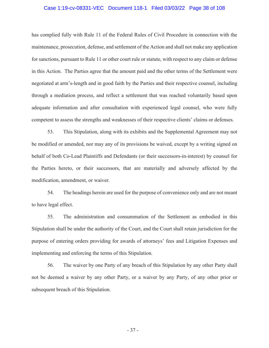#### Case 1:19-cv-08331-VEC Document 118-1 Filed 03/03/22 Page 38 of 108

has complied fully with Rule 11 of the Federal Rules of Civil Procedure in connection with the maintenance, prosecution, defense, and settlement of the Action and shall not make any application for sanctions, pursuant to Rule 11 or other court rule or statute, with respect to any claim or defense in this Action. The Parties agree that the amount paid and the other terms of the Settlement were negotiated at arm's-length and in good faith by the Parties and their respective counsel, including through a mediation process, and reflect a settlement that was reached voluntarily based upon adequate information and after consultation with experienced legal counsel, who were fully competent to assess the strengths and weaknesses of their respective clients' claims or defenses.

53. This Stipulation, along with its exhibits and the Supplemental Agreement may not be modified or amended, nor may any of its provisions be waived, except by a writing signed on behalf of both Co-Lead Plaintiffs and Defendants (or their successors-in-interest) by counsel for the Parties hereto, or their successors, that are materially and adversely affected by the modification, amendment, or waiver.

54. The headings herein are used for the purpose of convenience only and are not meant to have legal effect.

55. The administration and consummation of the Settlement as embodied in this Stipulation shall be under the authority of the Court, and the Court shall retain jurisdiction for the purpose of entering orders providing for awards of attorneys' fees and Litigation Expenses and implementing and enforcing the terms of this Stipulation.

56. The waiver by one Party of any breach of this Stipulation by any other Party shall not be deemed a waiver by any other Party, or a waiver by any Party, of any other prior or subsequent breach of this Stipulation.

- 37 -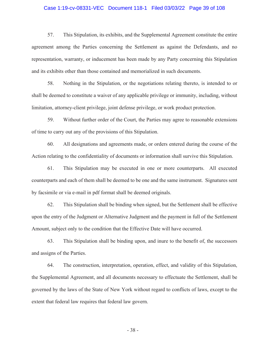#### Case 1:19-cv-08331-VEC Document 118-1 Filed 03/03/22 Page 39 of 108

57. This Stipulation, its exhibits, and the Supplemental Agreement constitute the entire agreement among the Parties concerning the Settlement as against the Defendants, and no representation, warranty, or inducement has been made by any Party concerning this Stipulation and its exhibits other than those contained and memorialized in such documents.

58. Nothing in the Stipulation, or the negotiations relating thereto, is intended to or shall be deemed to constitute a waiver of any applicable privilege or immunity, including, without limitation, attorney-client privilege, joint defense privilege, or work product protection.

59. Without further order of the Court, the Parties may agree to reasonable extensions of time to carry out any of the provisions of this Stipulation.

60. All designations and agreements made, or orders entered during the course of the Action relating to the confidentiality of documents or information shall survive this Stipulation.

61. This Stipulation may be executed in one or more counterparts. All executed counterparts and each of them shall be deemed to be one and the same instrument. Signatures sent by facsimile or via e-mail in pdf format shall be deemed originals.

62. This Stipulation shall be binding when signed, but the Settlement shall be effective upon the entry of the Judgment or Alternative Judgment and the payment in full of the Settlement Amount, subject only to the condition that the Effective Date will have occurred.

63. This Stipulation shall be binding upon, and inure to the benefit of, the successors and assigns of the Parties.

64. The construction, interpretation, operation, effect, and validity of this Stipulation, the Supplemental Agreement, and all documents necessary to effectuate the Settlement, shall be governed by the laws of the State of New York without regard to conflicts of laws, except to the extent that federal law requires that federal law govern.

- 38 -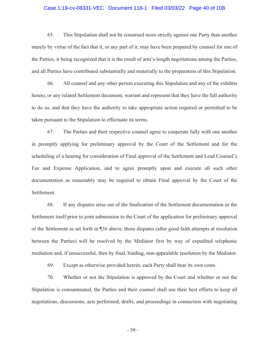#### Case 1:19-cv-08331-VEC Document 118-1 Filed 03/03/22 Page 40 of 108

65. This Stipulation shall not be construed more strictly against one Party than another merely by virtue of the fact that it, or any part of it, may have been prepared by counsel for one of the Parties, it being recognized that it is the result of arm's-length negotiations among the Parties, and all Parties have contributed substantially and materially to the preparation of this Stipulation.

66. All counsel and any other person executing this Stipulation and any of the exhibits hereto, or any related Settlement document, warrant and represent that they have the full authority to do so, and that they have the authority to take appropriate action required or permitted to be taken pursuant to the Stipulation to effectuate its terms.

67. The Parties and their respective counsel agree to cooperate fully with one another in promptly applying for preliminary approval by the Court of the Settlement and for the scheduling of a hearing for consideration of Final approval of the Settlement and Lead Counsel's Fee and Expense Application, and to agree promptly upon and execute all such other documentation as reasonably may be required to obtain Final approval by the Court of the Settlement.

68. If any disputes arise out of the finalization of the Settlement documentation or the Settlement itself prior to joint submission to the Court of the application for preliminary approval of the Settlement as set forth in ¶36 above, those disputes (after good faith attempts at resolution between the Parties) will be resolved by the Mediator first by way of expedited telephonic mediation and, if unsuccessful, then by final, binding, non-appealable resolution by the Mediator.

69. Except as otherwise provided herein, each Party shall bear its own costs.

70. Whether or not the Stipulation is approved by the Court and whether or not the Stipulation is consummated, the Parties and their counsel shall use their best efforts to keep all negotiations, discussions, acts performed, drafts, and proceedings in connection with negotiating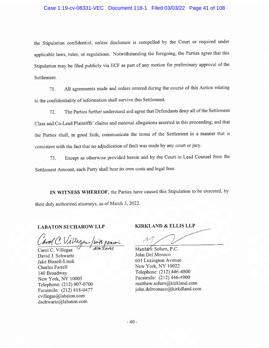### Case 1:19-cv-08331-VEC Document 118-1 Filed 03/03/22 Page 41 of 108

the Stipulation confidential, unless disclosure is compelled by the Court or required under applicable laws, rules, or regulations. Notwithstanding the foregoing, the Parties agree that this Stipulation may be filed publicly via ECF as part of any motion for preliminary approval of the Settlement.

All agreements made and orders entered during the course of this Action relating 71. to the confidentiality of information shall survive this Settlement.

The Parties further understand and agree that Defendants deny all of the Settlement 72. Class and Co-Lead Plaintiffs' claims and material allegations asserted in this proceeding; and that the Parties shall, in good faith, communicate the terms of the Settlement in a manner that is consistent with the fact that no adjudication of fault was made by any court or jury.

Except as otherwise provided herein and by the Court to Lead Counsel from the 73. Settlement Amount, each Party shall bear its own costs and legal fees.

IN WITNESS WHEREOF, the Parties have caused this Stipulation to be executed, by their duly authorized attorneys, as of March 3, 2022.

#### **LABATON SUCHAROW LLP**

Villega

Carol C. Villegas David J. Schwartz Jake Bissell-Linsk **Charles Farrell** 140 Broadway New York, NY 10005 Telephone: (212) 907-0700 Facsimile: (212) 818-0477 cvillegas@labaton.com dschwartz@labaton.com

**KIRKLAND & ELLIS LLP** 

Matthéw Solum, P.C. John Del Monaco 601 Lexington Avenue New York, NY 10022 Telephone: (212) 446-4800 Facsimile: (212) 446-4900 matthew.solum@kirkland.com iohn.delmonaco@kirkdland.com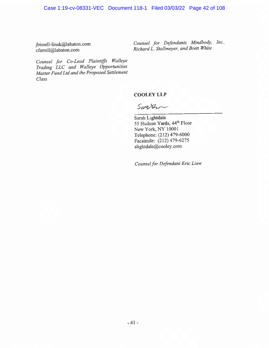jbissell-linsk@labaton.com cfarrell@labaton.com

Counsel for Defendants Mindbody, Inc., Richard L. Stollmeyer, and Brett White

Counsel for Co-Lead Plaintiffs Walleye Trading LLC and Walleye Opportunities Master Fund Ltd and the Proposed Settlement Class

**COOLEY LLP** 

Santen

Sarah Lightdale 55 Hudson Yards, 44th Floor New York, NY 10001 Telephone: (212) 479-6000 Facsimile: (212) 479-6275 slightdale@cooley.com

Counsel for Defendant Eric Liaw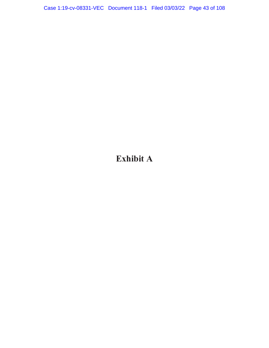# **Exhibit A**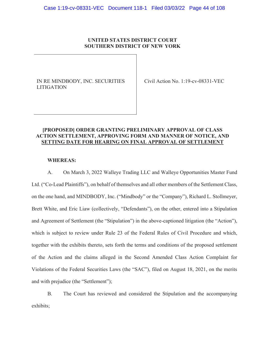# **UNITED STATES DISTRICT COURT SOUTHERN DISTRICT OF NEW YORK**

IN RE MINDBODY, INC. SECURITIES LITIGATION

Civil Action No. 1:19-cv-08331-VEC

# **[PROPOSED] ORDER GRANTING PRELIMINARY APPROVAL OF CLASS ACTION SETTLEMENT, APPROVING FORM AND MANNER OF NOTICE, AND SETTING DATE FOR HEARING ON FINAL APPROVAL OF SETTLEMENT**

# **WHEREAS:**

A. On March 3, 2022 Walleye Trading LLC and Walleye Opportunities Master Fund Ltd. ("Co-Lead Plaintiffs"), on behalf of themselves and all other members of the Settlement Class, on the one hand, and MINDBODY, Inc. ("Mindbody" or the "Company"), Richard L. Stollmeyer, Brett White, and Eric Liaw (collectively, "Defendants"), on the other, entered into a Stipulation and Agreement of Settlement (the "Stipulation") in the above-captioned litigation (the "Action"), which is subject to review under Rule 23 of the Federal Rules of Civil Procedure and which, together with the exhibits thereto, sets forth the terms and conditions of the proposed settlement of the Action and the claims alleged in the Second Amended Class Action Complaint for Violations of the Federal Securities Laws (the "SAC"), filed on August 18, 2021, on the merits and with prejudice (the "Settlement");

B. The Court has reviewed and considered the Stipulation and the accompanying exhibits;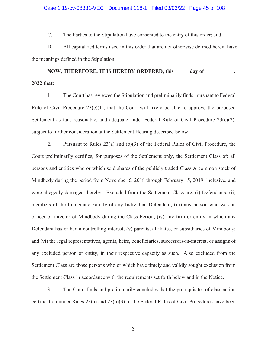#### Case 1:19-cv-08331-VEC Document 118-1 Filed 03/03/22 Page 45 of 108

C. The Parties to the Stipulation have consented to the entry of this order; and

D. All capitalized terms used in this order that are not otherwise defined herein have the meanings defined in the Stipulation.

NOW, THEREFORE, IT IS HEREBY ORDERED, this day of  $\,$ , **2022 that:** 

1. The Court has reviewed the Stipulation and preliminarily finds, pursuant to Federal Rule of Civil Procedure  $23(e)(1)$ , that the Court will likely be able to approve the proposed Settlement as fair, reasonable, and adequate under Federal Rule of Civil Procedure 23(e)(2), subject to further consideration at the Settlement Hearing described below.

2. Pursuant to Rules 23(a) and (b)(3) of the Federal Rules of Civil Procedure, the Court preliminarily certifies, for purposes of the Settlement only, the Settlement Class of: all persons and entities who or which sold shares of the publicly traded Class A common stock of Mindbody during the period from November 6, 2018 through February 15, 2019, inclusive, and were allegedly damaged thereby. Excluded from the Settlement Class are: (i) Defendants; (ii) members of the Immediate Family of any Individual Defendant; (iii) any person who was an officer or director of Mindbody during the Class Period; (iv) any firm or entity in which any Defendant has or had a controlling interest; (v) parents, affiliates, or subsidiaries of Mindbody; and (vi) the legal representatives, agents, heirs, beneficiaries, successors-in-interest, or assigns of any excluded person or entity, in their respective capacity as such. Also excluded from the Settlement Class are those persons who or which have timely and validly sought exclusion from the Settlement Class in accordance with the requirements set forth below and in the Notice.

3. The Court finds and preliminarily concludes that the prerequisites of class action certification under Rules 23(a) and 23(b)(3) of the Federal Rules of Civil Procedures have been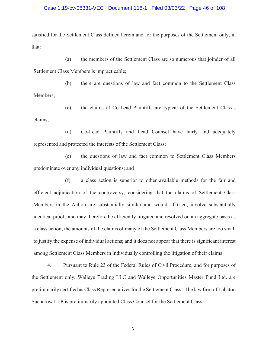#### Case 1:19-cv-08331-VEC Document 118-1 Filed 03/03/22 Page 46 of 108

satisfied for the Settlement Class defined herein and for the purposes of the Settlement only, in that:

(a) the members of the Settlement Class are so numerous that joinder of all Settlement Class Members is impracticable;

(b) there are questions of law and fact common to the Settlement Class Members;

(c) the claims of Co-Lead Plaintiffs are typical of the Settlement Class's claims;

(d) Co-Lead Plaintiffs and Lead Counsel have fairly and adequately represented and protected the interests of the Settlement Class;

(e) the questions of law and fact common to Settlement Class Members predominate over any individual questions; and

(f) a class action is superior to other available methods for the fair and efficient adjudication of the controversy, considering that the claims of Settlement Class Members in the Action are substantially similar and would, if tried, involve substantially identical proofs and may therefore be efficiently litigated and resolved on an aggregate basis as a class action; the amounts of the claims of many of the Settlement Class Members are too small to justify the expense of individual actions; and it does not appear that there is significant interest among Settlement Class Members in individually controlling the litigation of their claims.

4. Pursuant to Rule 23 of the Federal Rules of Civil Procedure, and for purposes of the Settlement only, Walleye Trading LLC and Walleye Opportunities Master Fund Ltd. are preliminarily certified as Class Representatives for the Settlement Class. The law firm of Labaton Sucharow LLP is preliminarily appointed Class Counsel for the Settlement Class.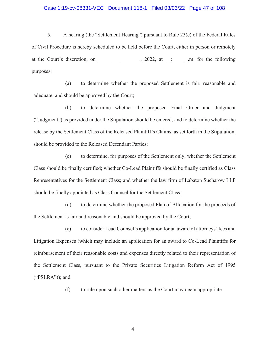#### Case 1:19-cv-08331-VEC Document 118-1 Filed 03/03/22 Page 47 of 108

5. A hearing (the "Settlement Hearing") pursuant to Rule 23(e) of the Federal Rules of Civil Procedure is hereby scheduled to be held before the Court, either in person or remotely at the Court's discretion, on \_\_\_\_\_\_\_\_\_\_\_\_, 2022, at \_:\_\_\_\_\_\_\_\_\_.m. for the following purposes:

(a) to determine whether the proposed Settlement is fair, reasonable and adequate, and should be approved by the Court;

(b) to determine whether the proposed Final Order and Judgment ("Judgment") as provided under the Stipulation should be entered, and to determine whether the release by the Settlement Class of the Released Plaintiff's Claims, as set forth in the Stipulation, should be provided to the Released Defendant Parties;

(c) to determine, for purposes of the Settlement only, whether the Settlement Class should be finally certified; whether Co-Lead Plaintiffs should be finally certified as Class Representatives for the Settlement Class; and whether the law firm of Labaton Sucharow LLP should be finally appointed as Class Counsel for the Settlement Class;

(d) to determine whether the proposed Plan of Allocation for the proceeds of the Settlement is fair and reasonable and should be approved by the Court;

(e) to consider Lead Counsel's application for an award of attorneys' fees and Litigation Expenses (which may include an application for an award to Co-Lead Plaintiffs for reimbursement of their reasonable costs and expenses directly related to their representation of the Settlement Class, pursuant to the Private Securities Litigation Reform Act of 1995 ("PSLRA")); and

(f) to rule upon such other matters as the Court may deem appropriate.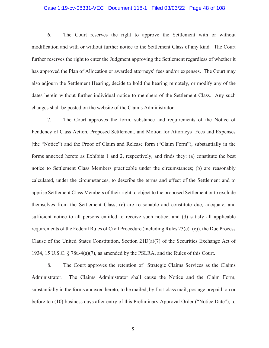#### Case 1:19-cv-08331-VEC Document 118-1 Filed 03/03/22 Page 48 of 108

6. The Court reserves the right to approve the Settlement with or without modification and with or without further notice to the Settlement Class of any kind. The Court further reserves the right to enter the Judgment approving the Settlement regardless of whether it has approved the Plan of Allocation or awarded attorneys' fees and/or expenses. The Court may also adjourn the Settlement Hearing, decide to hold the hearing remotely, or modify any of the dates herein without further individual notice to members of the Settlement Class. Any such changes shall be posted on the website of the Claims Administrator.

7. The Court approves the form, substance and requirements of the Notice of Pendency of Class Action, Proposed Settlement, and Motion for Attorneys' Fees and Expenses (the "Notice") and the Proof of Claim and Release form ("Claim Form"), substantially in the forms annexed hereto as Exhibits 1 and 2, respectively, and finds they: (a) constitute the best notice to Settlement Class Members practicable under the circumstances; (b) are reasonably calculated, under the circumstances, to describe the terms and effect of the Settlement and to apprise Settlement Class Members of their right to object to the proposed Settlement or to exclude themselves from the Settlement Class; (c) are reasonable and constitute due, adequate, and sufficient notice to all persons entitled to receive such notice; and (d) satisfy all applicable requirements of the Federal Rules of Civil Procedure (including Rules  $23(c)$ –(e)), the Due Process Clause of the United States Constitution, Section 21D(a)(7) of the Securities Exchange Act of 1934, 15 U.S.C. § 78u-4(a)(7), as amended by the PSLRA, and the Rules of this Court.

8. The Court approves the retention of Strategic Claims Services as the Claims Administrator. The Claims Administrator shall cause the Notice and the Claim Form, substantially in the forms annexed hereto, to be mailed, by first-class mail, postage prepaid, on or before ten (10) business days after entry of this Preliminary Approval Order ("Notice Date"), to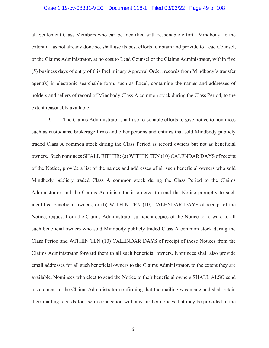#### Case 1:19-cv-08331-VEC Document 118-1 Filed 03/03/22 Page 49 of 108

all Settlement Class Members who can be identified with reasonable effort. Mindbody, to the extent it has not already done so, shall use its best efforts to obtain and provide to Lead Counsel, or the Claims Administrator, at no cost to Lead Counsel or the Claims Administrator, within five (5) business days of entry of this Preliminary Approval Order, records from Mindbody's transfer agent(s) in electronic searchable form, such as Excel, containing the names and addresses of holders and sellers of record of Mindbody Class A common stock during the Class Period, to the extent reasonably available.

9. The Claims Administrator shall use reasonable efforts to give notice to nominees such as custodians, brokerage firms and other persons and entities that sold Mindbody publicly traded Class A common stock during the Class Period as record owners but not as beneficial owners. Such nominees SHALL EITHER: (a) WITHIN TEN (10) CALENDAR DAYS of receipt of the Notice, provide a list of the names and addresses of all such beneficial owners who sold Mindbody publicly traded Class A common stock during the Class Period to the Claims Administrator and the Claims Administrator is ordered to send the Notice promptly to such identified beneficial owners; or (b) WITHIN TEN (10) CALENDAR DAYS of receipt of the Notice, request from the Claims Administrator sufficient copies of the Notice to forward to all such beneficial owners who sold Mindbody publicly traded Class A common stock during the Class Period and WITHIN TEN (10) CALENDAR DAYS of receipt of those Notices from the Claims Administrator forward them to all such beneficial owners. Nominees shall also provide email addresses for all such beneficial owners to the Claims Administrator, to the extent they are available. Nominees who elect to send the Notice to their beneficial owners SHALL ALSO send a statement to the Claims Administrator confirming that the mailing was made and shall retain their mailing records for use in connection with any further notices that may be provided in the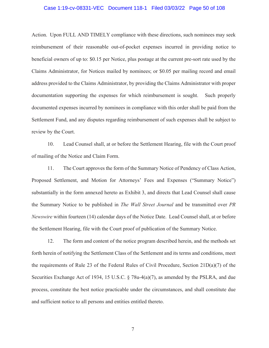#### Case 1:19-cv-08331-VEC Document 118-1 Filed 03/03/22 Page 50 of 108

Action. Upon FULL AND TIMELY compliance with these directions, such nominees may seek reimbursement of their reasonable out-of-pocket expenses incurred in providing notice to beneficial owners of up to: \$0.15 per Notice, plus postage at the current pre-sort rate used by the Claims Administrator, for Notices mailed by nominees; or \$0.05 per mailing record and email address provided to the Claims Administrator, by providing the Claims Administrator with proper documentation supporting the expenses for which reimbursement is sought. Such properly documented expenses incurred by nominees in compliance with this order shall be paid from the Settlement Fund, and any disputes regarding reimbursement of such expenses shall be subject to review by the Court.

10. Lead Counsel shall, at or before the Settlement Hearing, file with the Court proof of mailing of the Notice and Claim Form.

11. The Court approves the form of the Summary Notice of Pendency of Class Action, Proposed Settlement, and Motion for Attorneys' Fees and Expenses ("Summary Notice") substantially in the form annexed hereto as Exhibit 3, and directs that Lead Counsel shall cause the Summary Notice to be published in *The Wall Street Journal* and be transmitted over *PR Newswire* within fourteen (14) calendar days of the Notice Date. Lead Counsel shall, at or before the Settlement Hearing, file with the Court proof of publication of the Summary Notice.

12. The form and content of the notice program described herein, and the methods set forth herein of notifying the Settlement Class of the Settlement and its terms and conditions, meet the requirements of Rule 23 of the Federal Rules of Civil Procedure, Section 21D(a)(7) of the Securities Exchange Act of 1934, 15 U.S.C. § 78u-4(a)(7), as amended by the PSLRA, and due process, constitute the best notice practicable under the circumstances, and shall constitute due and sufficient notice to all persons and entities entitled thereto.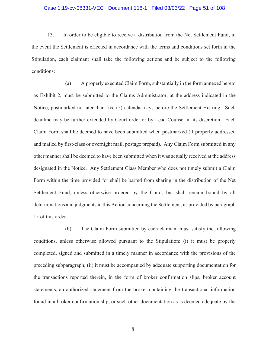#### Case 1:19-cv-08331-VEC Document 118-1 Filed 03/03/22 Page 51 of 108

13. In order to be eligible to receive a distribution from the Net Settlement Fund, in the event the Settlement is effected in accordance with the terms and conditions set forth in the Stipulation, each claimant shall take the following actions and be subject to the following conditions:

(a) A properly executed Claim Form, substantially in the form annexed hereto as Exhibit 2, must be submitted to the Claims Administrator, at the address indicated in the Notice, postmarked no later than five (5) calendar days before the Settlement Hearing. Such deadline may be further extended by Court order or by Lead Counsel in its discretion. Each Claim Form shall be deemed to have been submitted when postmarked (if properly addressed and mailed by first-class or overnight mail, postage prepaid). Any Claim Form submitted in any other manner shall be deemed to have been submitted when it was actually received at the address designated in the Notice. Any Settlement Class Member who does not timely submit a Claim Form within the time provided for shall be barred from sharing in the distribution of the Net Settlement Fund, unless otherwise ordered by the Court, but shall remain bound by all determinations and judgments in this Action concerning the Settlement, as provided by paragraph 15 of this order.

(b) The Claim Form submitted by each claimant must satisfy the following conditions, unless otherwise allowed pursuant to the Stipulation: (i) it must be properly completed, signed and submitted in a timely manner in accordance with the provisions of the preceding subparagraph; (ii) it must be accompanied by adequate supporting documentation for the transactions reported therein, in the form of broker confirmation slips, broker account statements, an authorized statement from the broker containing the transactional information found in a broker confirmation slip, or such other documentation as is deemed adequate by the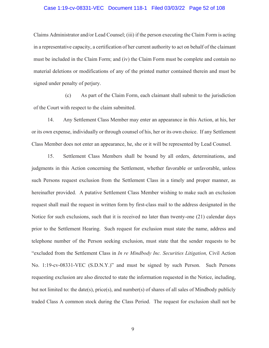#### Case 1:19-cv-08331-VEC Document 118-1 Filed 03/03/22 Page 52 of 108

Claims Administrator and/or Lead Counsel; (iii) if the person executing the Claim Form is acting in a representative capacity, a certification of her current authority to act on behalf of the claimant must be included in the Claim Form; and (iv) the Claim Form must be complete and contain no material deletions or modifications of any of the printed matter contained therein and must be signed under penalty of perjury.

(c) As part of the Claim Form, each claimant shall submit to the jurisdiction of the Court with respect to the claim submitted.

14. Any Settlement Class Member may enter an appearance in this Action, at his, her or its own expense, individually or through counsel of his, her or its own choice. If any Settlement Class Member does not enter an appearance, he, she or it will be represented by Lead Counsel.

15. Settlement Class Members shall be bound by all orders, determinations, and judgments in this Action concerning the Settlement, whether favorable or unfavorable, unless such Persons request exclusion from the Settlement Class in a timely and proper manner, as hereinafter provided. A putative Settlement Class Member wishing to make such an exclusion request shall mail the request in written form by first-class mail to the address designated in the Notice for such exclusions, such that it is received no later than twenty-one (21) calendar days prior to the Settlement Hearing. Such request for exclusion must state the name, address and telephone number of the Person seeking exclusion, must state that the sender requests to be "excluded from the Settlement Class in *In re Mindbody Inc. Securities Litigation,* Civil Action No. 1:19-cv-08331-VEC (S.D.N.Y.)" and must be signed by such Person. Such Persons requesting exclusion are also directed to state the information requested in the Notice, including, but not limited to: the date(s), price(s), and number(s) of shares of all sales of Mindbody publicly traded Class A common stock during the Class Period. The request for exclusion shall not be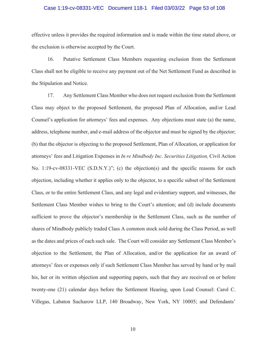#### Case 1:19-cv-08331-VEC Document 118-1 Filed 03/03/22 Page 53 of 108

effective unless it provides the required information and is made within the time stated above, or the exclusion is otherwise accepted by the Court.

16. Putative Settlement Class Members requesting exclusion from the Settlement Class shall not be eligible to receive any payment out of the Net Settlement Fund as described in the Stipulation and Notice.

17. Any Settlement Class Member who does not request exclusion from the Settlement Class may object to the proposed Settlement, the proposed Plan of Allocation, and/or Lead Counsel's application for attorneys' fees and expenses. Any objections must state (a) the name, address, telephone number, and e-mail address of the objector and must be signed by the objector; (b) that the objector is objecting to the proposed Settlement, Plan of Allocation, or application for attorneys' fees and Litigation Expenses in *In re Mindbody Inc. Securities Litigation,* Civil Action No. 1:19-cv-08331-VEC (S.D.N.Y.)"; (c) the objection(s) and the specific reasons for each objection, including whether it applies only to the objector, to a specific subset of the Settlement Class, or to the entire Settlement Class, and any legal and evidentiary support, and witnesses, the Settlement Class Member wishes to bring to the Court's attention; and (d) include documents sufficient to prove the objector's membership in the Settlement Class, such as the number of shares of Mindbody publicly traded Class A common stock sold during the Class Period, as well as the dates and prices of each such sale. The Court will consider any Settlement Class Member's objection to the Settlement, the Plan of Allocation, and/or the application for an award of attorneys' fees or expenses only if such Settlement Class Member has served by hand or by mail his, her or its written objection and supporting papers, such that they are received on or before twenty-one (21) calendar days before the Settlement Hearing, upon Lead Counsel: Carol C. Villegas, Labaton Sucharow LLP, 140 Broadway, New York, NY 10005; and Defendants'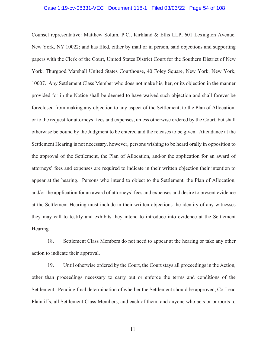#### Case 1:19-cv-08331-VEC Document 118-1 Filed 03/03/22 Page 54 of 108

Counsel representative: Matthew Solum, P.C., Kirkland & Ellis LLP, 601 Lexington Avenue, New York, NY 10022; and has filed, either by mail or in person, said objections and supporting papers with the Clerk of the Court, United States District Court for the Southern District of New York, Thurgood Marshall United States Courthouse, 40 Foley Square, New York, New York, 10007. Any Settlement Class Member who does not make his, her, or its objection in the manner provided for in the Notice shall be deemed to have waived such objection and shall forever be foreclosed from making any objection to any aspect of the Settlement, to the Plan of Allocation, or to the request for attorneys' fees and expenses, unless otherwise ordered by the Court, but shall otherwise be bound by the Judgment to be entered and the releases to be given. Attendance at the Settlement Hearing is not necessary, however, persons wishing to be heard orally in opposition to the approval of the Settlement, the Plan of Allocation, and/or the application for an award of attorneys' fees and expenses are required to indicate in their written objection their intention to appear at the hearing. Persons who intend to object to the Settlement, the Plan of Allocation, and/or the application for an award of attorneys' fees and expenses and desire to present evidence at the Settlement Hearing must include in their written objections the identity of any witnesses they may call to testify and exhibits they intend to introduce into evidence at the Settlement Hearing.

18. Settlement Class Members do not need to appear at the hearing or take any other action to indicate their approval.

19. Until otherwise ordered by the Court, the Court stays all proceedings in the Action, other than proceedings necessary to carry out or enforce the terms and conditions of the Settlement. Pending final determination of whether the Settlement should be approved, Co-Lead Plaintiffs, all Settlement Class Members, and each of them, and anyone who acts or purports to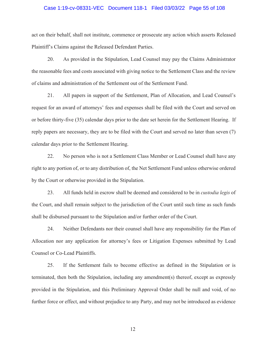#### Case 1:19-cv-08331-VEC Document 118-1 Filed 03/03/22 Page 55 of 108

act on their behalf, shall not institute, commence or prosecute any action which asserts Released Plaintiff's Claims against the Released Defendant Parties.

20. As provided in the Stipulation, Lead Counsel may pay the Claims Administrator the reasonable fees and costs associated with giving notice to the Settlement Class and the review of claims and administration of the Settlement out of the Settlement Fund.

21. All papers in support of the Settlement, Plan of Allocation, and Lead Counsel's request for an award of attorneys' fees and expenses shall be filed with the Court and served on or before thirty-five (35) calendar days prior to the date set herein for the Settlement Hearing. If reply papers are necessary, they are to be filed with the Court and served no later than seven (7) calendar days prior to the Settlement Hearing.

22. No person who is not a Settlement Class Member or Lead Counsel shall have any right to any portion of, or to any distribution of, the Net Settlement Fund unless otherwise ordered by the Court or otherwise provided in the Stipulation.

23. All funds held in escrow shall be deemed and considered to be in *custodia legis* of the Court, and shall remain subject to the jurisdiction of the Court until such time as such funds shall be disbursed pursuant to the Stipulation and/or further order of the Court.

24. Neither Defendants nor their counsel shall have any responsibility for the Plan of Allocation nor any application for attorney's fees or Litigation Expenses submitted by Lead Counsel or Co-Lead Plaintiffs.

25. If the Settlement fails to become effective as defined in the Stipulation or is terminated, then both the Stipulation, including any amendment(s) thereof, except as expressly provided in the Stipulation, and this Preliminary Approval Order shall be null and void, of no further force or effect, and without prejudice to any Party, and may not be introduced as evidence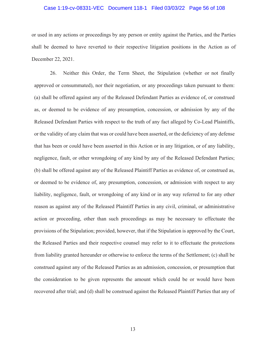#### Case 1:19-cv-08331-VEC Document 118-1 Filed 03/03/22 Page 56 of 108

or used in any actions or proceedings by any person or entity against the Parties, and the Parties shall be deemed to have reverted to their respective litigation positions in the Action as of December 22, 2021.

26. Neither this Order, the Term Sheet, the Stipulation (whether or not finally approved or consummated), nor their negotiation, or any proceedings taken pursuant to them: (a) shall be offered against any of the Released Defendant Parties as evidence of, or construed as, or deemed to be evidence of any presumption, concession, or admission by any of the Released Defendant Parties with respect to the truth of any fact alleged by Co-Lead Plaintiffs, or the validity of any claim that was or could have been asserted, or the deficiency of any defense that has been or could have been asserted in this Action or in any litigation, or of any liability, negligence, fault, or other wrongdoing of any kind by any of the Released Defendant Parties; (b) shall be offered against any of the Released Plaintiff Parties as evidence of, or construed as, or deemed to be evidence of, any presumption, concession, or admission with respect to any liability, negligence, fault, or wrongdoing of any kind or in any way referred to for any other reason as against any of the Released Plaintiff Parties in any civil, criminal, or administrative action or proceeding, other than such proceedings as may be necessary to effectuate the provisions of the Stipulation; provided, however, that if the Stipulation is approved by the Court, the Released Parties and their respective counsel may refer to it to effectuate the protections from liability granted hereunder or otherwise to enforce the terms of the Settlement; (c) shall be construed against any of the Released Parties as an admission, concession, or presumption that the consideration to be given represents the amount which could be or would have been recovered after trial; and (d) shall be construed against the Released Plaintiff Parties that any of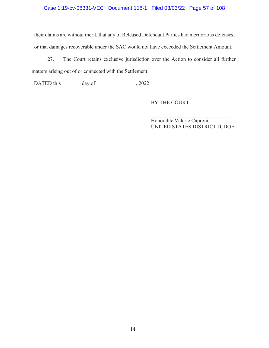# Case 1:19-cv-08331-VEC Document 118-1 Filed 03/03/22 Page 57 of 108

their claims are without merit, that any of Released Defendant Parties had meritorious defenses, or that damages recoverable under the SAC would not have exceeded the Settlement Amount.

27. The Court retains exclusive jurisdiction over the Action to consider all further matters arising out of or connected with the Settlement.

DATED this \_\_\_\_\_\_\_ day of \_\_\_\_\_\_\_\_\_\_\_\_, 2022

BY THE COURT:

Honorable Valerie Caproni UNITED STATES DISTRICT JUDGE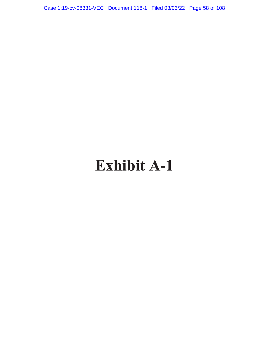Case 1:19-cv-08331-VEC Document 118-1 Filed 03/03/22 Page 58 of 108

# **Exhibit A-1**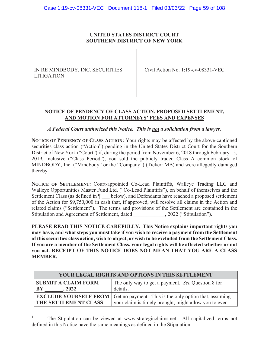# **UNITED STATES DISTRICT COURT SOUTHERN DISTRICT OF NEW YORK**

IN RE MINDBODY, INC. SECURITIES LITIGATION

Civil Action No. 1:19-cv-08331-VEC

# **NOTICE OF PENDENCY OF CLASS ACTION, PROPOSED SETTLEMENT, AND MOTION FOR ATTORNEYS' FEES AND EXPENSES**

# *A Federal Court authorized this Notice. This is not a solicitation from a lawyer.*

**NOTICE OF PENDENCY OF CLASS ACTION:** Your rights may be affected by the above-captioned securities class action ("Action") pending in the United States District Court for the Southern District of New York ("Court") if, during the period from November 6, 2018 through February 15, 2019, inclusive ("Class Period"), you sold the publicly traded Class A common stock of MINDBODY, Inc. ("Mindbody" or the "Company") (Ticker: MB) and were allegedly damaged thereby.

**NOTICE OF SETTLEMENT:** Court-appointed Co-Lead Plaintiffs, Walleye Trading LLC and Walleye Opportunities Master Fund Ltd. ("Co-Lead Plaintiffs"), on behalf of themselves and the Settlement Class (as defined in  $\P$  below), and Defendants have reached a proposed settlement of the Action for \$9,750,000 in cash that, if approved, will resolve all claims in the Action and related claims ("Settlement"). The terms and provisions of the Settlement are contained in the Stipulation and Agreement of Settlement, dated , 2022 ("Stipulation").<sup>1</sup>

**PLEASE READ THIS NOTICE CAREFULLY. This Notice explains important rights you may have, and what steps you must take if you wish to receive a payment from the Settlement of this securities class action, wish to object, or wish to be excluded from the Settlement Class. If you are a member of the Settlement Class, your legal rights will be affected whether or not you act. RECEIPT OF THIS NOTICE DOES NOT MEAN THAT YOU ARE A CLASS MEMBER.** 

| YOUR LEGAL RIGHTS AND OPTIONS IN THIS SETTLEMENT |                                                                                                                                                |
|--------------------------------------------------|------------------------------------------------------------------------------------------------------------------------------------------------|
| <b>SUBMIT A CLAIM FORM</b><br>' BY<br>.2022      | The only way to get a payment. See Question 8 for<br>details.                                                                                  |
| <b>THE SETTLEMENT CLASS</b>                      | <b>EXCLUDE YOURSELF FROM</b>   Get no payment. This is the only option that, assuming<br>your claim is timely brought, might allow you to ever |

<sup>1</sup> The Stipulation can be viewed at www.strategicclaims.net. All capitalized terms not defined in this Notice have the same meanings as defined in the Stipulation.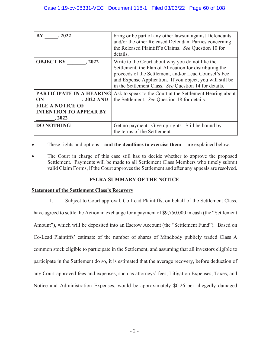| BY<br>.2022                                                                                                          | bring or be part of any other lawsuit against Defendants<br>and/or the other Released Defendant Parties concerning<br>the Released Plaintiff's Claims. See Question 10 for<br>details.                                                                                                     |
|----------------------------------------------------------------------------------------------------------------------|--------------------------------------------------------------------------------------------------------------------------------------------------------------------------------------------------------------------------------------------------------------------------------------------|
| <b>OBJECT BY</b><br>, 2022                                                                                           | Write to the Court about why you do not like the<br>Settlement, the Plan of Allocation for distributing the<br>proceeds of the Settlement, and/or Lead Counsel's Fee<br>and Expense Application. If you object, you will still be<br>in the Settlement Class. See Question 14 for details. |
| PARTICIPATE IN A HEARING<br>ON<br>$, 2022$ AND<br><b>FILE A NOTICE OF</b><br><b>INTENTION TO APPEAR BY</b><br>, 2022 | Ask to speak to the Court at the Settlement Hearing about<br>the Settlement. See Question 18 for details.                                                                                                                                                                                  |
| <b>DO NOTHING</b>                                                                                                    | Get no payment. Give up rights. Still be bound by<br>the terms of the Settlement.                                                                                                                                                                                                          |

These rights and options—and the deadlines to exercise them—are explained below.

The Court in charge of this case still has to decide whether to approve the proposed Settlement. Payments will be made to all Settlement Class Members who timely submit valid Claim Forms, if the Court approves the Settlement and after any appeals are resolved.

# **PSLRA SUMMARY OF THE NOTICE**

# **Statement of the Settlement Class's Recovery**

1. Subject to Court approval, Co-Lead Plaintiffs, on behalf of the Settlement Class,

have agreed to settle the Action in exchange for a payment of \$9,750,000 in cash (the "Settlement Amount"), which will be deposited into an Escrow Account (the "Settlement Fund"). Based on Co-Lead Plaintiffs' estimate of the number of shares of Mindbody publicly traded Class A common stock eligible to participate in the Settlement, and assuming that all investors eligible to participate in the Settlement do so, it is estimated that the average recovery, before deduction of any Court-approved fees and expenses, such as attorneys' fees, Litigation Expenses, Taxes, and Notice and Administration Expenses, would be approximately \$0.26 per allegedly damaged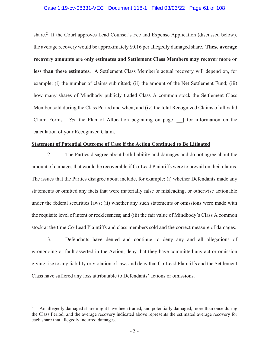#### Case 1:19-cv-08331-VEC Document 118-1 Filed 03/03/22 Page 61 of 108

share.<sup>2</sup> If the Court approves Lead Counsel's Fee and Expense Application (discussed below), the average recovery would be approximately \$0.16 per allegedly damaged share. **These average recovery amounts are only estimates and Settlement Class Members may recover more or less than these estimates.** A Settlement Class Member's actual recovery will depend on, for example: (i) the number of claims submitted; (ii) the amount of the Net Settlement Fund; (iii) how many shares of Mindbody publicly traded Class A common stock the Settlement Class Member sold during the Class Period and when; and (iv) the total Recognized Claims of all valid Claim Forms. *See* the Plan of Allocation beginning on page [\_\_] for information on the calculation of your Recognized Claim.

#### **Statement of Potential Outcome of Case if the Action Continued to Be Litigated**

2. The Parties disagree about both liability and damages and do not agree about the amount of damages that would be recoverable if Co-Lead Plaintiffs were to prevail on their claims. The issues that the Parties disagree about include, for example: (i) whether Defendants made any statements or omitted any facts that were materially false or misleading, or otherwise actionable under the federal securities laws; (ii) whether any such statements or omissions were made with the requisite level of intent or recklessness; and (iii) the fair value of Mindbody's Class A common stock at the time Co-Lead Plaintiffs and class members sold and the correct measure of damages.

3. Defendants have denied and continue to deny any and all allegations of wrongdoing or fault asserted in the Action, deny that they have committed any act or omission giving rise to any liability or violation of law, and deny that Co-Lead Plaintiffs and the Settlement Class have suffered any loss attributable to Defendants' actions or omissions.

<sup>2</sup> An allegedly damaged share might have been traded, and potentially damaged, more than once during the Class Period, and the average recovery indicated above represents the estimated average recovery for each share that allegedly incurred damages.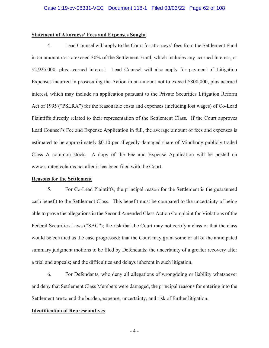#### **Statement of Attorneys' Fees and Expenses Sought**

4. Lead Counsel will apply to the Court for attorneys' fees from the Settlement Fund in an amount not to exceed 30% of the Settlement Fund, which includes any accrued interest, or \$2,925,000, plus accrued interest. Lead Counsel will also apply for payment of Litigation Expenses incurred in prosecuting the Action in an amount not to exceed \$800,000, plus accrued interest, which may include an application pursuant to the Private Securities Litigation Reform Act of 1995 ("PSLRA") for the reasonable costs and expenses (including lost wages) of Co-Lead Plaintiffs directly related to their representation of the Settlement Class. If the Court approves Lead Counsel's Fee and Expense Application in full, the average amount of fees and expenses is estimated to be approximately \$0.10 per allegedly damaged share of Mindbody publicly traded Class A common stock. A copy of the Fee and Expense Application will be posted on www.strategicclaims.net after it has been filed with the Court.

#### **Reasons for the Settlement**

5. For Co-Lead Plaintiffs, the principal reason for the Settlement is the guaranteed cash benefit to the Settlement Class. This benefit must be compared to the uncertainty of being able to prove the allegations in the Second Amended Class Action Complaint for Violations of the Federal Securities Laws ("SAC"); the risk that the Court may not certify a class or that the class would be certified as the case progressed; that the Court may grant some or all of the anticipated summary judgment motions to be filed by Defendants; the uncertainty of a greater recovery after a trial and appeals; and the difficulties and delays inherent in such litigation.

6. For Defendants, who deny all allegations of wrongdoing or liability whatsoever and deny that Settlement Class Members were damaged, the principal reasons for entering into the Settlement are to end the burden, expense, uncertainty, and risk of further litigation.

#### **Identification of Representatives**

- 4 -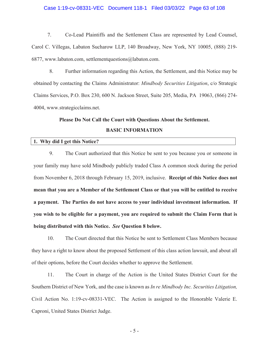#### Case 1:19-cv-08331-VEC Document 118-1 Filed 03/03/22 Page 63 of 108

7. Co-Lead Plaintiffs and the Settlement Class are represented by Lead Counsel, Carol C. Villegas, Labaton Sucharow LLP, 140 Broadway, New York, NY 10005, (888) 219- 6877, www.labaton.com, settlementquestions@labaton.com.

8. Further information regarding this Action, the Settlement, and this Notice may be obtained by contacting the Claims Administrator: *Mindbody Securities Litigation*, c/o Strategic Claims Services, P.O. Box 230, 600 N. Jackson Street, Suite 205, Media, PA 19063, (866) 274- 4004, www.strategicclaims.net.

#### **Please Do Not Call the Court with Questions About the Settlement.**

#### **BASIC INFORMATION**

# **1. Why did I get this Notice?**

9. The Court authorized that this Notice be sent to you because you or someone in your family may have sold Mindbody publicly traded Class A common stock during the period from November 6, 2018 through February 15, 2019, inclusive. **Receipt of this Notice does not mean that you are a Member of the Settlement Class or that you will be entitled to receive a payment. The Parties do not have access to your individual investment information. If you wish to be eligible for a payment, you are required to submit the Claim Form that is being distributed with this Notice.** *See* **Question 8 below.**

10. The Court directed that this Notice be sent to Settlement Class Members because they have a right to know about the proposed Settlement of this class action lawsuit, and about all of their options, before the Court decides whether to approve the Settlement.

11. The Court in charge of the Action is the United States District Court for the Southern District of New York, and the case is known as *In re Mindbody Inc. Securities Litigation,* Civil Action No. 1:19-cv-08331-VEC. The Action is assigned to the Honorable Valerie E. Caproni, United States District Judge.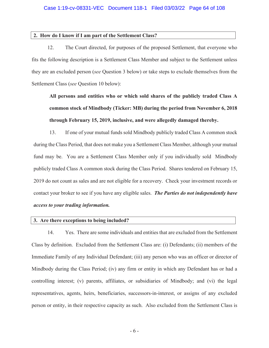#### **2. How do I know if I am part of the Settlement Class?**

12. The Court directed, for purposes of the proposed Settlement, that everyone who fits the following description is a Settlement Class Member and subject to the Settlement unless they are an excluded person (*see* Question 3 below) or take steps to exclude themselves from the Settlement Class (*see* Question 10 below):

**All persons and entities who or which sold shares of the publicly traded Class A common stock of Mindbody (Ticker: MB) during the period from November 6, 2018 through February 15, 2019, inclusive, and were allegedly damaged thereby.** 

13. If one of your mutual funds sold Mindbody publicly traded Class A common stock during the Class Period, that does not make you a Settlement Class Member, although your mutual fund may be. You are a Settlement Class Member only if you individually sold Mindbody publicly traded Class A common stock during the Class Period. Shares tendered on February 15, 2019 do not count as sales and are not eligible for a recovery. Check your investment records or contact your broker to see if you have any eligible sales. *The Parties do not independently have access to your trading information.*

#### **3. Are there exceptions to being included?**

14. Yes. There are some individuals and entities that are excluded from the Settlement Class by definition. Excluded from the Settlement Class are: (i) Defendants; (ii) members of the Immediate Family of any Individual Defendant; (iii) any person who was an officer or director of Mindbody during the Class Period; (iv) any firm or entity in which any Defendant has or had a controlling interest; (v) parents, affiliates, or subsidiaries of Mindbody; and (vi) the legal representatives, agents, heirs, beneficiaries, successors-in-interest, or assigns of any excluded person or entity, in their respective capacity as such. Also excluded from the Settlement Class is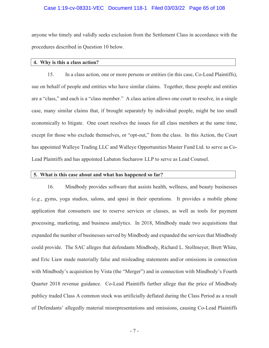#### Case 1:19-cv-08331-VEC Document 118-1 Filed 03/03/22 Page 65 of 108

anyone who timely and validly seeks exclusion from the Settlement Class in accordance with the procedures described in Question 10 below.

#### **4. Why is this a class action?**

15. In a class action, one or more persons or entities (in this case, Co-Lead Plaintiffs), sue on behalf of people and entities who have similar claims. Together, these people and entities are a "class," and each is a "class member." A class action allows one court to resolve, in a single case, many similar claims that, if brought separately by individual people, might be too small economically to litigate. One court resolves the issues for all class members at the same time, except for those who exclude themselves, or "opt-out," from the class. In this Action, the Court has appointed Walleye Trading LLC and Walleye Opportunities Master Fund Ltd. to serve as Co-Lead Plaintiffs and has appointed Labaton Sucharow LLP to serve as Lead Counsel.

#### **5. What is this case about and what has happened so far?**

16. Mindbody provides software that assists health, wellness, and beauty businesses (*e.g.*, gyms, yoga studios, salons, and spas) in their operations. It provides a mobile phone application that consumers use to reserve services or classes, as well as tools for payment processing, marketing, and business analytics. In 2018, Mindbody made two acquisitions that expanded the number of businesses served by Mindbody and expanded the services that Mindbody could provide. The SAC alleges that defendants Mindbody, Richard L. Stollmeyer, Brett White, and Eric Liaw made materially false and misleading statements and/or omissions in connection with Mindbody's acquisition by Vista (the "Merger") and in connection with Mindbody's Fourth Quarter 2018 revenue guidance. Co-Lead Plaintiffs further allege that the price of Mindbody publicy traded Class A common stock was artificially deflated during the Class Period as a result of Defendants' allegedly material misrepresentations and omissions, causing Co-Lead Plaintiffs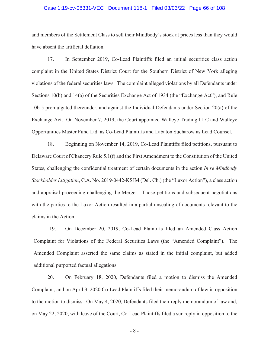#### Case 1:19-cv-08331-VEC Document 118-1 Filed 03/03/22 Page 66 of 108

and members of the Settlement Class to sell their Mindbody's stock at prices less than they would have absent the artificial deflation.

17. In September 2019, Co-Lead Plaintiffs filed an initial securities class action complaint in the United States District Court for the Southern District of New York alleging violations of the federal securities laws. The complaint alleged violations by all Defendants under Sections 10(b) and 14(a) of the Securities Exchange Act of 1934 (the "Exchange Act"), and Rule 10b-5 promulgated thereunder, and against the Individual Defendants under Section 20(a) of the Exchange Act. On November 7, 2019, the Court appointed Walleye Trading LLC and Walleye Opportunities Master Fund Ltd. as Co-Lead Plaintiffs and Labaton Sucharow as Lead Counsel.

18. Beginning on November 14, 2019, Co-Lead Plaintiffs filed petitions, pursuant to Delaware Court of Chancery Rule 5.1(f) and the First Amendment to the Constitution of the United States, challenging the confidential treatment of certain documents in the action *In re Mindbody Stockholder Litigation*, C.A. No. 2019-0442-KSJM (Del. Ch.) (the "Luxor Action"), a class action and appraisal proceeding challenging the Merger. Those petitions and subsequent negotiations with the parties to the Luxor Action resulted in a partial unsealing of documents relevant to the claims in the Action.

19. On December 20, 2019, Co-Lead Plaintiffs filed an Amended Class Action Complaint for Violations of the Federal Securities Laws (the "Amended Complaint"). The Amended Complaint asserted the same claims as stated in the initial complaint, but added additional purported factual allegations.

20. On February 18, 2020, Defendants filed a motion to dismiss the Amended Complaint, and on April 3, 2020 Co-Lead Plaintiffs filed their memorandum of law in opposition to the motion to dismiss. On May 4, 2020, Defendants filed their reply memorandum of law and, on May 22, 2020, with leave of the Court, Co-Lead Plaintiffs filed a sur-reply in opposition to the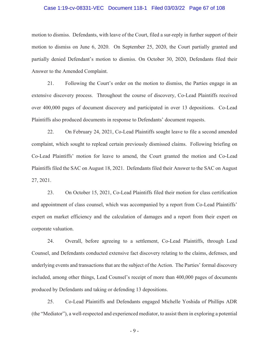#### Case 1:19-cv-08331-VEC Document 118-1 Filed 03/03/22 Page 67 of 108

motion to dismiss. Defendants, with leave of the Court, filed a sur-reply in further support of their motion to dismiss on June 6, 2020. On September 25, 2020, the Court partially granted and partially denied Defendant's motion to dismiss. On October 30, 2020, Defendants filed their Answer to the Amended Complaint.

21. Following the Court's order on the motion to dismiss, the Parties engage in an extensive discovery process. Throughout the course of discovery, Co-Lead Plaintiffs received over 400,000 pages of document discovery and participated in over 13 depositions. Co-Lead Plaintiffs also produced documents in response to Defendants' document requests.

22. On February 24, 2021, Co-Lead Plaintiffs sought leave to file a second amended complaint, which sought to replead certain previously dismissed claims. Following briefing on Co-Lead Plaintiffs' motion for leave to amend, the Court granted the motion and Co-Lead Plaintiffs filed the SAC on August 18, 2021. Defendants filed their Answer to the SAC on August 27, 2021.

23. On October 15, 2021, Co-Lead Plaintiffs filed their motion for class certification and appointment of class counsel, which was accompanied by a report from Co-Lead Plaintiffs' expert on market efficiency and the calculation of damages and a report from their expert on corporate valuation.

24. Overall, before agreeing to a settlement, Co-Lead Plaintiffs, through Lead Counsel, and Defendants conducted extensive fact discovery relating to the claims, defenses, and underlying events and transactions that are the subject of the Action. The Parties' formal discovery included, among other things, Lead Counsel's receipt of more than 400,000 pages of documents produced by Defendants and taking or defending 13 depositions.

25. Co-Lead Plaintiffs and Defendants engaged Michelle Yoshida of Phillips ADR (the "Mediator"), a well-respected and experienced mediator, to assist them in exploring a potential

- 9 -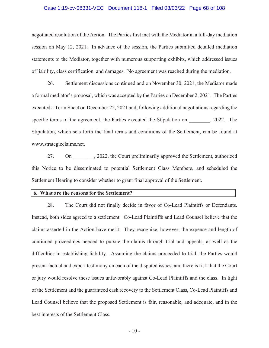#### Case 1:19-cv-08331-VEC Document 118-1 Filed 03/03/22 Page 68 of 108

negotiated resolution of the Action. The Parties first met with the Mediator in a full-day mediation session on May 12, 2021. In advance of the session, the Parties submitted detailed mediation statements to the Mediator, together with numerous supporting exhibits, which addressed issues of liability, class certification, and damages. No agreement was reached during the mediation.

26. Settlement discussions continued and on November 30, 2021, the Mediator made a formal mediator's proposal, which was accepted by the Parties on December 2, 2021. The Parties executed a Term Sheet on December 22, 2021 and, following additional negotiations regarding the specific terms of the agreement, the Parties executed the Stipulation on  $\qquad \qquad , 2022$ . The Stipulation, which sets forth the final terms and conditions of the Settlement, can be found at www.strategicclaims.net.

27. On 2022, the Court preliminarily approved the Settlement, authorized this Notice to be disseminated to potential Settlement Class Members, and scheduled the Settlement Hearing to consider whether to grant final approval of the Settlement.

#### **6. What are the reasons for the Settlement?**

28. The Court did not finally decide in favor of Co-Lead Plaintiffs or Defendants. Instead, both sides agreed to a settlement. Co-Lead Plaintiffs and Lead Counsel believe that the claims asserted in the Action have merit. They recognize, however, the expense and length of continued proceedings needed to pursue the claims through trial and appeals, as well as the difficulties in establishing liability. Assuming the claims proceeded to trial, the Parties would present factual and expert testimony on each of the disputed issues, and there is risk that the Court or jury would resolve these issues unfavorably against Co-Lead Plaintiffs and the class. In light of the Settlement and the guaranteed cash recovery to the Settlement Class, Co-Lead Plaintiffs and Lead Counsel believe that the proposed Settlement is fair, reasonable, and adequate, and in the best interests of the Settlement Class.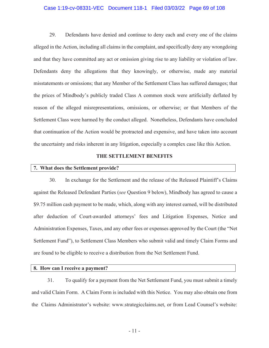#### Case 1:19-cv-08331-VEC Document 118-1 Filed 03/03/22 Page 69 of 108

29. Defendants have denied and continue to deny each and every one of the claims alleged in the Action, including all claims in the complaint, and specifically deny any wrongdoing and that they have committed any act or omission giving rise to any liability or violation of law. Defendants deny the allegations that they knowingly, or otherwise, made any material misstatements or omissions; that any Member of the Settlement Class has suffered damages; that the prices of Mindbody's publicly traded Class A common stock were artificially deflated by reason of the alleged misrepresentations, omissions, or otherwise; or that Members of the Settlement Class were harmed by the conduct alleged. Nonetheless, Defendants have concluded that continuation of the Action would be protracted and expensive, and have taken into account the uncertainty and risks inherent in any litigation, especially a complex case like this Action.

#### **THE SETTLEMENT BENEFITS**

# **7. What does the Settlement provide?**

30. In exchange for the Settlement and the release of the Released Plaintiff's Claims against the Released Defendant Parties (*see* Question 9 below), Mindbody has agreed to cause a \$9.75 million cash payment to be made, which, along with any interest earned, will be distributed after deduction of Court-awarded attorneys' fees and Litigation Expenses, Notice and Administration Expenses, Taxes, and any other fees or expenses approved by the Court (the "Net Settlement Fund"), to Settlement Class Members who submit valid and timely Claim Forms and are found to be eligible to receive a distribution from the Net Settlement Fund.

#### **8. How can I receive a payment?**

31. To qualify for a payment from the Net Settlement Fund, you must submit a timely and valid Claim Form. A Claim Form is included with this Notice. You may also obtain one from the Claims Administrator's website: www.strategicclaims.net, or from Lead Counsel's website: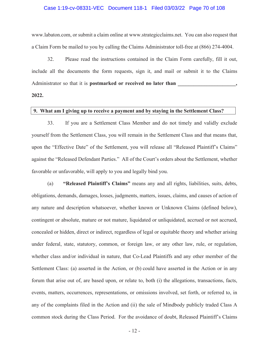#### Case 1:19-cv-08331-VEC Document 118-1 Filed 03/03/22 Page 70 of 108

www.labaton.com, or submit a claim online at www.strategicclaims.net. You can also request that a Claim Form be mailed to you by calling the Claims Administrator toll-free at (866) 274-4004.

32. Please read the instructions contained in the Claim Form carefully, fill it out, include all the documents the form requests, sign it, and mail or submit it to the Claims Administrator so that it is **postmarked or received no later than 2022.** 

# **9. What am I giving up to receive a payment and by staying in the Settlement Class?**

33. If you are a Settlement Class Member and do not timely and validly exclude yourself from the Settlement Class, you will remain in the Settlement Class and that means that, upon the "Effective Date" of the Settlement, you will release all "Released Plaintiff's Claims" against the "Released Defendant Parties." All of the Court's orders about the Settlement, whether favorable or unfavorable, will apply to you and legally bind you.

(a) **"Released Plaintiff's Claims"** means any and all rights, liabilities, suits, debts, obligations, demands, damages, losses, judgments, matters, issues, claims, and causes of action of any nature and description whatsoever, whether known or Unknown Claims (defined below), contingent or absolute, mature or not mature, liquidated or unliquidated, accrued or not accrued, concealed or hidden, direct or indirect, regardless of legal or equitable theory and whether arising under federal, state, statutory, common, or foreign law, or any other law, rule, or regulation, whether class and/or individual in nature, that Co-Lead Plaintiffs and any other member of the Settlement Class: (a) asserted in the Action, or (b) could have asserted in the Action or in any forum that arise out of, are based upon, or relate to, both (i) the allegations, transactions, facts, events, matters, occurrences, representations, or omissions involved, set forth, or referred to, in any of the complaints filed in the Action and (ii) the sale of Mindbody publicly traded Class A common stock during the Class Period. For the avoidance of doubt, Released Plaintiff's Claims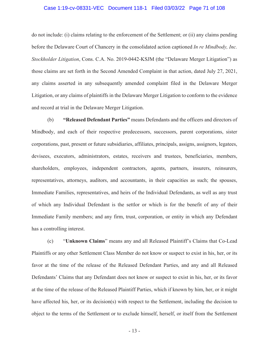#### Case 1:19-cv-08331-VEC Document 118-1 Filed 03/03/22 Page 71 of 108

do not include: (i) claims relating to the enforcement of the Settlement; or (ii) any claims pending before the Delaware Court of Chancery in the consolidated action captioned *In re Mindbody, Inc. Stockholder Litigation*, Cons. C.A. No. 2019-0442-KSJM (the "Delaware Merger Litigation") as those claims are set forth in the Second Amended Complaint in that action, dated July 27, 2021, any claims asserted in any subsequently amended complaint filed in the Delaware Merger Litigation, or any claims of plaintiffs in the Delaware Merger Litigation to conform to the evidence and record at trial in the Delaware Merger Litigation.

(b) **"Released Defendant Parties"** means Defendants and the officers and directors of Mindbody, and each of their respective predecessors, successors, parent corporations, sister corporations, past, present or future subsidiaries, affiliates, principals, assigns, assignors, legatees, devisees, executors, administrators, estates, receivers and trustees, beneficiaries, members, shareholders, employees, independent contractors, agents, partners, insurers, reinsurers, representatives, attorneys, auditors, and accountants, in their capacities as such; the spouses, Immediate Families, representatives, and heirs of the Individual Defendants, as well as any trust of which any Individual Defendant is the settlor or which is for the benefit of any of their Immediate Family members; and any firm, trust, corporation, or entity in which any Defendant has a controlling interest.

(c) "**Unknown Claims**" means any and all Released Plaintiff's Claims that Co-Lead Plaintiffs or any other Settlement Class Member do not know or suspect to exist in his, her, or its favor at the time of the release of the Released Defendant Parties, and any and all Released Defendants' Claims that any Defendant does not know or suspect to exist in his, her, or its favor at the time of the release of the Released Plaintiff Parties, which if known by him, her, or it might have affected his, her, or its decision(s) with respect to the Settlement, including the decision to object to the terms of the Settlement or to exclude himself, herself, or itself from the Settlement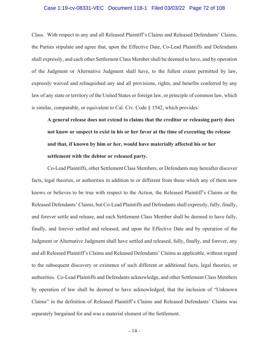#### Case 1:19-cv-08331-VEC Document 118-1 Filed 03/03/22 Page 72 of 108

Class. With respect to any and all Released Plaintiff's Claims and Released Defendants' Claims, the Parties stipulate and agree that, upon the Effective Date, Co-Lead Plaintiffs and Defendants shall expressly, and each other Settlement Class Member shall be deemed to have, and by operation of the Judgment or Alternative Judgment shall have, to the fullest extent permitted by law, expressly waived and relinquished any and all provisions, rights, and benefits conferred by any law of any state or territory of the United States or foreign law, or principle of common law, which is similar, comparable, or equivalent to Cal. Civ. Code § 1542, which provides:

**A general release does not extend to claims that the creditor or releasing party does not know or suspect to exist in his or her favor at the time of executing the release and that, if known by him or her, would have materially affected his or her settlement with the debtor or released party.** 

Co-Lead Plaintiffs, other Settlement Class Members, or Defendants may hereafter discover facts, legal theories, or authorities in addition to or different from those which any of them now knows or believes to be true with respect to the Action, the Released Plaintiff's Claims or the Released Defendants' Claims, but Co-Lead Plaintiffs and Defendants shall expressly, fully, finally, and forever settle and release, and each Settlement Class Member shall be deemed to have fully, finally, and forever settled and released, and upon the Effective Date and by operation of the Judgment or Alternative Judgment shall have settled and released, fully, finally, and forever, any and all Released Plaintiff's Claims and Released Defendants' Claims as applicable, without regard to the subsequent discovery or existence of such different or additional facts, legal theories, or authorities. Co-Lead Plaintiffs and Defendants acknowledge, and other Settlement Class Members by operation of law shall be deemed to have acknowledged, that the inclusion of "Unknown Claims" in the definition of Released Plaintiff's Claims and Released Defendants' Claims was separately bargained for and was a material element of the Settlement.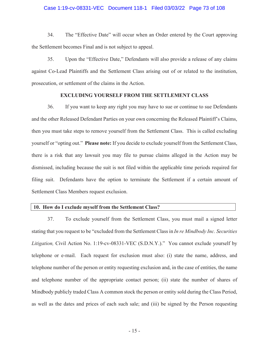# Case 1:19-cv-08331-VEC Document 118-1 Filed 03/03/22 Page 73 of 108

34. The "Effective Date" will occur when an Order entered by the Court approving the Settlement becomes Final and is not subject to appeal.

35. Upon the "Effective Date," Defendants will also provide a release of any claims against Co-Lead Plaintiffs and the Settlement Class arising out of or related to the institution, prosecution, or settlement of the claims in the Action.

# **EXCLUDING YOURSELF FROM THE SETTLEMENT CLASS**

36. If you want to keep any right you may have to sue or continue to sue Defendants and the other Released Defendant Parties on your own concerning the Released Plaintiff's Claims, then you must take steps to remove yourself from the Settlement Class. This is called excluding yourself or "opting out." **Please note:** If you decide to exclude yourself from the Settlement Class, there is a risk that any lawsuit you may file to pursue claims alleged in the Action may be dismissed, including because the suit is not filed within the applicable time periods required for filing suit. Defendants have the option to terminate the Settlement if a certain amount of Settlement Class Members request exclusion.

#### **10. How do I exclude myself from the Settlement Class?**

37. To exclude yourself from the Settlement Class, you must mail a signed letter stating that you request to be "excluded from the Settlement Class in *In re Mindbody Inc. Securities Litigation,* Civil Action No. 1:19-cv-08331-VEC (S.D.N.Y.)." You cannot exclude yourself by telephone or e-mail. Each request for exclusion must also: (i) state the name, address, and telephone number of the person or entity requesting exclusion and, in the case of entities, the name and telephone number of the appropriate contact person; (ii) state the number of shares of Mindbody publicly traded Class A common stock the person or entity sold during the Class Period, as well as the dates and prices of each such sale; and (iii) be signed by the Person requesting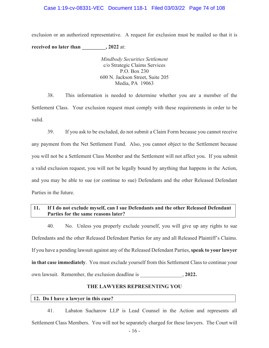# Case 1:19-cv-08331-VEC Document 118-1 Filed 03/03/22 Page 74 of 108

exclusion or an authorized representative. A request for exclusion must be mailed so that it is **received no later than** , 2022 at:

> *Mindbody Securities Settlement*  c/o Strategic Claims Services P.O. Box 230 600 N. Jackson Street, Suite 205 Media, PA 19063

38. This information is needed to determine whether you are a member of the Settlement Class. Your exclusion request must comply with these requirements in order to be valid.

39. If you ask to be excluded, do not submit a Claim Form because you cannot receive any payment from the Net Settlement Fund. Also, you cannot object to the Settlement because you will not be a Settlement Class Member and the Settlement will not affect you. If you submit a valid exclusion request, you will not be legally bound by anything that happens in the Action, and you may be able to sue (or continue to sue) Defendants and the other Released Defendant Parties in the future.

# **11. If I do not exclude myself, can I sue Defendants and the other Released Defendant Parties for the same reasons later?**

40. No. Unless you properly exclude yourself, you will give up any rights to sue Defendants and the other Released Defendant Parties for any and all Released Plaintiff's Claims. If you have a pending lawsuit against any of the Released Defendant Parties, **speak to your lawyer in that case immediately**. You must exclude yourself from this Settlement Class to continue your own lawsuit. Remember, the exclusion deadline is  $\qquad \qquad$ , 2022.

# **THE LAWYERS REPRESENTING YOU**

# **12. Do I have a lawyer in this case?**

41. Labaton Sucharow LLP is Lead Counsel in the Action and represents all Settlement Class Members. You will not be separately charged for these lawyers. The Court will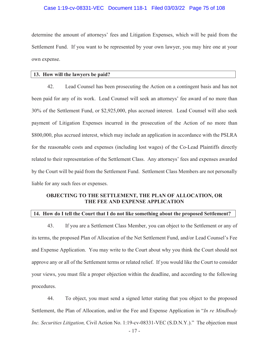# Case 1:19-cv-08331-VEC Document 118-1 Filed 03/03/22 Page 75 of 108

determine the amount of attorneys' fees and Litigation Expenses, which will be paid from the Settlement Fund. If you want to be represented by your own lawyer, you may hire one at your own expense.

#### **13. How will the lawyers be paid?**

42. Lead Counsel has been prosecuting the Action on a contingent basis and has not been paid for any of its work. Lead Counsel will seek an attorneys' fee award of no more than 30% of the Settlement Fund, or \$2,925,000, plus accrued interest. Lead Counsel will also seek payment of Litigation Expenses incurred in the prosecution of the Action of no more than \$800,000, plus accrued interest, which may include an application in accordance with the PSLRA for the reasonable costs and expenses (including lost wages) of the Co-Lead Plaintiffs directly related to their representation of the Settlement Class. Any attorneys' fees and expenses awarded by the Court will be paid from the Settlement Fund. Settlement Class Members are not personally liable for any such fees or expenses.

# **OBJECTING TO THE SETTLEMENT, THE PLAN OF ALLOCATION, OR THE FEE AND EXPENSE APPLICATION**

# **14. How do I tell the Court that I do not like something about the proposed Settlement?**

43. If you are a Settlement Class Member, you can object to the Settlement or any of its terms, the proposed Plan of Allocation of the Net Settlement Fund, and/or Lead Counsel's Fee and Expense Application. You may write to the Court about why you think the Court should not approve any or all of the Settlement terms or related relief. If you would like the Court to consider your views, you must file a proper objection within the deadline, and according to the following procedures.

44. To object, you must send a signed letter stating that you object to the proposed Settlement, the Plan of Allocation, and/or the Fee and Expense Application in "*In re Mindbody Inc. Securities Litigation,* Civil Action No. 1:19-cv-08331-VEC (S.D.N.Y.)." The objection must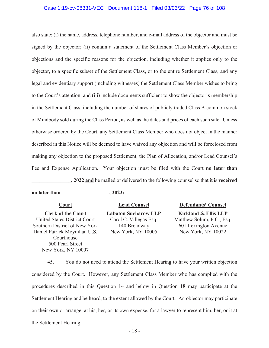# Case 1:19-cv-08331-VEC Document 118-1 Filed 03/03/22 Page 76 of 108

also state: (i) the name, address, telephone number, and e-mail address of the objector and must be signed by the objector; (ii) contain a statement of the Settlement Class Member's objection or objections and the specific reasons for the objection, including whether it applies only to the objector, to a specific subset of the Settlement Class, or to the entire Settlement Class, and any legal and evidentiary support (including witnesses) the Settlement Class Member wishes to bring to the Court's attention; and (iii) include documents sufficient to show the objector's membership in the Settlement Class, including the number of shares of publicly traded Class A common stock of Mindbody sold during the Class Period, as well as the dates and prices of each such sale. Unless otherwise ordered by the Court, any Settlement Class Member who does not object in the manner described in this Notice will be deemed to have waived any objection and will be foreclosed from making any objection to the proposed Settlement, the Plan of Allocation, and/or Lead Counsel's Fee and Expense Application. Your objection must be filed with the Court **no later than \_\_\_\_\_\_\_\_\_\_\_\_\_\_\_, 2022 and** be mailed or delivered to the following counsel so that it is **received**

**no later than**  $\qquad \qquad$ , 2022:

**Clerk of the Court**  United States District Court Southern District of New York Daniel Patrick Moynihan U.S. Courthouse 500 Pearl Street New York, NY 10007

**Labaton Sucharow LLP**  Carol C. Villegas Esq. 140 Broadway New York, NY 10005

# **Court Lead Counsel Defendants' Counsel**

**Kirkland & Ellis LLP**  Matthew Solum, P.C., Esq. 601 Lexington Avenue New York, NY 10022

45. You do not need to attend the Settlement Hearing to have your written objection considered by the Court. However, any Settlement Class Member who has complied with the procedures described in this Question 14 and below in Question 18 may participate at the Settlement Hearing and be heard, to the extent allowed by the Court. An objector may participate on their own or arrange, at his, her, or its own expense, for a lawyer to represent him, her, or it at the Settlement Hearing.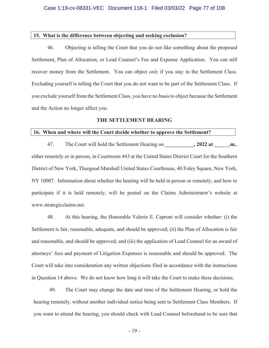#### **15. What is the difference between objecting and seeking exclusion?**

46. Objecting is telling the Court that you do not like something about the proposed Settlement, Plan of Allocation, or Lead Counsel's Fee and Expense Application. You can still recover money from the Settlement. You can object *only* if you stay in the Settlement Class. Excluding yourself is telling the Court that you do not want to be part of the Settlement Class. If you exclude yourself from the Settlement Class, you have no basis to object because the Settlement and the Action no longer affect you.

#### **THE SETTLEMENT HEARING**

# **16. When and where will the Court decide whether to approve the Settlement?**

47. The Court will hold the Settlement Hearing on  $, 2022$  at  $\ldots$ either remotely or in person, in Courtroom 443 at the United States District Court for the Southern District of New York, Thurgood Marshall United States Courthouse, 40 Foley Square, New York, NY 10007. Information about whether the hearing will be held in person or remotely, and how to participate if it is held remotely, will be posted on the Claims Administrator's website at www.strategicclaims.net.

48. At this hearing, the Honorable Valerie E. Caproni will consider whether: (i) the Settlement is fair, reasonable, adequate, and should be approved; (ii) the Plan of Allocation is fair and reasonable, and should be approved; and (iii) the application of Lead Counsel for an award of attorneys' fees and payment of Litigation Expenses is reasonable and should be approved. The Court will take into consideration any written objections filed in accordance with the instructions in Question 14 above. We do not know how long it will take the Court to make these decisions.

49. The Court may change the date and time of the Settlement Hearing, or hold the hearing remotely, without another individual notice being sent to Settlement Class Members. If you want to attend the hearing, you should check with Lead Counsel beforehand to be sure that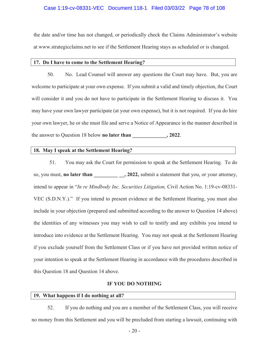# Case 1:19-cv-08331-VEC Document 118-1 Filed 03/03/22 Page 78 of 108

the date and/or time has not changed, or periodically check the Claims Administrator's website at www.strategicclaims.net to see if the Settlement Hearing stays as scheduled or is changed.

#### **17. Do I have to come to the Settlement Hearing?**

50. No. Lead Counsel will answer any questions the Court may have. But, you are welcome to participate at your own expense. If you submit a valid and timely objection, the Court will consider it and you do not have to participate in the Settlement Hearing to discuss it. You may have your own lawyer participate (at your own expense), but it is not required. If you do hire your own lawyer, he or she must file and serve a Notice of Appearance in the manner described in the answer to Question 18 below **no later than \_\_\_\_\_\_\_\_\_\_\_\_\_, 2022**.

#### **18. May I speak at the Settlement Hearing?**

51. You may ask the Court for permission to speak at the Settlement Hearing. To do so, you must, **no later than** , **2022**, submit a statement that you, or your attorney, intend to appear in "*In re Mindbody Inc. Securities Litigation,* Civil Action No. 1:19-cv-08331- VEC (S.D.N.Y.)." If you intend to present evidence at the Settlement Hearing, you must also include in your objection (prepared and submitted according to the answer to Question 14 above) the identities of any witnesses you may wish to call to testify and any exhibits you intend to introduce into evidence at the Settlement Hearing. You may not speak at the Settlement Hearing if you exclude yourself from the Settlement Class or if you have not provided written notice of your intention to speak at the Settlement Hearing in accordance with the procedures described in this Question 18 and Question 14 above.

# **IF YOU DO NOTHING**

#### **19. What happens if I do nothing at all?**

52. If you do nothing and you are a member of the Settlement Class, you will receive no money from this Settlement and you will be precluded from starting a lawsuit, continuing with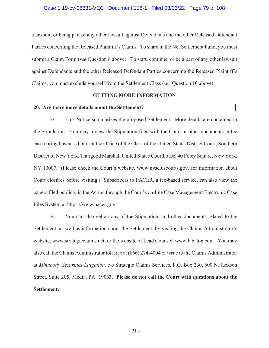## Case 1:19-cv-08331-VEC Document 118-1 Filed 03/03/22 Page 79 of 108

a lawsuit, or being part of any other lawsuit against Defendants and the other Released Defendant Parties concerning the Released Plaintiff's Claims. To share in the Net Settlement Fund, you must submit a Claim Form (*see* Question 8 above). To start, continue, or be a part of any other lawsuit against Defendants and the other Released Defendant Parties concerning the Released Plaintiff's Claims, you must exclude yourself from the Settlement Class (*see* Question 10 above).

# **GETTING MORE INFORMATION**

# **20. Are there more details about the Settlement?**

53. This Notice summarizes the proposed Settlement. More details are contained in the Stipulation. You may review the Stipulation filed with the Court or other documents in the case during business hours at the Office of the Clerk of the United States District Court, Southern District of New York, Thurgood Marshall United States Courthouse, 40 Foley Square, New York, NY 10007. (Please check the Court's website, www.nysd.uscourts.gov, for information about Court closures before visiting.) Subscribers to PACER, a fee-based service, can also view the papers filed publicly in the Action through the Court's on-line Case Management/Electronic Case Files System at https://www.pacer.gov.

54. You can also get a copy of the Stipulation, and other documents related to the Settlement, as well as information about the Settlement, by visiting the Claims Administrator's website, www.strategicclaims.net, or the website of Lead Counsel, www.labaton.com. You may also call the Claims Administrator toll free at (866) 274-4004 or write to the Claims Administrator at *Mindbody Securities Litigation,* c/o Strategic Claims Services, P.O. Box 230, 600 N. Jackson Street, Suite 205, Media, PA 19063. **Please do not call the Court with questions about the Settlement.**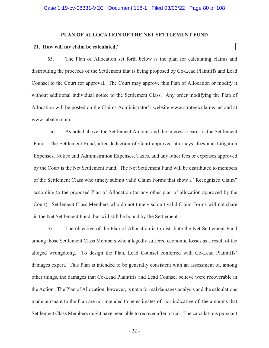# **PLAN OF ALLOCATION OF THE NET SETTLEMENT FUND**

#### **21. How will my claim be calculated?**

55. The Plan of Allocation set forth below is the plan for calculating claims and distributing the proceeds of the Settlement that is being proposed by Co-Lead Plaintiffs and Lead Counsel to the Court for approval. The Court may approve this Plan of Allocation or modify it without additional individual notice to the Settlement Class. Any order modifying the Plan of Allocation will be posted on the Claims Administrator's website www.strategicclaims.net and at www.labaton.com.

56. As noted above, the Settlement Amount and the interest it earns is the Settlement Fund. The Settlement Fund, after deduction of Court-approved attorneys' fees and Litigation Expenses, Notice and Administration Expenses, Taxes, and any other fees or expenses approved by the Court is the Net Settlement Fund. The Net Settlement Fund will be distributed to members of the Settlement Class who timely submit valid Claim Forms that show a "Recognized Claim" according to the proposed Plan of Allocation (or any other plan of allocation approved by the Court). Settlement Class Members who do not timely submit valid Claim Forms will not share in the Net Settlement Fund, but will still be bound by the Settlement.

57. The objective of the Plan of Allocation is to distribute the Net Settlement Fund among those Settlement Class Members who allegedly suffered economic losses as a result of the alleged wrongdoing. To design the Plan, Lead Counsel conferred with Co-Lead Plaintiffs' damages expert. This Plan is intended to be generally consistent with an assessment of, among other things, the damages that Co-Lead Plaintiffs and Lead Counsel believe were recoverable in the Action. The Plan of Allocation, however, is not a formal damages analysis and the calculations made pursuant to the Plan are not intended to be estimates of, nor indicative of, the amounts that Settlement Class Members might have been able to recover after a trial. The calculations pursuant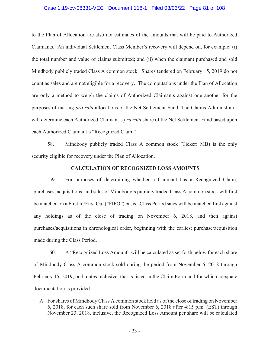# Case 1:19-cv-08331-VEC Document 118-1 Filed 03/03/22 Page 81 of 108

to the Plan of Allocation are also not estimates of the amounts that will be paid to Authorized Claimants. An individual Settlement Class Member's recovery will depend on, for example: (i) the total number and value of claims submitted; and (ii) when the claimant purchased and sold Mindbody publicly traded Class A common stock. Shares tendered on February 15, 2019 do not count as sales and are not eligible for a recovery. The computations under the Plan of Allocation are only a method to weigh the claims of Authorized Claimants against one another for the purposes of making *pro rata* allocations of the Net Settlement Fund. The Claims Administrator will determine each Authorized Claimant's *pro rata* share of the Net Settlement Fund based upon each Authorized Claimant's "Recognized Claim."

58. Mindbody publicly traded Class A common stock (Ticker: MB) is the only security eligible for recovery under the Plan of Allocation.

# **CALCULATION OF RECOGNIZED LOSS AMOUNTS**

59. For purposes of determining whether a Claimant has a Recognized Claim, purchases, acquisitions, and sales of Mindbody's publicly traded Class A common stock will first be matched on a First In/First Out ("FIFO") basis. Class Period sales will be matched first against any holdings as of the close of trading on November 6, 2018, and then against purchases/acquisitions in chronological order, beginning with the earliest purchase/acquisition made during the Class Period.

60. A "Recognized Loss Amount" will be calculated as set forth below for each share of Mindbody Class A common stock sold during the period from November 6, 2018 through February 15, 2019, both dates inclusive, that is listed in the Claim Form and for which adequate documentation is provided:

A. For shares of Mindbody Class A common stock held as of the close of trading on November 6, 2018, for each such share sold from November 6, 2018 after 4:15 p.m. (EST) through November 23, 2018, inclusive, the Recognized Loss Amount per share will be calculated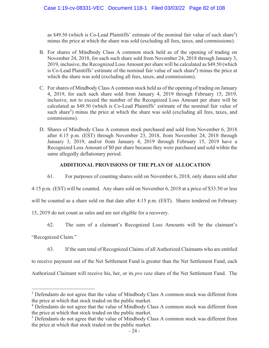as \$49.50 (which is Co-Lead Plaintiffs' estimate of the nominal fair value of such share<sup>3</sup>) minus the price at which the share was sold (excluding all fees, taxes, and commissions).

- B. For shares of Mindbody Class A common stock held as of the opening of trading on November 24, 2018, for each such share sold from November 24, 2018 through January 3, 2019, inclusive, the Recognized Loss Amount per share will be calculated as \$49.50 (which is Co-Lead Plaintiffs' estimate of the nominal fair value of such share<sup>4</sup>) minus the price at which the share was sold (excluding all fees, taxes, and commissions).
- C. For shares of Mindbody Class A common stock held as of the opening of trading on January 4, 2019, for each such share sold from January 4, 2019 through February 15, 2019, inclusive, not to exceed the number of the Recognized Loss Amount per share will be calculated as \$49.50 (which is Co-Lead Plaintiffs' estimate of the nominal fair value of such share<sup>5</sup>) minus the price at which the share was sold (excluding all fees, taxes, and commissions).
- D. Shares of Mindbody Class A common stock purchased and sold from November 6, 2018 after 4:15 p.m. (EST) through November 23, 2018, from November 24, 2018 through January 3, 2019, and/or from January 4, 2019 through February 15, 2019 have a Recognized Loss Amount of \$0 per share because they were purchased and sold within the same allegedly deflationary period.

# **ADDITIONAL PROVISIONS OF THE PLAN OF ALLOCATION**

61. For purposes of counting shares sold on November 6, 2018, only shares sold after

4:15 p.m. (EST) will be counted. Any share sold on November 6, 2018 at a price of \$33.50 or less

will be counted as a share sold on that date after 4:15 p.m. (EST). Shares tendered on February

15, 2019 do not count as sales and are not eligible for a recovery.

62. The sum of a claimant's Recognized Loss Amounts will be the claimant's

"Recognized Claim."

63. If the sum total of Recognized Claims of all Authorized Claimants who are entitled

to receive payment out of the Net Settlement Fund is greater than the Net Settlement Fund, each

Authorized Claimant will receive his, her, or its *pro rata* share of the Net Settlement Fund. The

<sup>&</sup>lt;sup>3</sup> Defendants do not agree that the value of Mindbody Class A common stock was different from the price at which that stock traded on the public market.

<sup>&</sup>lt;sup>4</sup> Defendants do not agree that the value of Mindbody Class A common stock was different from the price at which that stock traded on the public market.

<sup>&</sup>lt;sup>5</sup> Defendants do not agree that the value of Mindbody Class A common stock was different from the price at which that stock traded on the public market.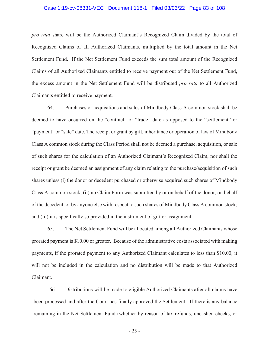# Case 1:19-cv-08331-VEC Document 118-1 Filed 03/03/22 Page 83 of 108

*pro rata* share will be the Authorized Claimant's Recognized Claim divided by the total of Recognized Claims of all Authorized Claimants, multiplied by the total amount in the Net Settlement Fund. If the Net Settlement Fund exceeds the sum total amount of the Recognized Claims of all Authorized Claimants entitled to receive payment out of the Net Settlement Fund, the excess amount in the Net Settlement Fund will be distributed *pro rata* to all Authorized Claimants entitled to receive payment.

64. Purchases or acquisitions and sales of Mindbody Class A common stock shall be deemed to have occurred on the "contract" or "trade" date as opposed to the "settlement" or "payment" or "sale" date. The receipt or grant by gift, inheritance or operation of law of Mindbody Class A common stock during the Class Period shall not be deemed a purchase, acquisition, or sale of such shares for the calculation of an Authorized Claimant's Recognized Claim, nor shall the receipt or grant be deemed an assignment of any claim relating to the purchase/acquisition of such shares unless (i) the donor or decedent purchased or otherwise acquired such shares of Mindbody Class A common stock; (ii) no Claim Form was submitted by or on behalf of the donor, on behalf of the decedent, or by anyone else with respect to such shares of Mindbody Class A common stock; and (iii) it is specifically so provided in the instrument of gift or assignment.

65. The Net Settlement Fund will be allocated among all Authorized Claimants whose prorated payment is \$10.00 or greater. Because of the administrative costs associated with making payments, if the prorated payment to any Authorized Claimant calculates to less than \$10.00, it will not be included in the calculation and no distribution will be made to that Authorized Claimant.

66. Distributions will be made to eligible Authorized Claimants after all claims have been processed and after the Court has finally approved the Settlement. If there is any balance remaining in the Net Settlement Fund (whether by reason of tax refunds, uncashed checks, or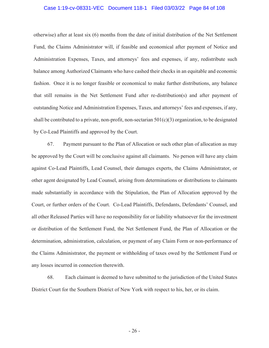### Case 1:19-cv-08331-VEC Document 118-1 Filed 03/03/22 Page 84 of 108

otherwise) after at least six (6) months from the date of initial distribution of the Net Settlement Fund, the Claims Administrator will, if feasible and economical after payment of Notice and Administration Expenses, Taxes, and attorneys' fees and expenses, if any, redistribute such balance among Authorized Claimants who have cashed their checks in an equitable and economic fashion. Once it is no longer feasible or economical to make further distributions, any balance that still remains in the Net Settlement Fund after re-distribution(s) and after payment of outstanding Notice and Administration Expenses, Taxes, and attorneys' fees and expenses, if any, shall be contributed to a private, non-profit, non-sectarian  $501(c)(3)$  organization, to be designated by Co-Lead Plaintiffs and approved by the Court.

67. Payment pursuant to the Plan of Allocation or such other plan of allocation as may be approved by the Court will be conclusive against all claimants. No person will have any claim against Co-Lead Plaintiffs, Lead Counsel, their damages experts, the Claims Administrator, or other agent designated by Lead Counsel, arising from determinations or distributions to claimants made substantially in accordance with the Stipulation, the Plan of Allocation approved by the Court, or further orders of the Court. Co-Lead Plaintiffs, Defendants, Defendants' Counsel, and all other Released Parties will have no responsibility for or liability whatsoever for the investment or distribution of the Settlement Fund, the Net Settlement Fund, the Plan of Allocation or the determination, administration, calculation, or payment of any Claim Form or non-performance of the Claims Administrator, the payment or withholding of taxes owed by the Settlement Fund or any losses incurred in connection therewith.

68. Each claimant is deemed to have submitted to the jurisdiction of the United States District Court for the Southern District of New York with respect to his, her, or its claim.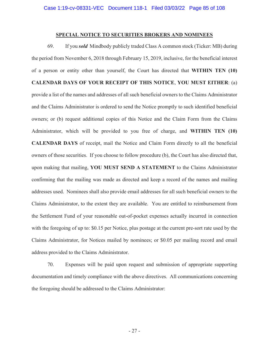# **SPECIAL NOTICE TO SECURITIES BROKERS AND NOMINEES**

69. If you *sold* Mindbody publicly traded Class A common stock (Ticker: MB) during the period from November 6, 2018 through February 15, 2019, inclusive, for the beneficial interest of a person or entity other than yourself, the Court has directed that **WITHIN TEN (10) CALENDAR DAYS OF YOUR RECEIPT OF THIS NOTICE**, **YOU MUST EITHER**: (a) provide a list of the names and addresses of all such beneficial owners to the Claims Administrator and the Claims Administrator is ordered to send the Notice promptly to such identified beneficial owners; or (b) request additional copies of this Notice and the Claim Form from the Claims Administrator, which will be provided to you free of charge, and **WITHIN TEN (10) CALENDAR DAYS** of receipt, mail the Notice and Claim Form directly to all the beneficial owners of those securities. If you choose to follow procedure (b), the Court has also directed that, upon making that mailing, **YOU MUST SEND A STATEMENT** to the Claims Administrator confirming that the mailing was made as directed and keep a record of the names and mailing addresses used. Nominees shall also provide email addresses for all such beneficial owners to the Claims Administrator, to the extent they are available. You are entitled to reimbursement from the Settlement Fund of your reasonable out-of-pocket expenses actually incurred in connection with the foregoing of up to: \$0.15 per Notice, plus postage at the current pre-sort rate used by the Claims Administrator, for Notices mailed by nominees; or \$0.05 per mailing record and email address provided to the Claims Administrator.

70. Expenses will be paid upon request and submission of appropriate supporting documentation and timely compliance with the above directives. All communications concerning the foregoing should be addressed to the Claims Administrator: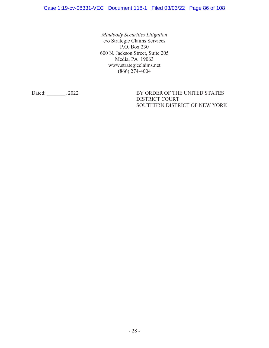*Mindbody Securities Litigation*  c/o Strategic Claims Services P.O. Box 230 600 N. Jackson Street, Suite 205 Media, PA 19063 www.strategicclaims.net (866) 274-4004

Dated: \_\_\_\_\_\_\_, 2022 BY ORDER OF THE UNITED STATES DISTRICT COURT SOUTHERN DISTRICT OF NEW YORK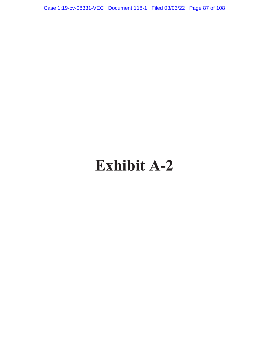Case 1:19-cv-08331-VEC Document 118-1 Filed 03/03/22 Page 87 of 108

# **Exhibit A-2**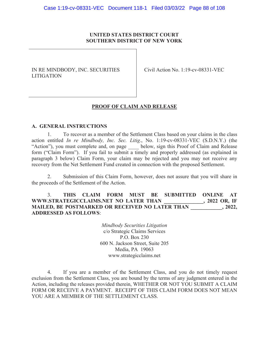# **UNITED STATES DISTRICT COURT SOUTHERN DISTRICT OF NEW YORK**

# IN RE MINDBODY, INC. SECURITIES LITIGATION

Civil Action No. 1:19-cv-08331-VEC

# **PROOF OF CLAIM AND RELEASE**

# **A. GENERAL INSTRUCTIONS**

1. To recover as a member of the Settlement Class based on your claims in the class action entitled *In re Mindbody, Inc. Sec. Litig*., No. 1:19-cv-08331-VEC (S.D.N.Y.) (the "Action"), you must complete and, on page below, sign this Proof of Claim and Release form ("Claim Form"). If you fail to submit a timely and properly addressed (as explained in paragraph 3 below) Claim Form, your claim may be rejected and you may not receive any recovery from the Net Settlement Fund created in connection with the proposed Settlement.

2. Submission of this Claim Form, however, does not assure that you will share in the proceeds of the Settlement of the Action.

# 3. **THIS CLAIM FORM MUST BE SUBMITTED ONLINE AT**  WWW.STRATEGICCLAIMS.NET NO LATER THAN **MAILED, BE POSTMARKED OR RECEIVED NO LATER THAN** , 2022, **ADDRESSED AS FOLLOWS**:

*Mindbody Securities Litigation*  c/o Strategic Claims Services P.O. Box 230 600 N. Jackson Street, Suite 205 Media, PA 19063 www.strategicclaims.net

4. If you are a member of the Settlement Class, and you do not timely request exclusion from the Settlement Class, you are bound by the terms of any judgment entered in the Action, including the releases provided therein, WHETHER OR NOT YOU SUBMIT A CLAIM FORM OR RECEIVE A PAYMENT. RECEIPT OF THIS CLAIM FORM DOES NOT MEAN YOU ARE A MEMBER OF THE SETTLEMENT CLASS.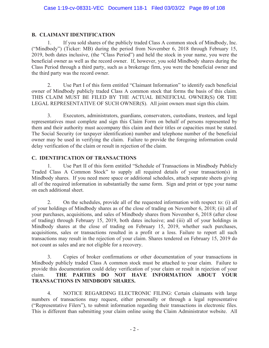# **B. CLAIMANT IDENTIFICATION**

1. If you sold shares of the publicly traded Class A common stock of Mindbody, Inc. ("Mindbody") (Ticker: MB) during the period from November 6, 2018 through February 15, 2019, both dates inclusive, (the "Class Period") and held the stock in your name, you were the beneficial owner as well as the record owner. If, however, you sold Mindbody shares during the Class Period through a third party, such as a brokerage firm, you were the beneficial owner and the third party was the record owner.

2. Use Part I of this form entitled "Claimant Information" to identify each beneficial owner of Mindbody publicly traded Class A common stock that forms the basis of this claim. THIS CLAIM MUST BE FILED BY THE ACTUAL BENEFICIAL OWNER(S) OR THE LEGAL REPRESENTATIVE OF SUCH OWNER(S). All joint owners must sign this claim.

3. Executors, administrators, guardians, conservators, custodians, trustees, and legal representatives must complete and sign this Claim Form on behalf of persons represented by them and their authority must accompany this claim and their titles or capacities must be stated. The Social Security (or taxpayer identification) number and telephone number of the beneficial owner may be used in verifying the claim. Failure to provide the foregoing information could delay verification of the claim or result in rejection of the claim.

# **C. IDENTIFICATION OF TRANSACTIONS**

1. Use Part II of this form entitled "Schedule of Transactions in Mindbody Publicly Traded Class A Common Stock" to supply all required details of your transaction(s) in Mindbody shares. If you need more space or additional schedules, attach separate sheets giving all of the required information in substantially the same form. Sign and print or type your name on each additional sheet.

2. On the schedules, provide all of the requested information with respect to: (i) all of your holdings of Mindbody shares as of the close of trading on November 6, 2018; (ii) all of your purchases, acquisitions, and sales of Mindbody shares from November 6, 2018 (after close of trading) through February 15, 2019, both dates inclusive; and (iii) all of your holdings in Mindbody shares at the close of trading on February 15, 2019, whether such purchases, acquisitions, sales or transactions resulted in a profit or a loss. Failure to report all such transactions may result in the rejection of your claim. Shares tendered on February 15, 2019 do not count as sales and are not eligible for a recovery.

3. Copies of broker confirmations or other documentation of your transactions in Mindbody publicly traded Class A common stock must be attached to your claim. Failure to provide this documentation could delay verification of your claim or result in rejection of your claim. **THE PARTIES DO NOT HAVE INFORMATION ABOUT YOUR TRANSACTIONS IN MINDBODY SHARES.**

4. NOTICE REGARDING ELECTRONIC FILING: Certain claimants with large numbers of transactions may request, either personally or through a legal representative ("Representative Filers"), to submit information regarding their transactions in electronic files. This is different than submitting your claim online using the Claim Administrator website. All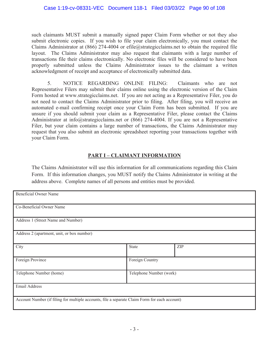such claimants MUST submit a manually signed paper Claim Form whether or not they also submit electronic copies. If you wish to file your claim electronically, you must contact the Claims Administrator at (866) 274-4004 or efile@strategicclaims.net to obtain the required file layout. The Claims Administrator may also request that claimants with a large number of transactions file their claims electronically. No electronic files will be considered to have been properly submitted unless the Claims Administrator issues to the claimant a written acknowledgment of receipt and acceptance of electronically submitted data.

5. NOTICE REGARDING ONLINE FILING: Claimants who are not Representative Filers may submit their claims online using the electronic version of the Claim Form hosted at www.strategicclaims.net. If you are not acting as a Representative Filer, you do not need to contact the Claims Administrator prior to filing. After filing, you will receive an automated e-mail confirming receipt once your Claim Form has been submitted. If you are unsure if you should submit your claim as a Representative Filer, please contact the Claims Administrator at info@strategicclaims.net or (866) 274-4004. If you are not a Representative Filer, but your claim contains a large number of transactions, the Claims Administrator may request that you also submit an electronic spreadsheet reporting your transactions together with your Claim Form.

# **PART I – CLAIMANT INFORMATION**

The Claims Administrator will use this information for all communications regarding this Claim Form. If this information changes, you MUST notify the Claims Administrator in writing at the address above. Complete names of all persons and entities must be provided.

| <b>Beneficial Owner Name</b>                                                                  |       |                         |  |
|-----------------------------------------------------------------------------------------------|-------|-------------------------|--|
| Co-Beneficial Owner Name                                                                      |       |                         |  |
| Address 1 (Street Name and Number)                                                            |       |                         |  |
| Address 2 (apartment, unit, or box number)                                                    |       |                         |  |
| City                                                                                          | State | ZIP                     |  |
| Foreign Province                                                                              |       | Foreign Country         |  |
| Telephone Number (home)                                                                       |       | Telephone Number (work) |  |
| Email Address                                                                                 |       |                         |  |
| Account Number (if filing for multiple accounts, file a separate Claim Form for each account) |       |                         |  |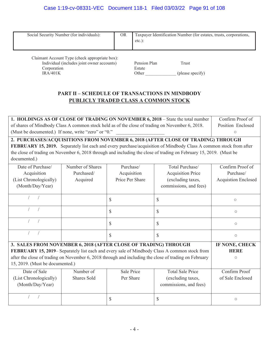# Case 1:19-cv-08331-VEC Document 118-1 Filed 03/03/22 Page 91 of 108

| Social Security Number (for individuals):                 | <b>OR</b> | $etc.$ :               | Taxpayer Identification Number (for estates, trusts, corporations, |
|-----------------------------------------------------------|-----------|------------------------|--------------------------------------------------------------------|
| Claimant Account Type (check appropriate box):            |           |                        |                                                                    |
|                                                           |           |                        |                                                                    |
| Individual (includes joint owner accounts)<br>Corporation |           | Pension Plan<br>Estate | Trust                                                              |

# **PART II – SCHEDULE OF TRANSACTIONS IN MINDBODY PUBLICLY TRADED CLASS A COMMON STOCK**

| 1. HOLDINGS AS OF CLOSE OF TRADING ON NOVEMBER 6, 2018 - State the total number                 | Confirm Proof of  |
|-------------------------------------------------------------------------------------------------|-------------------|
| of shares of Mindbody Class A common stock held as of the close of trading on November 6, 2018. | Position Enclosed |
| (Must be documented.) If none, write "zero" or "0."                                             |                   |
|                                                                                                 |                   |

**2. PURCHASES/ACQUISITIONS FROM NOVEMBER 6, 2018 (AFTER CLOSE OF TRADING) THROUGH FEBRUARY 15, 2019.** Separately list each and every purchase/acquisition of Mindbody Class A common stock from after the close of trading on November 6, 2018 through and including the close of trading on February 15, 2019. (Must be documented.)

| Date of Purchase/                                                                                     | Number of Shares | Purchase/       | Total Purchase/          | Confirm Proof of           |
|-------------------------------------------------------------------------------------------------------|------------------|-----------------|--------------------------|----------------------------|
| Acquisition                                                                                           | Purchased/       | Acquisition     | <b>Acquisition Price</b> | Purchase/                  |
| (List Chronologically)                                                                                | Acquired         | Price Per Share | (excluding taxes,        | <b>Acquistion Enclosed</b> |
| (Month/Day/Year)                                                                                      |                  |                 | commissions, and fees)   |                            |
|                                                                                                       |                  | \$              | \$                       | $\circ$                    |
|                                                                                                       |                  | \$              | $\mathcal{S}$            | $\circ$                    |
|                                                                                                       |                  | \$              | $\mathcal{S}$            | $\circ$                    |
|                                                                                                       |                  | $\mathbb{S}$    | $\mathcal{S}$            | $\circ$                    |
| 3. SALES FROM NOVEMBER 6, 2018 (AFTER CLOSE OF TRADING) THROUGH                                       | IF NONE, CHECK   |                 |                          |                            |
| FEBRUARY 15, 2019– Separately list each and every sale of Mindbody Class A common stock from          | <b>HERE</b>      |                 |                          |                            |
| after the close of trading on November 6, 2018 through and including the close of trading on February | $\circ$          |                 |                          |                            |
| 15, 2019. (Must be documented.)                                                                       |                  |                 |                          |                            |
| Date of Sale                                                                                          | Number of        | Sale Price      | <b>Total Sale Price</b>  | Confirm Proof              |
| (List Chronologically)                                                                                | Shares Sold      | Per Share       | (excluding taxes,        | of Sale Enclosed           |
| (Month/Day/Year)                                                                                      |                  |                 | commissions, and fees)   |                            |
|                                                                                                       |                  | \$              | \$                       | $\circ$                    |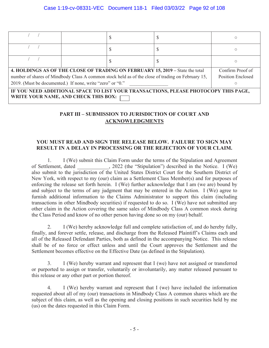| 4. HOLDINGS AS OF THE CLOSE OF TRADING ON FEBRUARY 15, 2019 – State the total                     | Confirm Proof of |  |  |                          |
|---------------------------------------------------------------------------------------------------|------------------|--|--|--------------------------|
| number of shares of Mindbody Class A common stock held as of the close of trading on February 15, |                  |  |  | <b>Position Enclosed</b> |
| 2019. (Must be documented.) If none, write "zero" or "0."                                         |                  |  |  |                          |
| IF YOU NEED ADDITIONAL SPACE TO LIST YOUR TRANSACTIONS, PLEASE PHOTOCOPY THIS PAGE,               |                  |  |  |                          |
| WRITE YOUR NAME, AND CHECK THIS BOX:                                                              |                  |  |  |                          |

# **PART III – SUBMISSION TO JURISDICTION OF COURT AND ACKNOWLEDGMENTS**

# **YOU MUST READ AND SIGN THE RELEASE BELOW. FAILURE TO SIGN MAY RESULT IN A DELAY IN PROCESSING OR THE REJECTION OF YOUR CLAIM.**

1. I (We) submit this Claim Form under the terms of the Stipulation and Agreement of Settlement, dated  $\qquad \qquad$ , 2022 (the "Stipulation") described in the Notice. I (We) also submit to the jurisdiction of the United States District Court for the Southern District of New York, with respect to my (our) claim as a Settlement Class Member(s) and for purposes of enforcing the release set forth herein. I (We) further acknowledge that I am (we are) bound by and subject to the terms of any judgment that may be entered in the Action. I (We) agree to furnish additional information to the Claims Administrator to support this claim (including transactions in other Mindbody securities) if requested to do so. I (We) have not submitted any other claim in the Action covering the same sales of Mindbody Class A common stock during the Class Period and know of no other person having done so on my (our) behalf.

2. I (We) hereby acknowledge full and complete satisfaction of, and do hereby fully, finally, and forever settle, release, and discharge from the Released Plaintiff's Claims each and all of the Released Defendant Parties, both as defined in the accompanying Notice. This release shall be of no force or effect unless and until the Court approves the Settlement and the Settlement becomes effective on the Effective Date (as defined in the Stipulation).

3. I (We) hereby warrant and represent that I (we) have not assigned or transferred or purported to assign or transfer, voluntarily or involuntarily, any matter released pursuant to this release or any other part or portion thereof.

4. I (We) hereby warrant and represent that I (we) have included the information requested about all of my (our) transactions in Mindbody Class A common shares which are the subject of this claim, as well as the opening and closing positions in such securities held by me (us) on the dates requested in this Claim Form.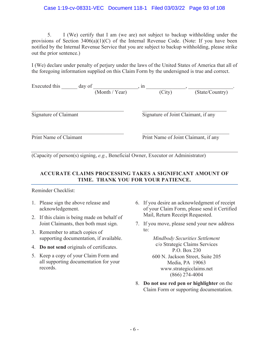# Case 1:19-cv-08331-VEC Document 118-1 Filed 03/03/22 Page 93 of 108

5. I (We) certify that I am (we are) not subject to backup withholding under the provisions of Section  $3406(a)(1)(C)$  of the Internal Revenue Code. (Note: If you have been notified by the Internal Revenue Service that you are subject to backup withholding, please strike out the prior sentence.)

I (We) declare under penalty of perjury under the laws of the United States of America that all of the foregoing information supplied on this Claim Form by the undersigned is true and correct.

| Executed this<br>day of<br>(Month / Year) | $, \text{1n}$<br>(City)              | (State/Country) |  |
|-------------------------------------------|--------------------------------------|-----------------|--|
| Signature of Claimant                     | Signature of Joint Claimant, if any  |                 |  |
| Print Name of Claimant                    | Print Name of Joint Claimant, if any |                 |  |

(Capacity of person(s) signing, *e.g.*, Beneficial Owner, Executor or Administrator)

# **ACCURATE CLAIMS PROCESSING TAKES A SIGNIFICANT AMOUNT OF TIME. THANK YOU FOR YOUR PATIENCE.**

Reminder Checklist:

- 1. Please sign the above release and acknowledgement.
- 2. If this claim is being made on behalf of Joint Claimants, then both must sign.
- 3. Remember to attach copies of supporting documentation, if available.
- 4. **Do not send** originals of certificates.
- 5. Keep a copy of your Claim Form and all supporting documentation for your records.
- 6. If you desire an acknowledgment of receipt of your Claim Form, please send it Certified Mail, Return Receipt Requested.
- 7. If you move, please send your new address to:

*Mindbody Securities Settlement*  c/o Strategic Claims Services P.O. Box 230 600 N. Jackson Street, Suite 205 Media, PA 19063 www.strategicclaims.net (866) 274-4004

8. **Do not use red pen or highlighter** on the Claim Form or supporting documentation.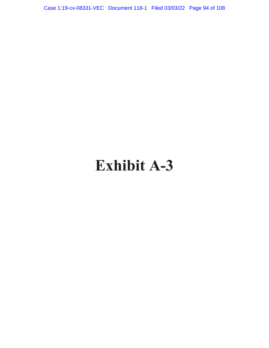Case 1:19-cv-08331-VEC Document 118-1 Filed 03/03/22 Page 94 of 108

# **Exhibit A-3**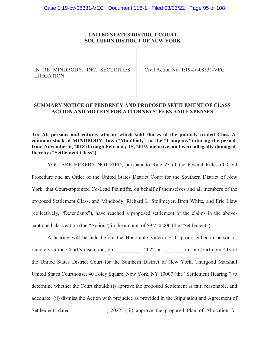# **UNITED STATES DISTRICT COURT SOUTHERN DISTRICT OF NEW YORK**

IN RE MINDBODY, INC. SECURITIES LITIGATION

Civil Action No. 1:19-cv-08331-VEC

# **SUMMARY NOTICE OF PENDENCY AND PROPOSED SETTLEMENT OF CLASS ACTION AND MOTION FOR ATTORNEYS' FEES AND EXPENSES**

**To: All persons and entities who or which sold shares of the publicly traded Class A common stock of MINDBODY, Inc. ("Mindbody" or the "Company") during the period from November 6, 2018 through February 15, 2019, inclusive, and were allegedly damaged thereby ("Settlement Class").** 

YOU ARE HEREBY NOTIFIED, pursuant to Rule 23 of the Federal Rules of Civil Procedure and an Order of the United States District Court for the Southern District of New York, that Court-appointed Co-Lead Plaintiffs, on behalf of themselves and all members of the proposed Settlement Class, and Mindbody, Richard L. Stollmeyer, Brett White, and Eric Liaw (collectively, "Defendants"), have reached a proposed settlement of the claims in the abovecaptioned class action (the "Action") in the amount of \$9,750,000 (the "Settlement").

A hearing will be held before the Honorable Valerie E. Caproni, either in person or remotely in the Court's discretion, on  $\qquad \qquad$ , 2022, at  $\qquad \qquad$  .m. in Courtroom 443 of the United States District Court for the Southern District of New York, Thurgood Marshall United States Courthouse, 40 Foley Square, New York, NY 10007 (the "Settlement Hearing") to determine whether the Court should: (i) approve the proposed Settlement as fair, reasonable, and adequate; (ii) dismiss the Action with prejudice as provided in the Stipulation and Agreement of Settlement, dated (3022; (iii) approve the proposed Plan of Allocation for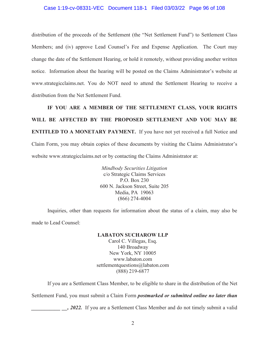# Case 1:19-cv-08331-VEC Document 118-1 Filed 03/03/22 Page 96 of 108

distribution of the proceeds of the Settlement (the "Net Settlement Fund") to Settlement Class Members; and (iv) approve Lead Counsel's Fee and Expense Application. The Court may change the date of the Settlement Hearing, or hold it remotely, without providing another written notice. Information about the hearing will be posted on the Claims Administrator's website at www.strategicclaims.net. You do NOT need to attend the Settlement Hearing to receive a distribution from the Net Settlement Fund.

**IF YOU ARE A MEMBER OF THE SETTLEMENT CLASS, YOUR RIGHTS WILL BE AFFECTED BY THE PROPOSED SETTLEMENT AND YOU MAY BE ENTITLED TO A MONETARY PAYMENT.** If you have not yet received a full Notice and Claim Form, you may obtain copies of these documents by visiting the Claims Administrator's website www.strategicclaims.net or by contacting the Claims Administrator at:

> *Mindbody Securities Litigation*  c/o Strategic Claims Services P.O. Box 230 600 N. Jackson Street, Suite 205 Media, PA 19063 (866) 274-4004

Inquiries, other than requests for information about the status of a claim, may also be made to Lead Counsel:

# **LABATON SUCHAROW LLP**

Carol C. Villegas, Esq. 140 Broadway New York, NY 10005 www.labaton.com settlementquestions@labaton.com (888) 219-6877

If you are a Settlement Class Member, to be eligible to share in the distribution of the Net

Settlement Fund, you must submit a Claim Form *postmarked or submitted online no later than* 

, 2022. If you are a Settlement Class Member and do not timely submit a valid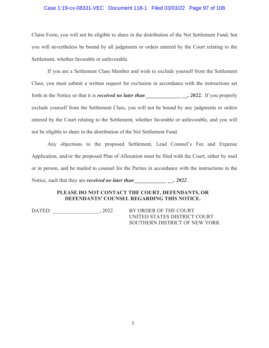# Case 1:19-cv-08331-VEC Document 118-1 Filed 03/03/22 Page 97 of 108

Claim Form, you will not be eligible to share in the distribution of the Net Settlement Fund, but you will nevertheless be bound by all judgments or orders entered by the Court relating to the Settlement, whether favorable or unfavorable.

If you are a Settlement Class Member and wish to exclude yourself from the Settlement Class, you must submit a written request for exclusion in accordance with the instructions set forth in the Notice so that it is *received no later than* , 2022. If you properly exclude yourself from the Settlement Class, you will not be bound by any judgments or orders entered by the Court relating to the Settlement, whether favorable or unfavorable, and you will not be eligible to share in the distribution of the Net Settlement Fund.

Any objections to the proposed Settlement, Lead Counsel's Fee and Expense Application, and/or the proposed Plan of Allocation must be filed with the Court, either by mail or in person, and be mailed to counsel for the Parties in accordance with the instructions in the Notice, such that they are *received no later than* \_\_\_\_\_\_\_\_\_\_\_\_\_\_\_\_, 2022.

# **PLEASE DO NOT CONTACT THE COURT, DEFENDANTS, OR DEFENDANTS' COUNSEL REGARDING THIS NOTICE.**

DATED:  $, 2022$  BY ORDER OF THE COURT

UNITED STATES DISTRICT COURT SOUTHERN DISTRICT OF NEW YORK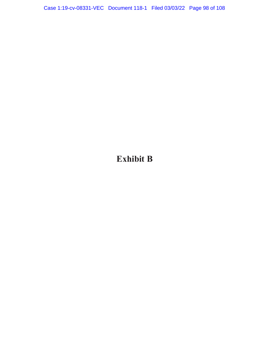**Exhibit B**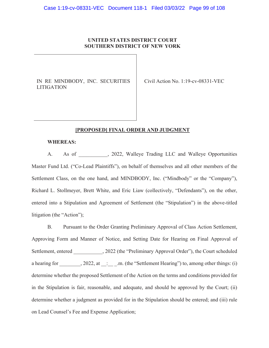# **UNITED STATES DISTRICT COURT SOUTHERN DISTRICT OF NEW YORK**

IN RE MINDBODY, INC. SECURITIES LITIGATION

Civil Action No. 1:19-cv-08331-VEC

# **[PROPOSED] FINAL ORDER AND JUDGMENT**

#### **WHEREAS:**

A. As of \_\_\_\_\_\_\_\_, 2022, Walleye Trading LLC and Walleye Opportunities Master Fund Ltd. ("Co-Lead Plaintiffs"), on behalf of themselves and all other members of the Settlement Class, on the one hand, and MINDBODY, Inc. ("Mindbody" or the "Company"), Richard L. Stollmeyer, Brett White, and Eric Liaw (collectively, "Defendants"), on the other, entered into a Stipulation and Agreement of Settlement (the "Stipulation") in the above-titled litigation (the "Action");

B. Pursuant to the Order Granting Preliminary Approval of Class Action Settlement, Approving Form and Manner of Notice, and Setting Date for Hearing on Final Approval of Settlement, entered \_\_\_\_\_\_\_\_\_, 2022 (the "Preliminary Approval Order"), the Court scheduled a hearing for  $\qquad \qquad$ , 2022, at  $\qquad \qquad$  . m. (the "Settlement Hearing") to, among other things: (i) determine whether the proposed Settlement of the Action on the terms and conditions provided for in the Stipulation is fair, reasonable, and adequate, and should be approved by the Court; (ii) determine whether a judgment as provided for in the Stipulation should be entered; and (iii) rule on Lead Counsel's Fee and Expense Application;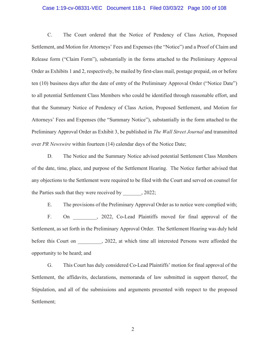# Case 1:19-cv-08331-VEC Document 118-1 Filed 03/03/22 Page 100 of 108

C. The Court ordered that the Notice of Pendency of Class Action, Proposed Settlement, and Motion for Attorneys' Fees and Expenses (the "Notice") and a Proof of Claim and Release form ("Claim Form"), substantially in the forms attached to the Preliminary Approval Order as Exhibits 1 and 2, respectively, be mailed by first-class mail, postage prepaid, on or before ten (10) business days after the date of entry of the Preliminary Approval Order ("Notice Date") to all potential Settlement Class Members who could be identified through reasonable effort, and that the Summary Notice of Pendency of Class Action, Proposed Settlement, and Motion for Attorneys' Fees and Expenses (the "Summary Notice"), substantially in the form attached to the Preliminary Approval Order as Exhibit 3, be published in *The Wall Street Journal* and transmitted over *PR Newswire* within fourteen (14) calendar days of the Notice Date;

D. The Notice and the Summary Notice advised potential Settlement Class Members of the date, time, place, and purpose of the Settlement Hearing. The Notice further advised that any objections to the Settlement were required to be filed with the Court and served on counsel for the Parties such that they were received by  $, 2022;$ 

E. The provisions of the Preliminary Approval Order as to notice were complied with; F. On , 2022, Co-Lead Plaintiffs moved for final approval of the Settlement, as set forth in the Preliminary Approval Order. The Settlement Hearing was duly held before this Court on \_\_\_\_\_\_\_, 2022, at which time all interested Persons were afforded the opportunity to be heard; and

G. This Court has duly considered Co-Lead Plaintiffs' motion for final approval of the Settlement, the affidavits, declarations, memoranda of law submitted in support thereof, the Stipulation, and all of the submissions and arguments presented with respect to the proposed Settlement;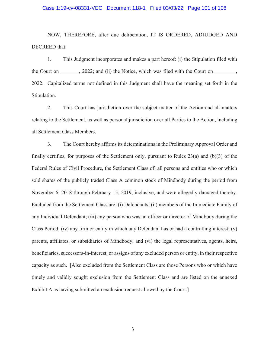# Case 1:19-cv-08331-VEC Document 118-1 Filed 03/03/22 Page 101 of 108

NOW, THEREFORE, after due deliberation, IT IS ORDERED, ADJUDGED AND DECREED that:

1. This Judgment incorporates and makes a part hereof: (i) the Stipulation filed with the Court on  $\qquad$ , 2022; and (ii) the Notice, which was filed with the Court on  $\qquad$ , 2022. Capitalized terms not defined in this Judgment shall have the meaning set forth in the Stipulation.

2. This Court has jurisdiction over the subject matter of the Action and all matters relating to the Settlement, as well as personal jurisdiction over all Parties to the Action, including all Settlement Class Members.

3. The Court hereby affirms its determinations in the Preliminary Approval Order and finally certifies, for purposes of the Settlement only, pursuant to Rules 23(a) and (b)(3) of the Federal Rules of Civil Procedure, the Settlement Class of: all persons and entities who or which sold shares of the publicly traded Class A common stock of Mindbody during the period from November 6, 2018 through February 15, 2019, inclusive, and were allegedly damaged thereby. Excluded from the Settlement Class are: (i) Defendants; (ii) members of the Immediate Family of any Individual Defendant; (iii) any person who was an officer or director of Mindbody during the Class Period; (iv) any firm or entity in which any Defendant has or had a controlling interest; (v) parents, affiliates, or subsidiaries of Mindbody; and (vi) the legal representatives, agents, heirs, beneficiaries, successors-in-interest, or assigns of any excluded person or entity, in their respective capacity as such. [Also excluded from the Settlement Class are those Persons who or which have timely and validly sought exclusion from the Settlement Class and are listed on the annexed Exhibit A as having submitted an exclusion request allowed by the Court.]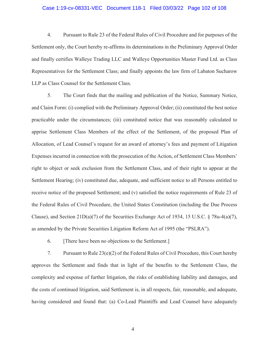# Case 1:19-cv-08331-VEC Document 118-1 Filed 03/03/22 Page 102 of 108

4. Pursuant to Rule 23 of the Federal Rules of Civil Procedure and for purposes of the Settlement only, the Court hereby re-affirms its determinations in the Preliminary Approval Order and finally certifies Walleye Trading LLC and Walleye Opportunities Master Fund Ltd. as Class Representatives for the Settlement Class; and finally appoints the law firm of Labaton Sucharow LLP as Class Counsel for the Settlement Class.

5. The Court finds that the mailing and publication of the Notice, Summary Notice, and Claim Form: (i) complied with the Preliminary Approval Order; (ii) constituted the best notice practicable under the circumstances; (iii) constituted notice that was reasonably calculated to apprise Settlement Class Members of the effect of the Settlement, of the proposed Plan of Allocation, of Lead Counsel's request for an award of attorney's fees and payment of Litigation Expenses incurred in connection with the prosecution of the Action, of Settlement Class Members' right to object or seek exclusion from the Settlement Class, and of their right to appear at the Settlement Hearing; (iv) constituted due, adequate, and sufficient notice to all Persons entitled to receive notice of the proposed Settlement; and (v) satisfied the notice requirements of Rule 23 of the Federal Rules of Civil Procedure, the United States Constitution (including the Due Process Clause), and Section  $21D(a)(7)$  of the Securities Exchange Act of 1934, 15 U.S.C. § 78u-4(a)(7), as amended by the Private Securities Litigation Reform Act of 1995 (the "PSLRA").

6. [There have been no objections to the Settlement.]

7. Pursuant to Rule 23(e)(2) of the Federal Rules of Civil Procedure, this Court hereby approves the Settlement and finds that in light of the benefits to the Settlement Class, the complexity and expense of further litigation, the risks of establishing liability and damages, and the costs of continued litigation, said Settlement is, in all respects, fair, reasonable, and adequate, having considered and found that: (a) Co-Lead Plaintiffs and Lead Counsel have adequately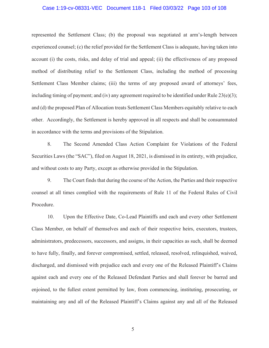#### Case 1:19-cv-08331-VEC Document 118-1 Filed 03/03/22 Page 103 of 108

represented the Settlement Class; (b) the proposal was negotiated at arm's-length between experienced counsel; (c) the relief provided for the Settlement Class is adequate, having taken into account (i) the costs, risks, and delay of trial and appeal; (ii) the effectiveness of any proposed method of distributing relief to the Settlement Class, including the method of processing Settlement Class Member claims; (iii) the terms of any proposed award of attorneys' fees, including timing of payment; and (iv) any agreement required to be identified under Rule  $23(e)(3)$ ; and (d) the proposed Plan of Allocation treats Settlement Class Members equitably relative to each other. Accordingly, the Settlement is hereby approved in all respects and shall be consummated in accordance with the terms and provisions of the Stipulation.

8. The Second Amended Class Action Complaint for Violations of the Federal Securities Laws (the "SAC"), filed on August 18, 2021, is dismissed in its entirety, with prejudice, and without costs to any Party, except as otherwise provided in the Stipulation.

9. The Court finds that during the course of the Action, the Parties and their respective counsel at all times complied with the requirements of Rule 11 of the Federal Rules of Civil Procedure.

10. Upon the Effective Date, Co-Lead Plaintiffs and each and every other Settlement Class Member, on behalf of themselves and each of their respective heirs, executors, trustees, administrators, predecessors, successors, and assigns, in their capacities as such, shall be deemed to have fully, finally, and forever compromised, settled, released, resolved, relinquished, waived, discharged, and dismissed with prejudice each and every one of the Released Plaintiff's Claims against each and every one of the Released Defendant Parties and shall forever be barred and enjoined, to the fullest extent permitted by law, from commencing, instituting, prosecuting, or maintaining any and all of the Released Plaintiff's Claims against any and all of the Released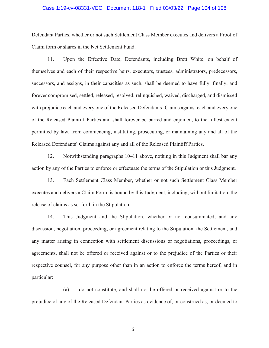### Case 1:19-cv-08331-VEC Document 118-1 Filed 03/03/22 Page 104 of 108

Defendant Parties, whether or not such Settlement Class Member executes and delivers a Proof of Claim form or shares in the Net Settlement Fund.

11. Upon the Effective Date, Defendants, including Brett White, on behalf of themselves and each of their respective heirs, executors, trustees, administrators, predecessors, successors, and assigns, in their capacities as such, shall be deemed to have fully, finally, and forever compromised, settled, released, resolved, relinquished, waived, discharged, and dismissed with prejudice each and every one of the Released Defendants' Claims against each and every one of the Released Plaintiff Parties and shall forever be barred and enjoined, to the fullest extent permitted by law, from commencing, instituting, prosecuting, or maintaining any and all of the Released Defendants' Claims against any and all of the Released Plaintiff Parties.

12. Notwithstanding paragraphs 10–11 above, nothing in this Judgment shall bar any action by any of the Parties to enforce or effectuate the terms of the Stipulation or this Judgment.

13. Each Settlement Class Member, whether or not such Settlement Class Member executes and delivers a Claim Form, is bound by this Judgment, including, without limitation, the release of claims as set forth in the Stipulation.

14. This Judgment and the Stipulation, whether or not consummated, and any discussion, negotiation, proceeding, or agreement relating to the Stipulation, the Settlement, and any matter arising in connection with settlement discussions or negotiations, proceedings, or agreements, shall not be offered or received against or to the prejudice of the Parties or their respective counsel, for any purpose other than in an action to enforce the terms hereof, and in particular:

(a) do not constitute, and shall not be offered or received against or to the prejudice of any of the Released Defendant Parties as evidence of, or construed as, or deemed to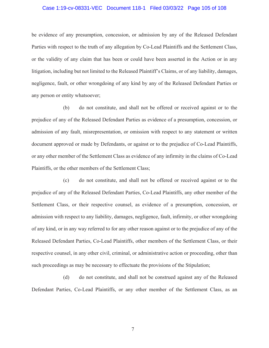#### Case 1:19-cv-08331-VEC Document 118-1 Filed 03/03/22 Page 105 of 108

be evidence of any presumption, concession, or admission by any of the Released Defendant Parties with respect to the truth of any allegation by Co-Lead Plaintiffs and the Settlement Class, or the validity of any claim that has been or could have been asserted in the Action or in any litigation, including but not limited to the Released Plaintiff's Claims, or of any liability, damages, negligence, fault, or other wrongdoing of any kind by any of the Released Defendant Parties or any person or entity whatsoever;

(b) do not constitute, and shall not be offered or received against or to the prejudice of any of the Released Defendant Parties as evidence of a presumption, concession, or admission of any fault, misrepresentation, or omission with respect to any statement or written document approved or made by Defendants, or against or to the prejudice of Co-Lead Plaintiffs, or any other member of the Settlement Class as evidence of any infirmity in the claims of Co-Lead Plaintiffs, or the other members of the Settlement Class;

(c) do not constitute, and shall not be offered or received against or to the prejudice of any of the Released Defendant Parties, Co-Lead Plaintiffs, any other member of the Settlement Class, or their respective counsel, as evidence of a presumption, concession, or admission with respect to any liability, damages, negligence, fault, infirmity, or other wrongdoing of any kind, or in any way referred to for any other reason against or to the prejudice of any of the Released Defendant Parties, Co-Lead Plaintiffs, other members of the Settlement Class, or their respective counsel, in any other civil, criminal, or administrative action or proceeding, other than such proceedings as may be necessary to effectuate the provisions of the Stipulation;

(d) do not constitute, and shall not be construed against any of the Released Defendant Parties, Co-Lead Plaintiffs, or any other member of the Settlement Class, as an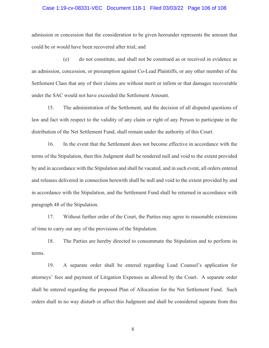# Case 1:19-cv-08331-VEC Document 118-1 Filed 03/03/22 Page 106 of 108

admission or concession that the consideration to be given hereunder represents the amount that could be or would have been recovered after trial; and

(e) do not constitute, and shall not be construed as or received in evidence as an admission, concession, or presumption against Co-Lead Plaintiffs, or any other member of the Settlement Class that any of their claims are without merit or infirm or that damages recoverable under the SAC would not have exceeded the Settlement Amount.

15. The administration of the Settlement, and the decision of all disputed questions of law and fact with respect to the validity of any claim or right of any Person to participate in the distribution of the Net Settlement Fund, shall remain under the authority of this Court.

16. In the event that the Settlement does not become effective in accordance with the terms of the Stipulation, then this Judgment shall be rendered null and void to the extent provided by and in accordance with the Stipulation and shall be vacated, and in such event, all orders entered and releases delivered in connection herewith shall be null and void to the extent provided by and in accordance with the Stipulation, and the Settlement Fund shall be returned in accordance with paragraph 48 of the Stipulation.

17. Without further order of the Court, the Parties may agree to reasonable extensions of time to carry out any of the provisions of the Stipulation.

18. The Parties are hereby directed to consummate the Stipulation and to perform its terms.

19. A separate order shall be entered regarding Lead Counsel's application for attorneys' fees and payment of Litigation Expenses as allowed by the Court. A separate order shall be entered regarding the proposed Plan of Allocation for the Net Settlement Fund. Such orders shall in no way disturb or affect this Judgment and shall be considered separate from this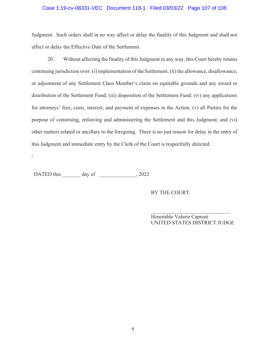# Case 1:19-cv-08331-VEC Document 118-1 Filed 03/03/22 Page 107 of 108

Judgment. Such orders shall in no way affect or delay the finality of this Judgment and shall not affect or delay the Effective Date of the Settlement.

20. Without affecting the finality of this Judgment in any way, this Court hereby retains continuing jurisdiction over: (i) implementation of the Settlement; (ii) the allowance, disallowance, or adjustment of any Settlement Class Member's claim on equitable grounds and any award or distribution of the Settlement Fund; (iii) disposition of the Settlement Fund; (iv) any applications for attorneys' fees, costs, interest, and payment of expenses in the Action; (v) all Parties for the purpose of construing, enforcing and administering the Settlement and this Judgment; and (vi) other matters related or ancillary to the foregoing. There is no just reason for delay in the entry of this Judgment and immediate entry by the Clerk of the Court is respectfully directed.

/

DATED this day of 2022

BY THE COURT:

 $\overline{\phantom{a}}$  , and the set of the set of the set of the set of the set of the set of the set of the set of the set of the set of the set of the set of the set of the set of the set of the set of the set of the set of the s Honorable Valerie Caproni UNITED STATES DISTRICT JUDGE